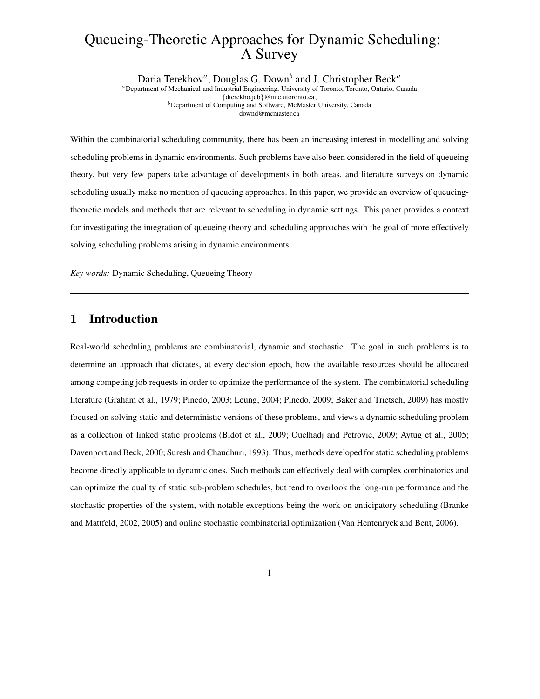# Queueing-Theoretic Approaches for Dynamic Scheduling: A Survey

Daria Terekhov<sup>a</sup>, Douglas G. Down<sup>b</sup> and J. Christopher Beck<sup>a</sup>

<sup>a</sup>Department of Mechanical and Industrial Engineering, University of Toronto, Toronto, Ontario, Canada {dterekho,jcb}@mie.utoronto.ca, <sup>b</sup>Department of Computing and Software, McMaster University, Canada downd@mcmaster.ca

Within the combinatorial scheduling community, there has been an increasing interest in modelling and solving scheduling problems in dynamic environments. Such problems have also been considered in the field of queueing theory, but very few papers take advantage of developments in both areas, and literature surveys on dynamic scheduling usually make no mention of queueing approaches. In this paper, we provide an overview of queueingtheoretic models and methods that are relevant to scheduling in dynamic settings. This paper provides a context for investigating the integration of queueing theory and scheduling approaches with the goal of more effectively solving scheduling problems arising in dynamic environments.

*Key words:* Dynamic Scheduling, Queueing Theory

# 1 Introduction

Real-world scheduling problems are combinatorial, dynamic and stochastic. The goal in such problems is to determine an approach that dictates, at every decision epoch, how the available resources should be allocated among competing job requests in order to optimize the performance of the system. The combinatorial scheduling literature (Graham et al., 1979; Pinedo, 2003; Leung, 2004; Pinedo, 2009; Baker and Trietsch, 2009) has mostly focused on solving static and deterministic versions of these problems, and views a dynamic scheduling problem as a collection of linked static problems (Bidot et al., 2009; Ouelhadj and Petrovic, 2009; Aytug et al., 2005; Davenport and Beck, 2000; Suresh and Chaudhuri, 1993). Thus, methods developed for static scheduling problems become directly applicable to dynamic ones. Such methods can effectively deal with complex combinatorics and can optimize the quality of static sub-problem schedules, but tend to overlook the long-run performance and the stochastic properties of the system, with notable exceptions being the work on anticipatory scheduling (Branke and Mattfeld, 2002, 2005) and online stochastic combinatorial optimization (Van Hentenryck and Bent, 2006).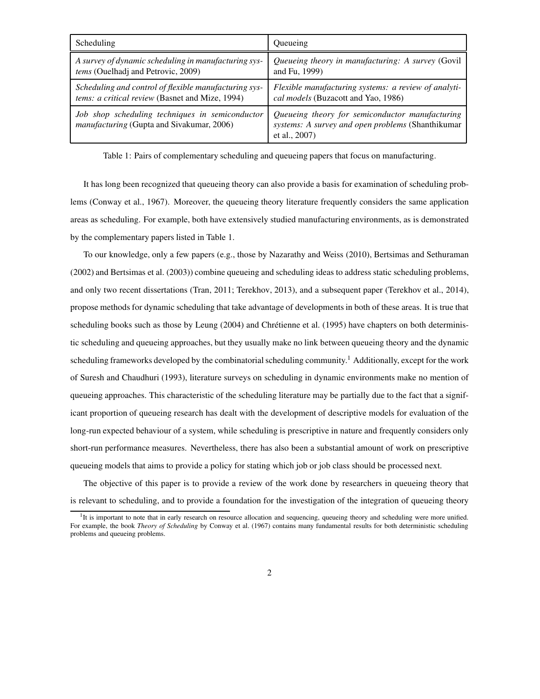| Scheduling                                                                                          | Oueueing                                                                                                              |
|-----------------------------------------------------------------------------------------------------|-----------------------------------------------------------------------------------------------------------------------|
| A survey of dynamic scheduling in manufacturing sys-                                                | Queueing theory in manufacturing: A survey (Govil                                                                     |
| tems (Ouelhadj and Petrovic, 2009)                                                                  | and Fu, 1999)                                                                                                         |
| Scheduling and control of flexible manufacturing sys-                                               | Flexible manufacturing systems: a review of analyti-                                                                  |
| tems: a critical review (Basnet and Mize, 1994)                                                     | cal models (Buzacott and Yao, 1986)                                                                                   |
| Job shop scheduling techniques in semiconductor<br><i>manufacturing</i> (Gupta and Sivakumar, 2006) | Queueing theory for semiconductor manufacturing<br>systems: A survey and open problems (Shanthikumar<br>et al., 2007) |

Table 1: Pairs of complementary scheduling and queueing papers that focus on manufacturing.

It has long been recognized that queueing theory can also provide a basis for examination of scheduling problems (Conway et al., 1967). Moreover, the queueing theory literature frequently considers the same application areas as scheduling. For example, both have extensively studied manufacturing environments, as is demonstrated by the complementary papers listed in Table 1.

To our knowledge, only a few papers (e.g., those by Nazarathy and Weiss (2010), Bertsimas and Sethuraman (2002) and Bertsimas et al. (2003)) combine queueing and scheduling ideas to address static scheduling problems, and only two recent dissertations (Tran, 2011; Terekhov, 2013), and a subsequent paper (Terekhov et al., 2014), propose methods for dynamic scheduling that take advantage of developments in both of these areas. It is true that scheduling books such as those by Leung (2004) and Chrétienne et al. (1995) have chapters on both deterministic scheduling and queueing approaches, but they usually make no link between queueing theory and the dynamic scheduling frameworks developed by the combinatorial scheduling community.<sup>1</sup> Additionally, except for the work of Suresh and Chaudhuri (1993), literature surveys on scheduling in dynamic environments make no mention of queueing approaches. This characteristic of the scheduling literature may be partially due to the fact that a significant proportion of queueing research has dealt with the development of descriptive models for evaluation of the long-run expected behaviour of a system, while scheduling is prescriptive in nature and frequently considers only short-run performance measures. Nevertheless, there has also been a substantial amount of work on prescriptive queueing models that aims to provide a policy for stating which job or job class should be processed next.

The objective of this paper is to provide a review of the work done by researchers in queueing theory that is relevant to scheduling, and to provide a foundation for the investigation of the integration of queueing theory

<sup>&</sup>lt;sup>1</sup>It is important to note that in early research on resource allocation and sequencing, queueing theory and scheduling were more unified. For example, the book *Theory of Scheduling* by Conway et al. (1967) contains many fundamental results for both deterministic scheduling problems and queueing problems.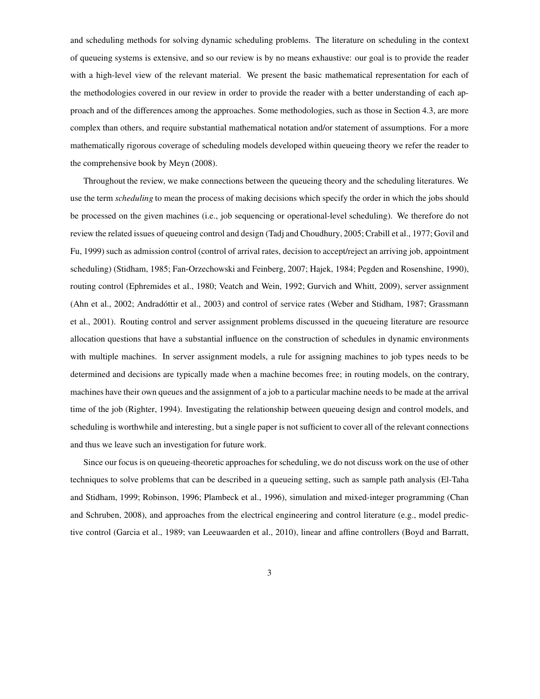and scheduling methods for solving dynamic scheduling problems. The literature on scheduling in the context of queueing systems is extensive, and so our review is by no means exhaustive: our goal is to provide the reader with a high-level view of the relevant material. We present the basic mathematical representation for each of the methodologies covered in our review in order to provide the reader with a better understanding of each approach and of the differences among the approaches. Some methodologies, such as those in Section 4.3, are more complex than others, and require substantial mathematical notation and/or statement of assumptions. For a more mathematically rigorous coverage of scheduling models developed within queueing theory we refer the reader to the comprehensive book by Meyn (2008).

Throughout the review, we make connections between the queueing theory and the scheduling literatures. We use the term *scheduling* to mean the process of making decisions which specify the order in which the jobs should be processed on the given machines (i.e., job sequencing or operational-level scheduling). We therefore do not review the related issues of queueing control and design (Tadj and Choudhury, 2005; Crabill et al., 1977; Govil and Fu, 1999) such as admission control (control of arrival rates, decision to accept/reject an arriving job, appointment scheduling) (Stidham, 1985; Fan-Orzechowski and Feinberg, 2007; Hajek, 1984; Pegden and Rosenshine, 1990), routing control (Ephremides et al., 1980; Veatch and Wein, 1992; Gurvich and Whitt, 2009), server assignment (Ahn et al., 2002; Andradóttir et al., 2003) and control of service rates (Weber and Stidham, 1987; Grassmann et al., 2001). Routing control and server assignment problems discussed in the queueing literature are resource allocation questions that have a substantial influence on the construction of schedules in dynamic environments with multiple machines. In server assignment models, a rule for assigning machines to job types needs to be determined and decisions are typically made when a machine becomes free; in routing models, on the contrary, machines have their own queues and the assignment of a job to a particular machine needs to be made at the arrival time of the job (Righter, 1994). Investigating the relationship between queueing design and control models, and scheduling is worthwhile and interesting, but a single paper is not sufficient to cover all of the relevant connections and thus we leave such an investigation for future work.

Since our focus is on queueing-theoretic approaches for scheduling, we do not discuss work on the use of other techniques to solve problems that can be described in a queueing setting, such as sample path analysis (El-Taha and Stidham, 1999; Robinson, 1996; Plambeck et al., 1996), simulation and mixed-integer programming (Chan and Schruben, 2008), and approaches from the electrical engineering and control literature (e.g., model predictive control (Garcia et al., 1989; van Leeuwaarden et al., 2010), linear and affine controllers (Boyd and Barratt,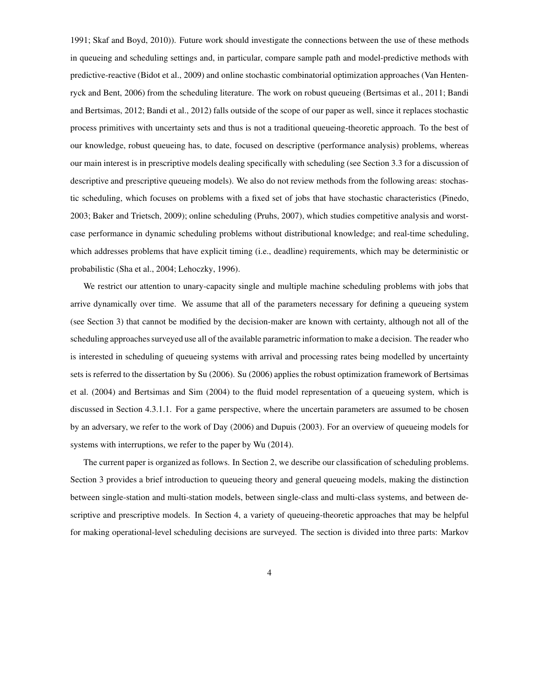1991; Skaf and Boyd, 2010)). Future work should investigate the connections between the use of these methods in queueing and scheduling settings and, in particular, compare sample path and model-predictive methods with predictive-reactive (Bidot et al., 2009) and online stochastic combinatorial optimization approaches (Van Hentenryck and Bent, 2006) from the scheduling literature. The work on robust queueing (Bertsimas et al., 2011; Bandi and Bertsimas, 2012; Bandi et al., 2012) falls outside of the scope of our paper as well, since it replaces stochastic process primitives with uncertainty sets and thus is not a traditional queueing-theoretic approach. To the best of our knowledge, robust queueing has, to date, focused on descriptive (performance analysis) problems, whereas our main interest is in prescriptive models dealing specifically with scheduling (see Section 3.3 for a discussion of descriptive and prescriptive queueing models). We also do not review methods from the following areas: stochastic scheduling, which focuses on problems with a fixed set of jobs that have stochastic characteristics (Pinedo, 2003; Baker and Trietsch, 2009); online scheduling (Pruhs, 2007), which studies competitive analysis and worstcase performance in dynamic scheduling problems without distributional knowledge; and real-time scheduling, which addresses problems that have explicit timing (i.e., deadline) requirements, which may be deterministic or probabilistic (Sha et al., 2004; Lehoczky, 1996).

We restrict our attention to unary-capacity single and multiple machine scheduling problems with jobs that arrive dynamically over time. We assume that all of the parameters necessary for defining a queueing system (see Section 3) that cannot be modified by the decision-maker are known with certainty, although not all of the scheduling approaches surveyed use all of the available parametric information to make a decision. The reader who is interested in scheduling of queueing systems with arrival and processing rates being modelled by uncertainty sets is referred to the dissertation by Su (2006). Su (2006) applies the robust optimization framework of Bertsimas et al. (2004) and Bertsimas and Sim (2004) to the fluid model representation of a queueing system, which is discussed in Section 4.3.1.1. For a game perspective, where the uncertain parameters are assumed to be chosen by an adversary, we refer to the work of Day (2006) and Dupuis (2003). For an overview of queueing models for systems with interruptions, we refer to the paper by Wu (2014).

The current paper is organized as follows. In Section 2, we describe our classification of scheduling problems. Section 3 provides a brief introduction to queueing theory and general queueing models, making the distinction between single-station and multi-station models, between single-class and multi-class systems, and between descriptive and prescriptive models. In Section 4, a variety of queueing-theoretic approaches that may be helpful for making operational-level scheduling decisions are surveyed. The section is divided into three parts: Markov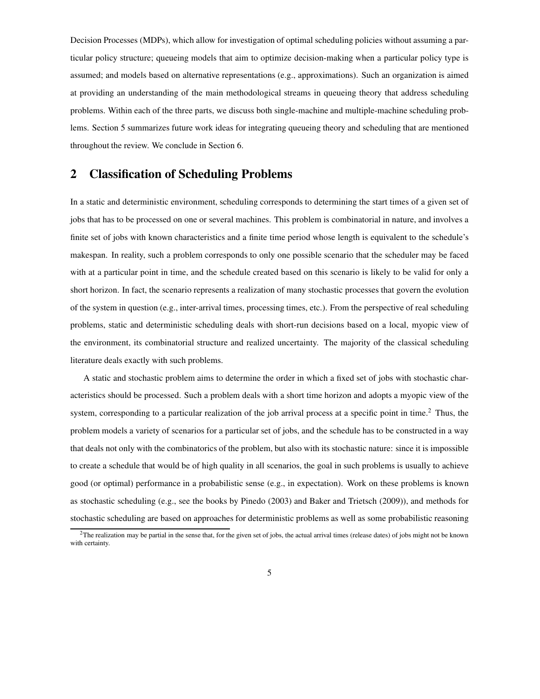Decision Processes (MDPs), which allow for investigation of optimal scheduling policies without assuming a particular policy structure; queueing models that aim to optimize decision-making when a particular policy type is assumed; and models based on alternative representations (e.g., approximations). Such an organization is aimed at providing an understanding of the main methodological streams in queueing theory that address scheduling problems. Within each of the three parts, we discuss both single-machine and multiple-machine scheduling problems. Section 5 summarizes future work ideas for integrating queueing theory and scheduling that are mentioned throughout the review. We conclude in Section 6.

# 2 Classification of Scheduling Problems

In a static and deterministic environment, scheduling corresponds to determining the start times of a given set of jobs that has to be processed on one or several machines. This problem is combinatorial in nature, and involves a finite set of jobs with known characteristics and a finite time period whose length is equivalent to the schedule's makespan. In reality, such a problem corresponds to only one possible scenario that the scheduler may be faced with at a particular point in time, and the schedule created based on this scenario is likely to be valid for only a short horizon. In fact, the scenario represents a realization of many stochastic processes that govern the evolution of the system in question (e.g., inter-arrival times, processing times, etc.). From the perspective of real scheduling problems, static and deterministic scheduling deals with short-run decisions based on a local, myopic view of the environment, its combinatorial structure and realized uncertainty. The majority of the classical scheduling literature deals exactly with such problems.

A static and stochastic problem aims to determine the order in which a fixed set of jobs with stochastic characteristics should be processed. Such a problem deals with a short time horizon and adopts a myopic view of the system, corresponding to a particular realization of the job arrival process at a specific point in time.<sup>2</sup> Thus, the problem models a variety of scenarios for a particular set of jobs, and the schedule has to be constructed in a way that deals not only with the combinatorics of the problem, but also with its stochastic nature: since it is impossible to create a schedule that would be of high quality in all scenarios, the goal in such problems is usually to achieve good (or optimal) performance in a probabilistic sense (e.g., in expectation). Work on these problems is known as stochastic scheduling (e.g., see the books by Pinedo (2003) and Baker and Trietsch (2009)), and methods for stochastic scheduling are based on approaches for deterministic problems as well as some probabilistic reasoning

<sup>&</sup>lt;sup>2</sup>The realization may be partial in the sense that, for the given set of jobs, the actual arrival times (release dates) of jobs might not be known with certainty.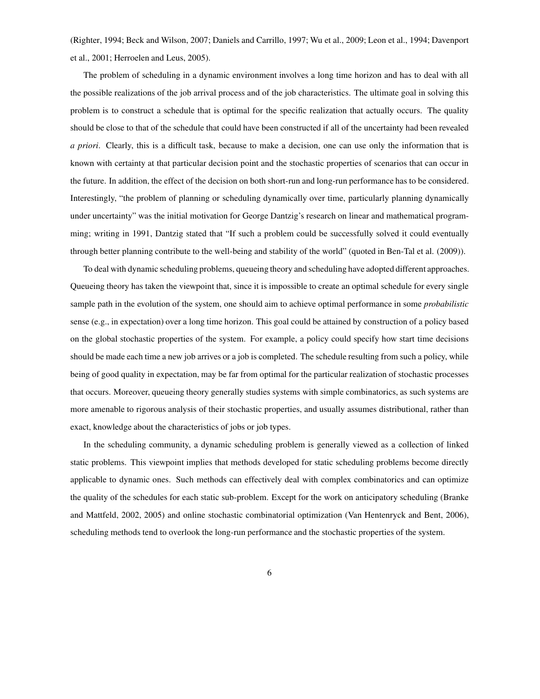(Righter, 1994; Beck and Wilson, 2007; Daniels and Carrillo, 1997; Wu et al., 2009; Leon et al., 1994; Davenport et al., 2001; Herroelen and Leus, 2005).

The problem of scheduling in a dynamic environment involves a long time horizon and has to deal with all the possible realizations of the job arrival process and of the job characteristics. The ultimate goal in solving this problem is to construct a schedule that is optimal for the specific realization that actually occurs. The quality should be close to that of the schedule that could have been constructed if all of the uncertainty had been revealed *a priori*. Clearly, this is a difficult task, because to make a decision, one can use only the information that is known with certainty at that particular decision point and the stochastic properties of scenarios that can occur in the future. In addition, the effect of the decision on both short-run and long-run performance has to be considered. Interestingly, "the problem of planning or scheduling dynamically over time, particularly planning dynamically under uncertainty" was the initial motivation for George Dantzig's research on linear and mathematical programming; writing in 1991, Dantzig stated that "If such a problem could be successfully solved it could eventually through better planning contribute to the well-being and stability of the world" (quoted in Ben-Tal et al. (2009)).

To deal with dynamic scheduling problems, queueing theory and scheduling have adopted different approaches. Queueing theory has taken the viewpoint that, since it is impossible to create an optimal schedule for every single sample path in the evolution of the system, one should aim to achieve optimal performance in some *probabilistic* sense (e.g., in expectation) over a long time horizon. This goal could be attained by construction of a policy based on the global stochastic properties of the system. For example, a policy could specify how start time decisions should be made each time a new job arrives or a job is completed. The schedule resulting from such a policy, while being of good quality in expectation, may be far from optimal for the particular realization of stochastic processes that occurs. Moreover, queueing theory generally studies systems with simple combinatorics, as such systems are more amenable to rigorous analysis of their stochastic properties, and usually assumes distributional, rather than exact, knowledge about the characteristics of jobs or job types.

In the scheduling community, a dynamic scheduling problem is generally viewed as a collection of linked static problems. This viewpoint implies that methods developed for static scheduling problems become directly applicable to dynamic ones. Such methods can effectively deal with complex combinatorics and can optimize the quality of the schedules for each static sub-problem. Except for the work on anticipatory scheduling (Branke and Mattfeld, 2002, 2005) and online stochastic combinatorial optimization (Van Hentenryck and Bent, 2006), scheduling methods tend to overlook the long-run performance and the stochastic properties of the system.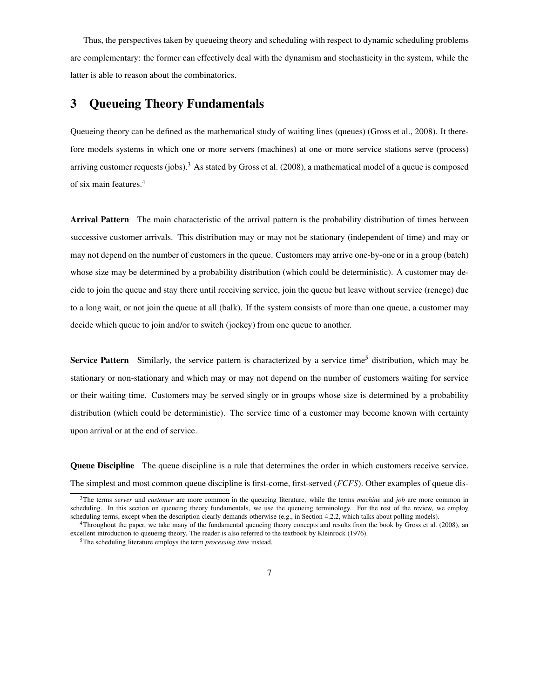Thus, the perspectives taken by queueing theory and scheduling with respect to dynamic scheduling problems are complementary: the former can effectively deal with the dynamism and stochasticity in the system, while the latter is able to reason about the combinatorics.

# 3 Queueing Theory Fundamentals

Queueing theory can be defined as the mathematical study of waiting lines (queues) (Gross et al., 2008). It therefore models systems in which one or more servers (machines) at one or more service stations serve (process) arriving customer requests (jobs).<sup>3</sup> As stated by Gross et al. (2008), a mathematical model of a queue is composed of six main features.<sup>4</sup>

Arrival Pattern The main characteristic of the arrival pattern is the probability distribution of times between successive customer arrivals. This distribution may or may not be stationary (independent of time) and may or may not depend on the number of customers in the queue. Customers may arrive one-by-one or in a group (batch) whose size may be determined by a probability distribution (which could be deterministic). A customer may decide to join the queue and stay there until receiving service, join the queue but leave without service (renege) due to a long wait, or not join the queue at all (balk). If the system consists of more than one queue, a customer may decide which queue to join and/or to switch (jockey) from one queue to another.

**Service Pattern** Similarly, the service pattern is characterized by a service time<sup>5</sup> distribution, which may be stationary or non-stationary and which may or may not depend on the number of customers waiting for service or their waiting time. Customers may be served singly or in groups whose size is determined by a probability distribution (which could be deterministic). The service time of a customer may become known with certainty upon arrival or at the end of service.

Queue Discipline The queue discipline is a rule that determines the order in which customers receive service. The simplest and most common queue discipline is first-come, first-served (*FCFS*). Other examples of queue dis-

<sup>3</sup>The terms *server* and *customer* are more common in the queueing literature, while the terms *machine* and *job* are more common in scheduling. In this section on queueing theory fundamentals, we use the queueing terminology. For the rest of the review, we employ scheduling terms, except when the description clearly demands otherwise (e.g., in Section 4.2.2, which talks about polling models).

<sup>4</sup>Throughout the paper, we take many of the fundamental queueing theory concepts and results from the book by Gross et al. (2008), an excellent introduction to queueing theory. The reader is also referred to the textbook by Kleinrock (1976).

<sup>5</sup>The scheduling literature employs the term *processing time* instead.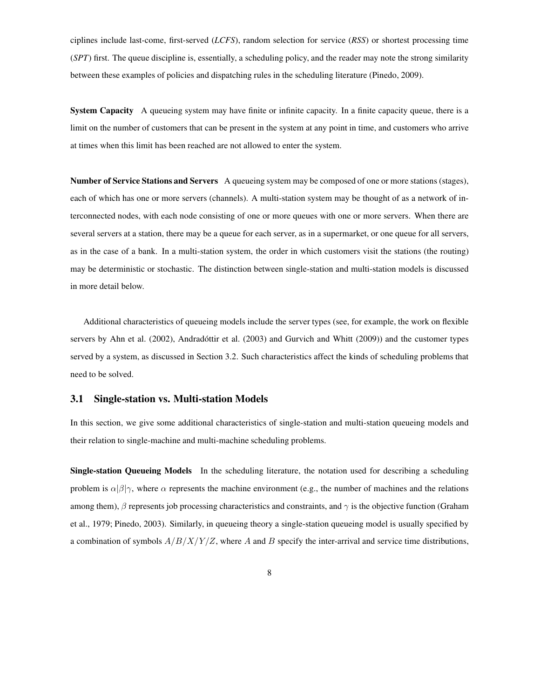ciplines include last-come, first-served (*LCFS*), random selection for service (*RSS*) or shortest processing time (*SPT*) first. The queue discipline is, essentially, a scheduling policy, and the reader may note the strong similarity between these examples of policies and dispatching rules in the scheduling literature (Pinedo, 2009).

System Capacity A queueing system may have finite or infinite capacity. In a finite capacity queue, there is a limit on the number of customers that can be present in the system at any point in time, and customers who arrive at times when this limit has been reached are not allowed to enter the system.

Number of Service Stations and Servers A queueing system may be composed of one or more stations (stages), each of which has one or more servers (channels). A multi-station system may be thought of as a network of interconnected nodes, with each node consisting of one or more queues with one or more servers. When there are several servers at a station, there may be a queue for each server, as in a supermarket, or one queue for all servers, as in the case of a bank. In a multi-station system, the order in which customers visit the stations (the routing) may be deterministic or stochastic. The distinction between single-station and multi-station models is discussed in more detail below.

Additional characteristics of queueing models include the server types (see, for example, the work on flexible servers by Ahn et al. (2002), Andradóttir et al. (2003) and Gurvich and Whitt (2009)) and the customer types served by a system, as discussed in Section 3.2. Such characteristics affect the kinds of scheduling problems that need to be solved.

### 3.1 Single-station vs. Multi-station Models

In this section, we give some additional characteristics of single-station and multi-station queueing models and their relation to single-machine and multi-machine scheduling problems.

Single-station Queueing Models In the scheduling literature, the notation used for describing a scheduling problem is  $\alpha|\beta|\gamma$ , where  $\alpha$  represents the machine environment (e.g., the number of machines and the relations among them),  $\beta$  represents job processing characteristics and constraints, and  $\gamma$  is the objective function (Graham et al., 1979; Pinedo, 2003). Similarly, in queueing theory a single-station queueing model is usually specified by a combination of symbols  $A/B/X/Y/Z$ , where A and B specify the inter-arrival and service time distributions,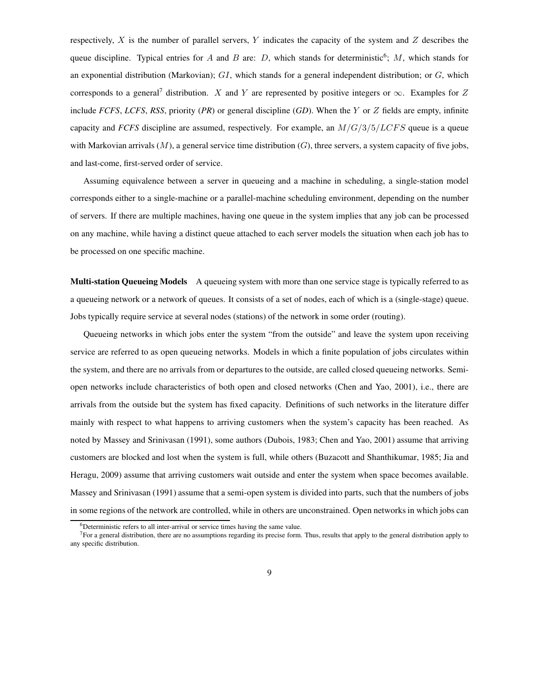respectively, X is the number of parallel servers, Y indicates the capacity of the system and Z describes the queue discipline. Typical entries for A and B are: D, which stands for deterministic<sup>6</sup>; M, which stands for an exponential distribution (Markovian);  $GI$ , which stands for a general independent distribution; or  $G$ , which corresponds to a general<sup>7</sup> distribution. X and Y are represented by positive integers or  $\infty$ . Examples for Z include *FCFS*, *LCFS*, *RSS*, priority (*PR*) or general discipline (*GD*). When the Y or Z fields are empty, infinite capacity and *FCFS* discipline are assumed, respectively. For example, an  $M/G/3/5/LCFS$  queue is a queue with Markovian arrivals  $(M)$ , a general service time distribution  $(G)$ , three servers, a system capacity of five jobs, and last-come, first-served order of service.

Assuming equivalence between a server in queueing and a machine in scheduling, a single-station model corresponds either to a single-machine or a parallel-machine scheduling environment, depending on the number of servers. If there are multiple machines, having one queue in the system implies that any job can be processed on any machine, while having a distinct queue attached to each server models the situation when each job has to be processed on one specific machine.

Multi-station Queueing Models A queueing system with more than one service stage is typically referred to as a queueing network or a network of queues. It consists of a set of nodes, each of which is a (single-stage) queue. Jobs typically require service at several nodes (stations) of the network in some order (routing).

Queueing networks in which jobs enter the system "from the outside" and leave the system upon receiving service are referred to as open queueing networks. Models in which a finite population of jobs circulates within the system, and there are no arrivals from or departures to the outside, are called closed queueing networks. Semiopen networks include characteristics of both open and closed networks (Chen and Yao, 2001), i.e., there are arrivals from the outside but the system has fixed capacity. Definitions of such networks in the literature differ mainly with respect to what happens to arriving customers when the system's capacity has been reached. As noted by Massey and Srinivasan (1991), some authors (Dubois, 1983; Chen and Yao, 2001) assume that arriving customers are blocked and lost when the system is full, while others (Buzacott and Shanthikumar, 1985; Jia and Heragu, 2009) assume that arriving customers wait outside and enter the system when space becomes available. Massey and Srinivasan (1991) assume that a semi-open system is divided into parts, such that the numbers of jobs in some regions of the network are controlled, while in others are unconstrained. Open networks in which jobs can

 $6$ Deterministic refers to all inter-arrival or service times having the same value.

 $<sup>7</sup>$  For a general distribution, there are no assumptions regarding its precise form. Thus, results that apply to the general distribution apply to</sup> any specific distribution.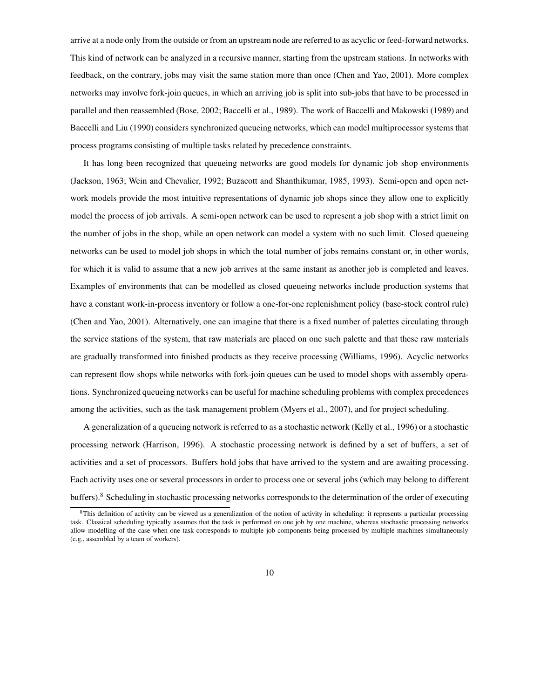arrive at a node only from the outside or from an upstream node are referred to as acyclic or feed-forward networks. This kind of network can be analyzed in a recursive manner, starting from the upstream stations. In networks with feedback, on the contrary, jobs may visit the same station more than once (Chen and Yao, 2001). More complex networks may involve fork-join queues, in which an arriving job is split into sub-jobs that have to be processed in parallel and then reassembled (Bose, 2002; Baccelli et al., 1989). The work of Baccelli and Makowski (1989) and Baccelli and Liu (1990) considers synchronized queueing networks, which can model multiprocessor systems that process programs consisting of multiple tasks related by precedence constraints.

It has long been recognized that queueing networks are good models for dynamic job shop environments (Jackson, 1963; Wein and Chevalier, 1992; Buzacott and Shanthikumar, 1985, 1993). Semi-open and open network models provide the most intuitive representations of dynamic job shops since they allow one to explicitly model the process of job arrivals. A semi-open network can be used to represent a job shop with a strict limit on the number of jobs in the shop, while an open network can model a system with no such limit. Closed queueing networks can be used to model job shops in which the total number of jobs remains constant or, in other words, for which it is valid to assume that a new job arrives at the same instant as another job is completed and leaves. Examples of environments that can be modelled as closed queueing networks include production systems that have a constant work-in-process inventory or follow a one-for-one replenishment policy (base-stock control rule) (Chen and Yao, 2001). Alternatively, one can imagine that there is a fixed number of palettes circulating through the service stations of the system, that raw materials are placed on one such palette and that these raw materials are gradually transformed into finished products as they receive processing (Williams, 1996). Acyclic networks can represent flow shops while networks with fork-join queues can be used to model shops with assembly operations. Synchronized queueing networks can be useful for machine scheduling problems with complex precedences among the activities, such as the task management problem (Myers et al., 2007), and for project scheduling.

A generalization of a queueing network is referred to as a stochastic network (Kelly et al., 1996) or a stochastic processing network (Harrison, 1996). A stochastic processing network is defined by a set of buffers, a set of activities and a set of processors. Buffers hold jobs that have arrived to the system and are awaiting processing. Each activity uses one or several processors in order to process one or several jobs (which may belong to different buffers).<sup>8</sup> Scheduling in stochastic processing networks corresponds to the determination of the order of executing

<sup>&</sup>lt;sup>8</sup>This definition of activity can be viewed as a generalization of the notion of activity in scheduling: it represents a particular processing task. Classical scheduling typically assumes that the task is performed on one job by one machine, whereas stochastic processing networks allow modelling of the case when one task corresponds to multiple job components being processed by multiple machines simultaneously (e.g., assembled by a team of workers).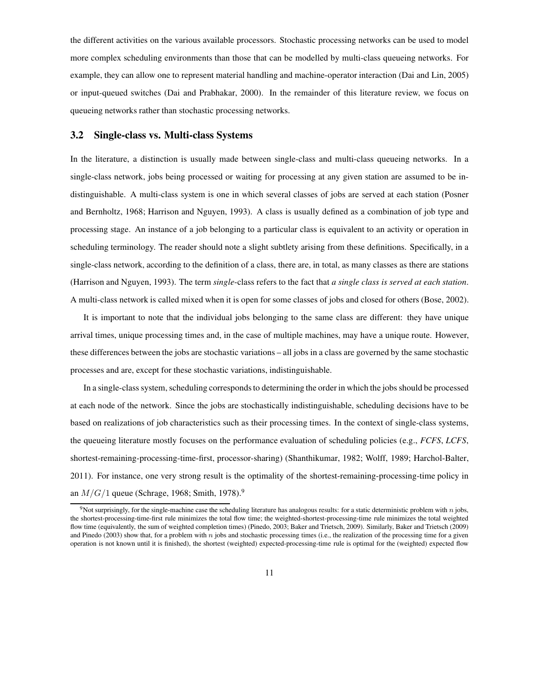the different activities on the various available processors. Stochastic processing networks can be used to model more complex scheduling environments than those that can be modelled by multi-class queueing networks. For example, they can allow one to represent material handling and machine-operator interaction (Dai and Lin, 2005) or input-queued switches (Dai and Prabhakar, 2000). In the remainder of this literature review, we focus on queueing networks rather than stochastic processing networks.

### 3.2 Single-class vs. Multi-class Systems

In the literature, a distinction is usually made between single-class and multi-class queueing networks. In a single-class network, jobs being processed or waiting for processing at any given station are assumed to be indistinguishable. A multi-class system is one in which several classes of jobs are served at each station (Posner and Bernholtz, 1968; Harrison and Nguyen, 1993). A class is usually defined as a combination of job type and processing stage. An instance of a job belonging to a particular class is equivalent to an activity or operation in scheduling terminology. The reader should note a slight subtlety arising from these definitions. Specifically, in a single-class network, according to the definition of a class, there are, in total, as many classes as there are stations (Harrison and Nguyen, 1993). The term *single*-class refers to the fact that *a single class is served at each station*. A multi-class network is called mixed when it is open for some classes of jobs and closed for others (Bose, 2002).

It is important to note that the individual jobs belonging to the same class are different: they have unique arrival times, unique processing times and, in the case of multiple machines, may have a unique route. However, these differences between the jobs are stochastic variations – all jobs in a class are governed by the same stochastic processes and are, except for these stochastic variations, indistinguishable.

In a single-class system, scheduling corresponds to determining the order in which the jobs should be processed at each node of the network. Since the jobs are stochastically indistinguishable, scheduling decisions have to be based on realizations of job characteristics such as their processing times. In the context of single-class systems, the queueing literature mostly focuses on the performance evaluation of scheduling policies (e.g., *FCFS*, *LCFS*, shortest-remaining-processing-time-first, processor-sharing) (Shanthikumar, 1982; Wolff, 1989; Harchol-Balter, 2011). For instance, one very strong result is the optimality of the shortest-remaining-processing-time policy in an  $M/G/1$  queue (Schrage, 1968; Smith, 1978).<sup>9</sup>

<sup>&</sup>lt;sup>9</sup>Not surprisingly, for the single-machine case the scheduling literature has analogous results: for a static deterministic problem with n jobs, the shortest-processing-time-first rule minimizes the total flow time; the weighted-shortest-processing-time rule minimizes the total weighted flow time (equivalently, the sum of weighted completion times) (Pinedo, 2003; Baker and Trietsch, 2009). Similarly, Baker and Trietsch (2009) and Pinedo (2003) show that, for a problem with n jobs and stochastic processing times (i.e., the realization of the processing time for a given operation is not known until it is finished), the shortest (weighted) expected-processing-time rule is optimal for the (weighted) expected flow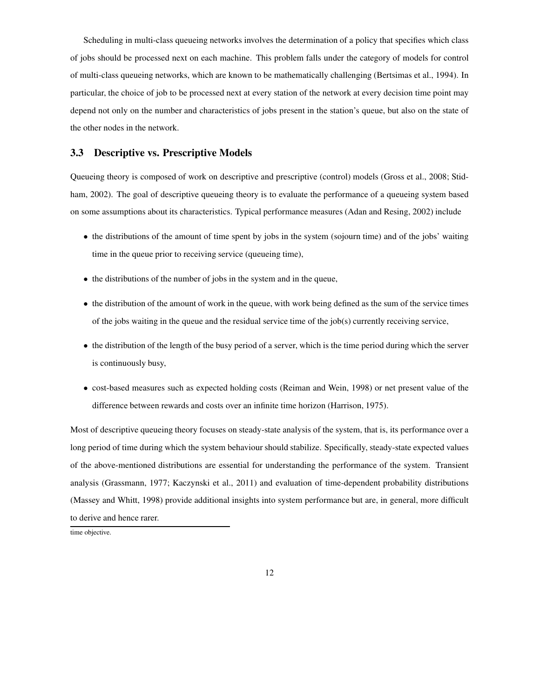Scheduling in multi-class queueing networks involves the determination of a policy that specifies which class of jobs should be processed next on each machine. This problem falls under the category of models for control of multi-class queueing networks, which are known to be mathematically challenging (Bertsimas et al., 1994). In particular, the choice of job to be processed next at every station of the network at every decision time point may depend not only on the number and characteristics of jobs present in the station's queue, but also on the state of the other nodes in the network.

# 3.3 Descriptive vs. Prescriptive Models

Queueing theory is composed of work on descriptive and prescriptive (control) models (Gross et al., 2008; Stidham, 2002). The goal of descriptive queueing theory is to evaluate the performance of a queueing system based on some assumptions about its characteristics. Typical performance measures (Adan and Resing, 2002) include

- the distributions of the amount of time spent by jobs in the system (sojourn time) and of the jobs' waiting time in the queue prior to receiving service (queueing time),
- the distributions of the number of jobs in the system and in the queue,
- the distribution of the amount of work in the queue, with work being defined as the sum of the service times of the jobs waiting in the queue and the residual service time of the job(s) currently receiving service,
- the distribution of the length of the busy period of a server, which is the time period during which the server is continuously busy,
- cost-based measures such as expected holding costs (Reiman and Wein, 1998) or net present value of the difference between rewards and costs over an infinite time horizon (Harrison, 1975).

Most of descriptive queueing theory focuses on steady-state analysis of the system, that is, its performance over a long period of time during which the system behaviour should stabilize. Specifically, steady-state expected values of the above-mentioned distributions are essential for understanding the performance of the system. Transient analysis (Grassmann, 1977; Kaczynski et al., 2011) and evaluation of time-dependent probability distributions (Massey and Whitt, 1998) provide additional insights into system performance but are, in general, more difficult to derive and hence rarer.

time objective.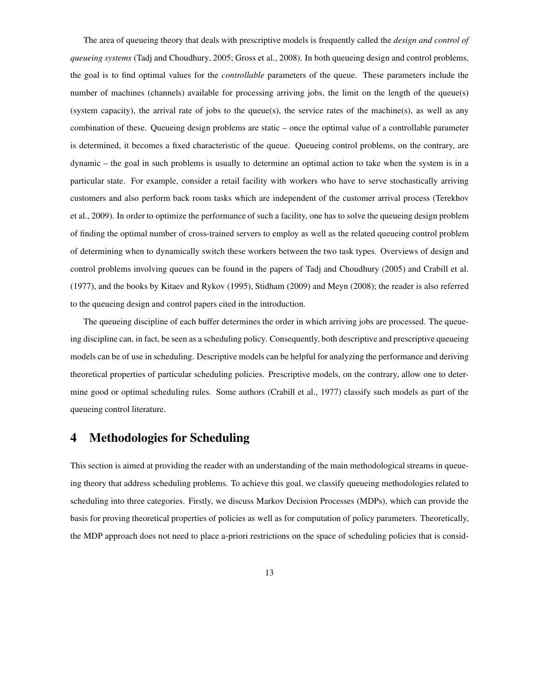The area of queueing theory that deals with prescriptive models is frequently called the *design and control of queueing systems* (Tadj and Choudhury, 2005; Gross et al., 2008). In both queueing design and control problems, the goal is to find optimal values for the *controllable* parameters of the queue. These parameters include the number of machines (channels) available for processing arriving jobs, the limit on the length of the queue(s) (system capacity), the arrival rate of jobs to the queue(s), the service rates of the machine(s), as well as any combination of these. Queueing design problems are static – once the optimal value of a controllable parameter is determined, it becomes a fixed characteristic of the queue. Queueing control problems, on the contrary, are dynamic – the goal in such problems is usually to determine an optimal action to take when the system is in a particular state. For example, consider a retail facility with workers who have to serve stochastically arriving customers and also perform back room tasks which are independent of the customer arrival process (Terekhov et al., 2009). In order to optimize the performance of such a facility, one has to solve the queueing design problem of finding the optimal number of cross-trained servers to employ as well as the related queueing control problem of determining when to dynamically switch these workers between the two task types. Overviews of design and control problems involving queues can be found in the papers of Tadj and Choudhury (2005) and Crabill et al. (1977), and the books by Kitaev and Rykov (1995), Stidham (2009) and Meyn (2008); the reader is also referred to the queueing design and control papers cited in the introduction.

The queueing discipline of each buffer determines the order in which arriving jobs are processed. The queueing discipline can, in fact, be seen as a scheduling policy. Consequently, both descriptive and prescriptive queueing models can be of use in scheduling. Descriptive models can be helpful for analyzing the performance and deriving theoretical properties of particular scheduling policies. Prescriptive models, on the contrary, allow one to determine good or optimal scheduling rules. Some authors (Crabill et al., 1977) classify such models as part of the queueing control literature.

# 4 Methodologies for Scheduling

This section is aimed at providing the reader with an understanding of the main methodological streams in queueing theory that address scheduling problems. To achieve this goal, we classify queueing methodologies related to scheduling into three categories. Firstly, we discuss Markov Decision Processes (MDPs), which can provide the basis for proving theoretical properties of policies as well as for computation of policy parameters. Theoretically, the MDP approach does not need to place a-priori restrictions on the space of scheduling policies that is consid-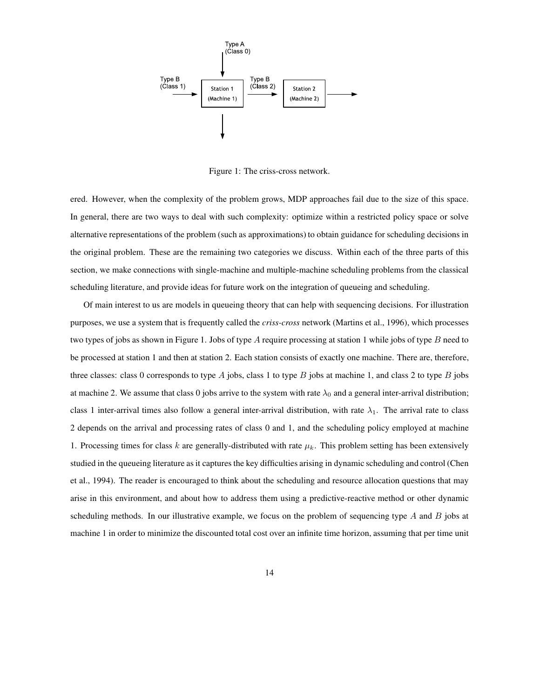

Figure 1: The criss-cross network.

ered. However, when the complexity of the problem grows, MDP approaches fail due to the size of this space. In general, there are two ways to deal with such complexity: optimize within a restricted policy space or solve alternative representations of the problem (such as approximations) to obtain guidance for scheduling decisions in the original problem. These are the remaining two categories we discuss. Within each of the three parts of this section, we make connections with single-machine and multiple-machine scheduling problems from the classical scheduling literature, and provide ideas for future work on the integration of queueing and scheduling.

Of main interest to us are models in queueing theory that can help with sequencing decisions. For illustration purposes, we use a system that is frequently called the *criss-cross* network (Martins et al., 1996), which processes two types of jobs as shown in Figure 1. Jobs of type A require processing at station 1 while jobs of type  $B$  need to be processed at station 1 and then at station 2. Each station consists of exactly one machine. There are, therefore, three classes: class 0 corresponds to type A jobs, class 1 to type B jobs at machine 1, and class 2 to type B jobs at machine 2. We assume that class 0 jobs arrive to the system with rate  $\lambda_0$  and a general inter-arrival distribution; class 1 inter-arrival times also follow a general inter-arrival distribution, with rate  $\lambda_1$ . The arrival rate to class 2 depends on the arrival and processing rates of class 0 and 1, and the scheduling policy employed at machine 1. Processing times for class k are generally-distributed with rate  $\mu_k$ . This problem setting has been extensively studied in the queueing literature as it captures the key difficulties arising in dynamic scheduling and control (Chen et al., 1994). The reader is encouraged to think about the scheduling and resource allocation questions that may arise in this environment, and about how to address them using a predictive-reactive method or other dynamic scheduling methods. In our illustrative example, we focus on the problem of sequencing type A and B jobs at machine 1 in order to minimize the discounted total cost over an infinite time horizon, assuming that per time unit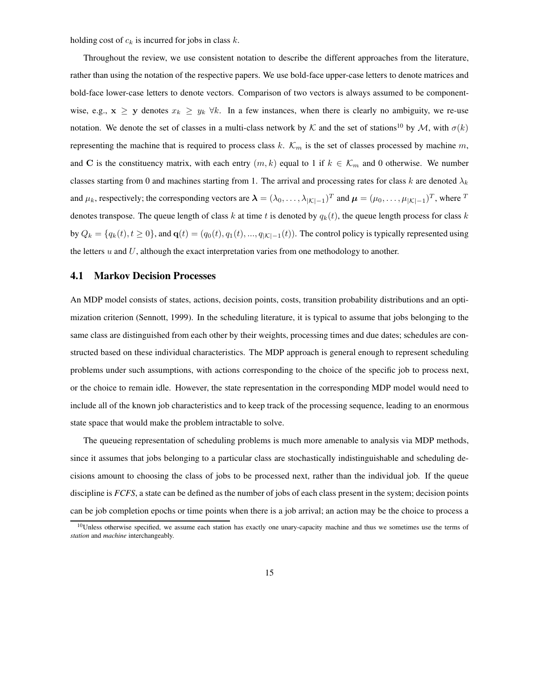holding cost of  $c_k$  is incurred for jobs in class  $k$ .

Throughout the review, we use consistent notation to describe the different approaches from the literature, rather than using the notation of the respective papers. We use bold-face upper-case letters to denote matrices and bold-face lower-case letters to denote vectors. Comparison of two vectors is always assumed to be componentwise, e.g.,  $x \ge y$  denotes  $x_k \ge y_k \forall k$ . In a few instances, when there is clearly no ambiguity, we re-use notation. We denote the set of classes in a multi-class network by K and the set of stations<sup>10</sup> by M, with  $\sigma(k)$ representing the machine that is required to process class k.  $\mathcal{K}_m$  is the set of classes processed by machine m, and C is the constituency matrix, with each entry  $(m, k)$  equal to 1 if  $k \in \mathcal{K}_m$  and 0 otherwise. We number classes starting from 0 and machines starting from 1. The arrival and processing rates for class k are denoted  $\lambda_k$ and  $\mu_k$ , respectively; the corresponding vectors are  $\boldsymbol{\lambda} = (\lambda_0, \dots, \lambda_{|\mathcal{K}|-1})^T$  and  $\boldsymbol{\mu} = (\mu_0, \dots, \mu_{|\mathcal{K}|-1})^T$ , where  $^T$ denotes transpose. The queue length of class k at time t is denoted by  $q_k(t)$ , the queue length process for class k by  $Q_k = \{q_k(t), t \ge 0\}$ , and  $\mathbf{q}(t) = (q_0(t), q_1(t), ..., q_{|\mathcal{K}|-1}(t))$ . The control policy is typically represented using the letters  $u$  and  $U$ , although the exact interpretation varies from one methodology to another.

# 4.1 Markov Decision Processes

An MDP model consists of states, actions, decision points, costs, transition probability distributions and an optimization criterion (Sennott, 1999). In the scheduling literature, it is typical to assume that jobs belonging to the same class are distinguished from each other by their weights, processing times and due dates; schedules are constructed based on these individual characteristics. The MDP approach is general enough to represent scheduling problems under such assumptions, with actions corresponding to the choice of the specific job to process next, or the choice to remain idle. However, the state representation in the corresponding MDP model would need to include all of the known job characteristics and to keep track of the processing sequence, leading to an enormous state space that would make the problem intractable to solve.

The queueing representation of scheduling problems is much more amenable to analysis via MDP methods, since it assumes that jobs belonging to a particular class are stochastically indistinguishable and scheduling decisions amount to choosing the class of jobs to be processed next, rather than the individual job. If the queue discipline is *FCFS*, a state can be defined as the number of jobs of each class present in the system; decision points can be job completion epochs or time points when there is a job arrival; an action may be the choice to process a

<sup>&</sup>lt;sup>10</sup>Unless otherwise specified, we assume each station has exactly one unary-capacity machine and thus we sometimes use the terms of *station* and *machine* interchangeably.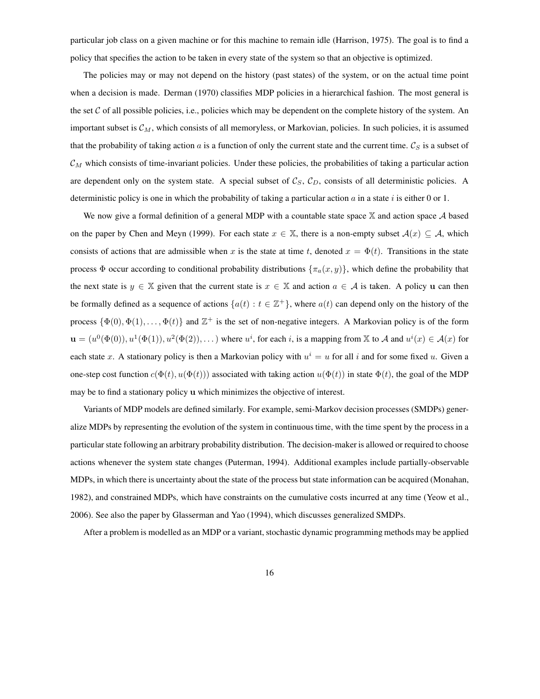particular job class on a given machine or for this machine to remain idle (Harrison, 1975). The goal is to find a policy that specifies the action to be taken in every state of the system so that an objective is optimized.

The policies may or may not depend on the history (past states) of the system, or on the actual time point when a decision is made. Derman (1970) classifies MDP policies in a hierarchical fashion. The most general is the set  $C$  of all possible policies, i.e., policies which may be dependent on the complete history of the system. An important subset is  $\mathcal{C}_M$ , which consists of all memoryless, or Markovian, policies. In such policies, it is assumed that the probability of taking action a is a function of only the current state and the current time.  $C_S$  is a subset of  $\mathcal{C}_M$  which consists of time-invariant policies. Under these policies, the probabilities of taking a particular action are dependent only on the system state. A special subset of  $\mathcal{C}_S$ ,  $\mathcal{C}_D$ , consists of all deterministic policies. A deterministic policy is one in which the probability of taking a particular action  $a$  in a state  $i$  is either 0 or 1.

We now give a formal definition of a general MDP with a countable state space  $X$  and action space  $A$  based on the paper by Chen and Meyn (1999). For each state  $x \in \mathbb{X}$ , there is a non-empty subset  $\mathcal{A}(x) \subseteq \mathcal{A}$ , which consists of actions that are admissible when x is the state at time t, denoted  $x = \Phi(t)$ . Transitions in the state process  $\Phi$  occur according to conditional probability distributions  $\{\pi_a(x, y)\}\,$ , which define the probability that the next state is  $y \in \mathbb{X}$  given that the current state is  $x \in \mathbb{X}$  and action  $a \in \mathcal{A}$  is taken. A policy u can then be formally defined as a sequence of actions  $\{a(t): t \in \mathbb{Z}^+\}$ , where  $a(t)$  can depend only on the history of the process  $\{\Phi(0), \Phi(1), \ldots, \Phi(t)\}\$  and  $\mathbb{Z}^+$  is the set of non-negative integers. A Markovian policy is of the form  $\mathbf{u} = (u^0(\Phi(0)), u^1(\Phi(1)), u^2(\Phi(2)), \dots)$  where  $u^i$ , for each i, is a mapping from X to A and  $u^i(x) \in \mathcal{A}(x)$  for each state x. A stationary policy is then a Markovian policy with  $u^i = u$  for all i and for some fixed u. Given a one-step cost function  $c(\Phi(t), u(\Phi(t)))$  associated with taking action  $u(\Phi(t))$  in state  $\Phi(t)$ , the goal of the MDP may be to find a stationary policy u which minimizes the objective of interest.

Variants of MDP models are defined similarly. For example, semi-Markov decision processes (SMDPs) generalize MDPs by representing the evolution of the system in continuous time, with the time spent by the process in a particular state following an arbitrary probability distribution. The decision-maker is allowed or required to choose actions whenever the system state changes (Puterman, 1994). Additional examples include partially-observable MDPs, in which there is uncertainty about the state of the process but state information can be acquired (Monahan, 1982), and constrained MDPs, which have constraints on the cumulative costs incurred at any time (Yeow et al., 2006). See also the paper by Glasserman and Yao (1994), which discusses generalized SMDPs.

After a problem is modelled as an MDP or a variant, stochastic dynamic programming methods may be applied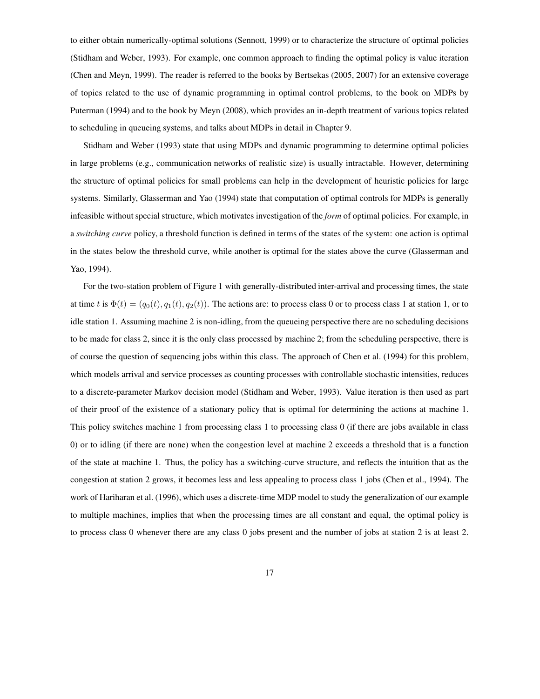to either obtain numerically-optimal solutions (Sennott, 1999) or to characterize the structure of optimal policies (Stidham and Weber, 1993). For example, one common approach to finding the optimal policy is value iteration (Chen and Meyn, 1999). The reader is referred to the books by Bertsekas (2005, 2007) for an extensive coverage of topics related to the use of dynamic programming in optimal control problems, to the book on MDPs by Puterman (1994) and to the book by Meyn (2008), which provides an in-depth treatment of various topics related to scheduling in queueing systems, and talks about MDPs in detail in Chapter 9.

Stidham and Weber (1993) state that using MDPs and dynamic programming to determine optimal policies in large problems (e.g., communication networks of realistic size) is usually intractable. However, determining the structure of optimal policies for small problems can help in the development of heuristic policies for large systems. Similarly, Glasserman and Yao (1994) state that computation of optimal controls for MDPs is generally infeasible without special structure, which motivates investigation of the *form* of optimal policies. For example, in a *switching curve* policy, a threshold function is defined in terms of the states of the system: one action is optimal in the states below the threshold curve, while another is optimal for the states above the curve (Glasserman and Yao, 1994).

For the two-station problem of Figure 1 with generally-distributed inter-arrival and processing times, the state at time t is  $\Phi(t) = (q_0(t), q_1(t), q_2(t))$ . The actions are: to process class 0 or to process class 1 at station 1, or to idle station 1. Assuming machine 2 is non-idling, from the queueing perspective there are no scheduling decisions to be made for class 2, since it is the only class processed by machine 2; from the scheduling perspective, there is of course the question of sequencing jobs within this class. The approach of Chen et al. (1994) for this problem, which models arrival and service processes as counting processes with controllable stochastic intensities, reduces to a discrete-parameter Markov decision model (Stidham and Weber, 1993). Value iteration is then used as part of their proof of the existence of a stationary policy that is optimal for determining the actions at machine 1. This policy switches machine 1 from processing class 1 to processing class 0 (if there are jobs available in class 0) or to idling (if there are none) when the congestion level at machine 2 exceeds a threshold that is a function of the state at machine 1. Thus, the policy has a switching-curve structure, and reflects the intuition that as the congestion at station 2 grows, it becomes less and less appealing to process class 1 jobs (Chen et al., 1994). The work of Hariharan et al. (1996), which uses a discrete-time MDP model to study the generalization of our example to multiple machines, implies that when the processing times are all constant and equal, the optimal policy is to process class 0 whenever there are any class 0 jobs present and the number of jobs at station 2 is at least 2.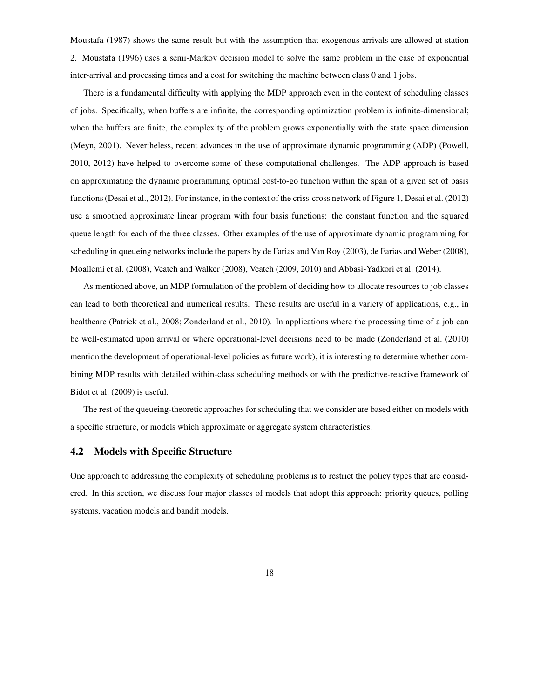Moustafa (1987) shows the same result but with the assumption that exogenous arrivals are allowed at station 2. Moustafa (1996) uses a semi-Markov decision model to solve the same problem in the case of exponential inter-arrival and processing times and a cost for switching the machine between class 0 and 1 jobs.

There is a fundamental difficulty with applying the MDP approach even in the context of scheduling classes of jobs. Specifically, when buffers are infinite, the corresponding optimization problem is infinite-dimensional; when the buffers are finite, the complexity of the problem grows exponentially with the state space dimension (Meyn, 2001). Nevertheless, recent advances in the use of approximate dynamic programming (ADP) (Powell, 2010, 2012) have helped to overcome some of these computational challenges. The ADP approach is based on approximating the dynamic programming optimal cost-to-go function within the span of a given set of basis functions (Desai et al., 2012). For instance, in the context of the criss-cross network of Figure 1, Desai et al. (2012) use a smoothed approximate linear program with four basis functions: the constant function and the squared queue length for each of the three classes. Other examples of the use of approximate dynamic programming for scheduling in queueing networks include the papers by de Farias and Van Roy (2003), de Farias and Weber (2008), Moallemi et al. (2008), Veatch and Walker (2008), Veatch (2009, 2010) and Abbasi-Yadkori et al. (2014).

As mentioned above, an MDP formulation of the problem of deciding how to allocate resources to job classes can lead to both theoretical and numerical results. These results are useful in a variety of applications, e.g., in healthcare (Patrick et al., 2008; Zonderland et al., 2010). In applications where the processing time of a job can be well-estimated upon arrival or where operational-level decisions need to be made (Zonderland et al. (2010) mention the development of operational-level policies as future work), it is interesting to determine whether combining MDP results with detailed within-class scheduling methods or with the predictive-reactive framework of Bidot et al. (2009) is useful.

The rest of the queueing-theoretic approaches for scheduling that we consider are based either on models with a specific structure, or models which approximate or aggregate system characteristics.

### 4.2 Models with Specific Structure

One approach to addressing the complexity of scheduling problems is to restrict the policy types that are considered. In this section, we discuss four major classes of models that adopt this approach: priority queues, polling systems, vacation models and bandit models.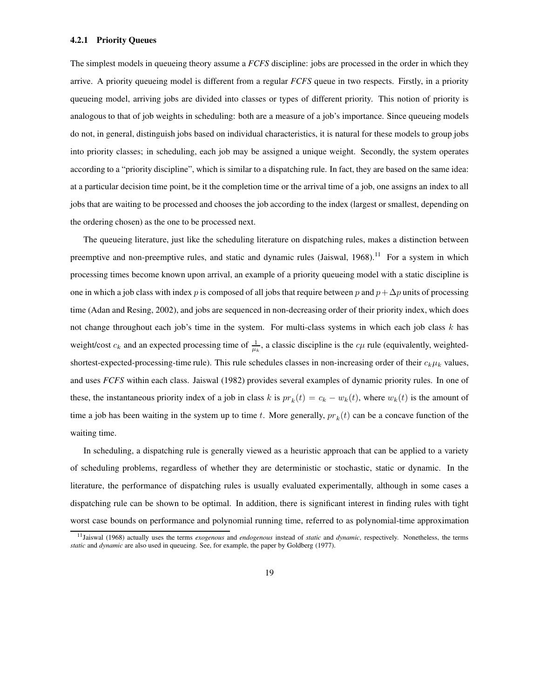#### 4.2.1 Priority Queues

The simplest models in queueing theory assume a *FCFS* discipline: jobs are processed in the order in which they arrive. A priority queueing model is different from a regular *FCFS* queue in two respects. Firstly, in a priority queueing model, arriving jobs are divided into classes or types of different priority. This notion of priority is analogous to that of job weights in scheduling: both are a measure of a job's importance. Since queueing models do not, in general, distinguish jobs based on individual characteristics, it is natural for these models to group jobs into priority classes; in scheduling, each job may be assigned a unique weight. Secondly, the system operates according to a "priority discipline", which is similar to a dispatching rule. In fact, they are based on the same idea: at a particular decision time point, be it the completion time or the arrival time of a job, one assigns an index to all jobs that are waiting to be processed and chooses the job according to the index (largest or smallest, depending on the ordering chosen) as the one to be processed next.

The queueing literature, just like the scheduling literature on dispatching rules, makes a distinction between preemptive and non-preemptive rules, and static and dynamic rules (Jaiswal, 1968).<sup>11</sup> For a system in which processing times become known upon arrival, an example of a priority queueing model with a static discipline is one in which a job class with index p is composed of all jobs that require between p and  $p + \Delta p$  units of processing time (Adan and Resing, 2002), and jobs are sequenced in non-decreasing order of their priority index, which does not change throughout each job's time in the system. For multi-class systems in which each job class k has weight/cost  $c_k$  and an expected processing time of  $\frac{1}{\mu_k}$ , a classic discipline is the  $c\mu$  rule (equivalently, weightedshortest-expected-processing-time rule). This rule schedules classes in non-increasing order of their  $c_k\mu_k$  values, and uses *FCFS* within each class. Jaiswal (1982) provides several examples of dynamic priority rules. In one of these, the instantaneous priority index of a job in class k is  $pr_k(t) = c_k - w_k(t)$ , where  $w_k(t)$  is the amount of time a job has been waiting in the system up to time t. More generally,  $pr_k(t)$  can be a concave function of the waiting time.

In scheduling, a dispatching rule is generally viewed as a heuristic approach that can be applied to a variety of scheduling problems, regardless of whether they are deterministic or stochastic, static or dynamic. In the literature, the performance of dispatching rules is usually evaluated experimentally, although in some cases a dispatching rule can be shown to be optimal. In addition, there is significant interest in finding rules with tight worst case bounds on performance and polynomial running time, referred to as polynomial-time approximation

<sup>11</sup>Jaiswal (1968) actually uses the terms *exogenous* and *endogenous* instead of *static* and *dynamic*, respectively. Nonetheless, the terms *static* and *dynamic* are also used in queueing. See, for example, the paper by Goldberg (1977).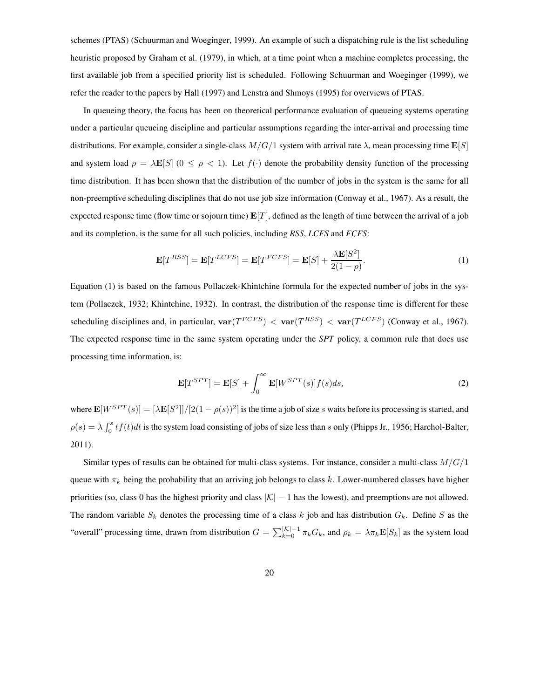schemes (PTAS) (Schuurman and Woeginger, 1999). An example of such a dispatching rule is the list scheduling heuristic proposed by Graham et al. (1979), in which, at a time point when a machine completes processing, the first available job from a specified priority list is scheduled. Following Schuurman and Woeginger (1999), we refer the reader to the papers by Hall (1997) and Lenstra and Shmoys (1995) for overviews of PTAS.

In queueing theory, the focus has been on theoretical performance evaluation of queueing systems operating under a particular queueing discipline and particular assumptions regarding the inter-arrival and processing time distributions. For example, consider a single-class  $M/G/1$  system with arrival rate  $\lambda$ , mean processing time  $\mathbf{E}[S]$ and system load  $\rho = \lambda \mathbf{E}[S]$  ( $0 \le \rho < 1$ ). Let  $f(\cdot)$  denote the probability density function of the processing time distribution. It has been shown that the distribution of the number of jobs in the system is the same for all non-preemptive scheduling disciplines that do not use job size information (Conway et al., 1967). As a result, the expected response time (flow time or sojourn time)  $\mathbf{E}[T]$ , defined as the length of time between the arrival of a job and its completion, is the same for all such policies, including *RSS*, *LCFS* and *FCFS*:

$$
\mathbf{E}[T^{RSS}] = \mathbf{E}[T^{LCFS}] = \mathbf{E}[T^{FCFS}] = \mathbf{E}[S] + \frac{\lambda \mathbf{E}[S^2]}{2(1-\rho)}.
$$
\n(1)

Equation (1) is based on the famous Pollaczek-Khintchine formula for the expected number of jobs in the system (Pollaczek, 1932; Khintchine, 1932). In contrast, the distribution of the response time is different for these scheduling disciplines and, in particular,  $var(T^{FCFS}) < var(T^{RSS}) < var(T^{LCFS})$  (Conway et al., 1967). The expected response time in the same system operating under the *SPT* policy, a common rule that does use processing time information, is:

$$
\mathbf{E}[T^{SPT}] = \mathbf{E}[S] + \int_0^\infty \mathbf{E}[W^{SPT}(s)]f(s)ds,
$$
\n(2)

where  $\mathbf{E}[W^{SPT}(s)] = [\lambda \mathbf{E}[S^2]]/[2(1-\rho(s))^2]$  is the time a job of size s waits before its processing is started, and  $\rho(s) = \lambda \int_0^s t f(t) dt$  is the system load consisting of jobs of size less than s only (Phipps Jr., 1956; Harchol-Balter, 2011).

Similar types of results can be obtained for multi-class systems. For instance, consider a multi-class  $M/G/1$ queue with  $\pi_k$  being the probability that an arriving job belongs to class k. Lower-numbered classes have higher priorities (so, class 0 has the highest priority and class  $|K| - 1$  has the lowest), and preemptions are not allowed. The random variable  $S_k$  denotes the processing time of a class k job and has distribution  $G_k$ . Define S as the "overall" processing time, drawn from distribution  $G = \sum_{k=0}^{\lvert \mathcal{K} \rvert-1} \pi_k G_k$ , and  $\rho_k = \lambda \pi_k \mathbf{E}[S_k]$  as the system load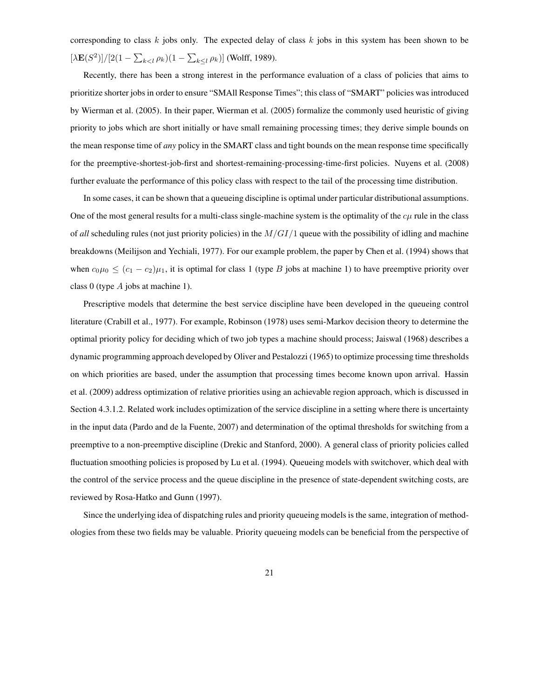corresponding to class  $k$  jobs only. The expected delay of class  $k$  jobs in this system has been shown to be  $[\lambda \mathbf{E}(S^2)]/[2(1-\sum_{k\leq l} \rho_k)(1-\sum_{k\leq l} \rho_k)]$  (Wolff, 1989).

Recently, there has been a strong interest in the performance evaluation of a class of policies that aims to prioritize shorter jobs in order to ensure "SMAll Response Times"; this class of "SMART" policies was introduced by Wierman et al. (2005). In their paper, Wierman et al. (2005) formalize the commonly used heuristic of giving priority to jobs which are short initially or have small remaining processing times; they derive simple bounds on the mean response time of *any* policy in the SMART class and tight bounds on the mean response time specifically for the preemptive-shortest-job-first and shortest-remaining-processing-time-first policies. Nuyens et al. (2008) further evaluate the performance of this policy class with respect to the tail of the processing time distribution.

In some cases, it can be shown that a queueing discipline is optimal under particular distributional assumptions. One of the most general results for a multi-class single-machine system is the optimality of the  $c\mu$  rule in the class of *all* scheduling rules (not just priority policies) in the M/GI/1 queue with the possibility of idling and machine breakdowns (Meilijson and Yechiali, 1977). For our example problem, the paper by Chen et al. (1994) shows that when  $c_0\mu_0 \leq (c_1 - c_2)\mu_1$ , it is optimal for class 1 (type B jobs at machine 1) to have preemptive priority over class 0 (type  $A$  jobs at machine 1).

Prescriptive models that determine the best service discipline have been developed in the queueing control literature (Crabill et al., 1977). For example, Robinson (1978) uses semi-Markov decision theory to determine the optimal priority policy for deciding which of two job types a machine should process; Jaiswal (1968) describes a dynamic programming approach developed by Oliver and Pestalozzi (1965) to optimize processing time thresholds on which priorities are based, under the assumption that processing times become known upon arrival. Hassin et al. (2009) address optimization of relative priorities using an achievable region approach, which is discussed in Section 4.3.1.2. Related work includes optimization of the service discipline in a setting where there is uncertainty in the input data (Pardo and de la Fuente, 2007) and determination of the optimal thresholds for switching from a preemptive to a non-preemptive discipline (Drekic and Stanford, 2000). A general class of priority policies called fluctuation smoothing policies is proposed by Lu et al. (1994). Queueing models with switchover, which deal with the control of the service process and the queue discipline in the presence of state-dependent switching costs, are reviewed by Rosa-Hatko and Gunn (1997).

Since the underlying idea of dispatching rules and priority queueing models is the same, integration of methodologies from these two fields may be valuable. Priority queueing models can be beneficial from the perspective of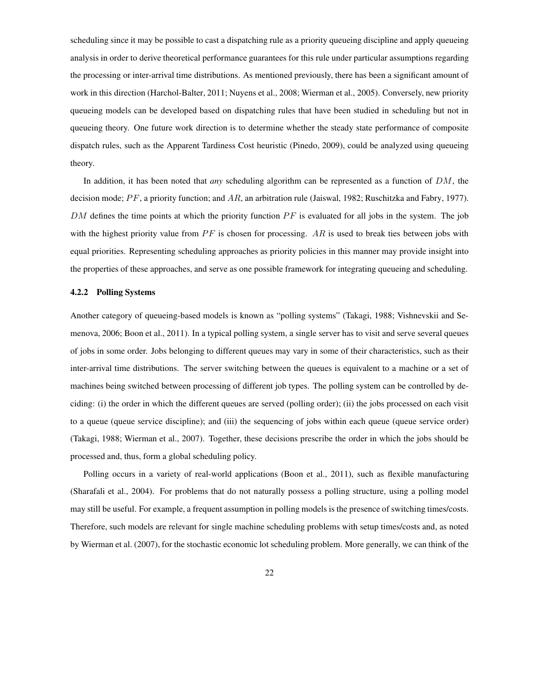scheduling since it may be possible to cast a dispatching rule as a priority queueing discipline and apply queueing analysis in order to derive theoretical performance guarantees for this rule under particular assumptions regarding the processing or inter-arrival time distributions. As mentioned previously, there has been a significant amount of work in this direction (Harchol-Balter, 2011; Nuyens et al., 2008; Wierman et al., 2005). Conversely, new priority queueing models can be developed based on dispatching rules that have been studied in scheduling but not in queueing theory. One future work direction is to determine whether the steady state performance of composite dispatch rules, such as the Apparent Tardiness Cost heuristic (Pinedo, 2009), could be analyzed using queueing theory.

In addition, it has been noted that *any* scheduling algorithm can be represented as a function of DM, the decision mode;  $PF$ , a priority function; and AR, an arbitration rule (Jaiswal, 1982; Ruschitzka and Fabry, 1977). DM defines the time points at which the priority function  $PF$  is evaluated for all jobs in the system. The job with the highest priority value from  $PF$  is chosen for processing. AR is used to break ties between jobs with equal priorities. Representing scheduling approaches as priority policies in this manner may provide insight into the properties of these approaches, and serve as one possible framework for integrating queueing and scheduling.

#### 4.2.2 Polling Systems

Another category of queueing-based models is known as "polling systems" (Takagi, 1988; Vishnevskii and Semenova, 2006; Boon et al., 2011). In a typical polling system, a single server has to visit and serve several queues of jobs in some order. Jobs belonging to different queues may vary in some of their characteristics, such as their inter-arrival time distributions. The server switching between the queues is equivalent to a machine or a set of machines being switched between processing of different job types. The polling system can be controlled by deciding: (i) the order in which the different queues are served (polling order); (ii) the jobs processed on each visit to a queue (queue service discipline); and (iii) the sequencing of jobs within each queue (queue service order) (Takagi, 1988; Wierman et al., 2007). Together, these decisions prescribe the order in which the jobs should be processed and, thus, form a global scheduling policy.

Polling occurs in a variety of real-world applications (Boon et al., 2011), such as flexible manufacturing (Sharafali et al., 2004). For problems that do not naturally possess a polling structure, using a polling model may still be useful. For example, a frequent assumption in polling models is the presence of switching times/costs. Therefore, such models are relevant for single machine scheduling problems with setup times/costs and, as noted by Wierman et al. (2007), for the stochastic economic lot scheduling problem. More generally, we can think of the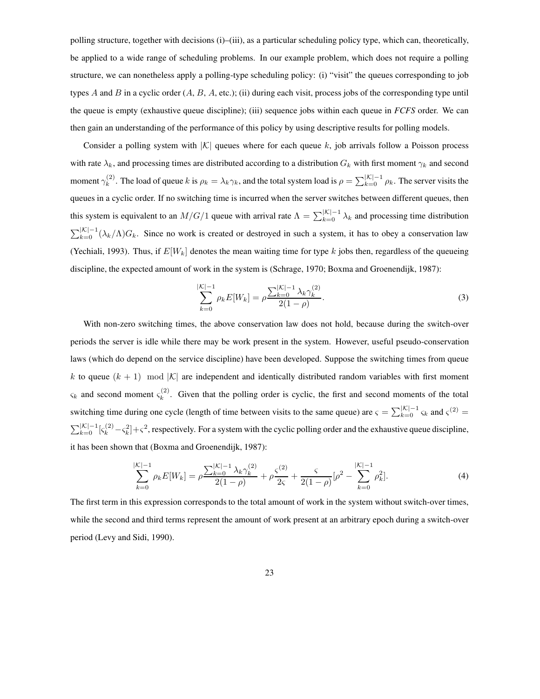polling structure, together with decisions (i)–(iii), as a particular scheduling policy type, which can, theoretically, be applied to a wide range of scheduling problems. In our example problem, which does not require a polling structure, we can nonetheless apply a polling-type scheduling policy: (i) "visit" the queues corresponding to job types A and B in a cyclic order  $(A, B, A, \text{etc.})$ ; (ii) during each visit, process jobs of the corresponding type until the queue is empty (exhaustive queue discipline); (iii) sequence jobs within each queue in *FCFS* order. We can then gain an understanding of the performance of this policy by using descriptive results for polling models.

Consider a polling system with  $|\mathcal{K}|$  queues where for each queue k, job arrivals follow a Poisson process with rate  $\lambda_k$ , and processing times are distributed according to a distribution  $G_k$  with first moment  $\gamma_k$  and second moment  $\gamma_k^{(2)}$  $k^{(2)}_k$ . The load of queue k is  $\rho_k = \lambda_k \gamma_k$ , and the total system load is  $\rho = \sum_{k=0}^{|K|-1} \rho_k$ . The server visits the queues in a cyclic order. If no switching time is incurred when the server switches between different queues, then this system is equivalent to an  $M/G/1$  queue with arrival rate  $\Lambda = \sum_{k=0}^{|\mathcal{K}|-1} \lambda_k$  and processing time distribution  $\sum_{k=0}^{\lvert\mathcal{K}\rvert-1} (\lambda_k/\Lambda)G_k$ . Since no work is created or destroyed in such a system, it has to obey a conservation law (Yechiali, 1993). Thus, if  $E[W_k]$  denotes the mean waiting time for type k jobs then, regardless of the queueing discipline, the expected amount of work in the system is (Schrage, 1970; Boxma and Groenendijk, 1987):

$$
\sum_{k=0}^{|\mathcal{K}|-1} \rho_k E[W_k] = \rho \frac{\sum_{k=0}^{|\mathcal{K}|-1} \lambda_k \gamma_k^{(2)}}{2(1-\rho)}.
$$
\n(3)

With non-zero switching times, the above conservation law does not hold, because during the switch-over periods the server is idle while there may be work present in the system. However, useful pseudo-conservation laws (which do depend on the service discipline) have been developed. Suppose the switching times from queue k to queue  $(k + 1) \mod |K|$  are independent and identically distributed random variables with first moment  $\varsigma_k$  and second moment  $\varsigma_k^{(2)}$  $k<sup>(2)</sup>$ . Given that the polling order is cyclic, the first and second moments of the total switching time during one cycle (length of time between visits to the same queue) are  $\zeta = \sum_{k=0}^{\vert \mathcal{K} \vert - 1} \zeta_k$  and  $\zeta^{(2)} =$  $\sum_{k=0}^{\lvert\mathcal{K}\rvert-1} [\varsigma_k^{(2)} - \varsigma_k^2] + \varsigma^2$ , respectively. For a system with the cyclic polling order and the exhaustive queue discipline, it has been shown that (Boxma and Groenendijk, 1987):

$$
\sum_{k=0}^{|\mathcal{K}|-1} \rho_k E[W_k] = \rho \frac{\sum_{k=0}^{|\mathcal{K}|-1} \lambda_k \gamma_k^{(2)}}{2(1-\rho)} + \rho \frac{\varsigma^{(2)}}{2\varsigma} + \frac{\varsigma}{2(1-\rho)} [\rho^2 - \sum_{k=0}^{|\mathcal{K}|-1} \rho_k^2]. \tag{4}
$$

The first term in this expression corresponds to the total amount of work in the system without switch-over times, while the second and third terms represent the amount of work present at an arbitrary epoch during a switch-over period (Levy and Sidi, 1990).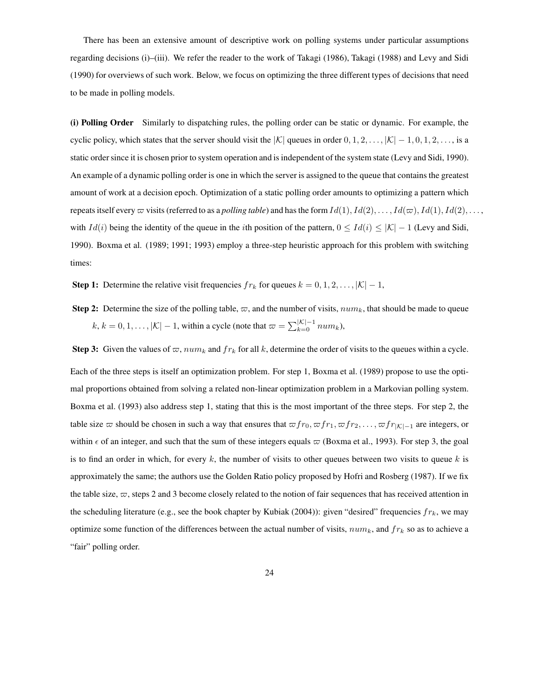There has been an extensive amount of descriptive work on polling systems under particular assumptions regarding decisions (i)–(iii). We refer the reader to the work of Takagi (1986), Takagi (1988) and Levy and Sidi (1990) for overviews of such work. Below, we focus on optimizing the three different types of decisions that need to be made in polling models.

(i) Polling Order Similarly to dispatching rules, the polling order can be static or dynamic. For example, the cyclic policy, which states that the server should visit the  $|K|$  queues in order  $0, 1, 2, \ldots, |K| - 1, 0, 1, 2, \ldots$ , is a static order since it is chosen prior to system operation and is independent of the system state (Levy and Sidi, 1990). An example of a dynamic polling order is one in which the server is assigned to the queue that contains the greatest amount of work at a decision epoch. Optimization of a static polling order amounts to optimizing a pattern which repeats itself every  $\varpi$  visits (referred to as a *polling table*) and has the form  $Id(1)$ ,  $Id(2)$ , ...,  $Id(\varpi)$ ,  $Id(1)$ ,  $Id(2)$ , ..., with  $Id(i)$  being the identity of the queue in the *i*th position of the pattern,  $0 \leq Id(i) \leq |\mathcal{K}| - 1$  (Levy and Sidi, 1990). Boxma et al. (1989; 1991; 1993) employ a three-step heuristic approach for this problem with switching times:

**Step 1:** Determine the relative visit frequencies  $fr_k$  for queues  $k = 0, 1, 2, ..., |\mathcal{K}| - 1$ ,

**Step 2:** Determine the size of the polling table,  $\varpi$ , and the number of visits,  $num_k$ , that should be made to queue  $k, k = 0, 1, \ldots, |\mathcal{K}| - 1$ , within a cycle (note that  $\varpi = \sum_{k=0}^{|\mathcal{K}| - 1} num_k$ ),

**Step 3:** Given the values of  $\varpi$ ,  $num_k$  and  $fr_k$  for all k, determine the order of visits to the queues within a cycle. Each of the three steps is itself an optimization problem. For step 1, Boxma et al. (1989) propose to use the optimal proportions obtained from solving a related non-linear optimization problem in a Markovian polling system. Boxma et al. (1993) also address step 1, stating that this is the most important of the three steps. For step 2, the table size  $\varpi$  should be chosen in such a way that ensures that  $\varpi fr_0, \varpi fr_1, \varpi fr_2, \ldots, \varpi fr_{|\mathcal{K}|-1}$  are integers, or within  $\epsilon$  of an integer, and such that the sum of these integers equals  $\varpi$  (Boxma et al., 1993). For step 3, the goal is to find an order in which, for every k, the number of visits to other queues between two visits to queue k is approximately the same; the authors use the Golden Ratio policy proposed by Hofri and Rosberg (1987). If we fix the table size,  $\varpi$ , steps 2 and 3 become closely related to the notion of fair sequences that has received attention in the scheduling literature (e.g., see the book chapter by Kubiak (2004)): given "desired" frequencies  $fr_k$ , we may optimize some function of the differences between the actual number of visits,  $num_k$ , and  $fr_k$  so as to achieve a "fair" polling order.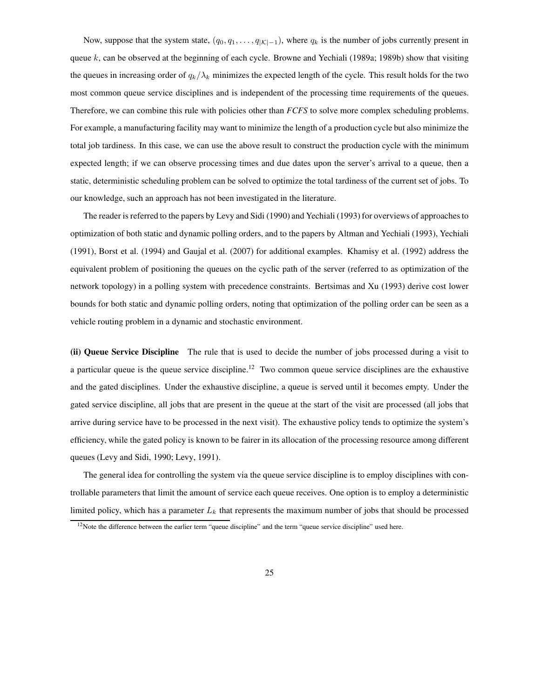Now, suppose that the system state,  $(q_0, q_1, \ldots, q_{|\mathcal{K}|-1})$ , where  $q_k$  is the number of jobs currently present in queue k, can be observed at the beginning of each cycle. Browne and Yechiali (1989a; 1989b) show that visiting the queues in increasing order of  $q_k/\lambda_k$  minimizes the expected length of the cycle. This result holds for the two most common queue service disciplines and is independent of the processing time requirements of the queues. Therefore, we can combine this rule with policies other than *FCFS* to solve more complex scheduling problems. For example, a manufacturing facility may want to minimize the length of a production cycle but also minimize the total job tardiness. In this case, we can use the above result to construct the production cycle with the minimum expected length; if we can observe processing times and due dates upon the server's arrival to a queue, then a static, deterministic scheduling problem can be solved to optimize the total tardiness of the current set of jobs. To our knowledge, such an approach has not been investigated in the literature.

The reader is referred to the papers by Levy and Sidi (1990) and Yechiali (1993) for overviews of approaches to optimization of both static and dynamic polling orders, and to the papers by Altman and Yechiali (1993), Yechiali (1991), Borst et al. (1994) and Gaujal et al. (2007) for additional examples. Khamisy et al. (1992) address the equivalent problem of positioning the queues on the cyclic path of the server (referred to as optimization of the network topology) in a polling system with precedence constraints. Bertsimas and Xu (1993) derive cost lower bounds for both static and dynamic polling orders, noting that optimization of the polling order can be seen as a vehicle routing problem in a dynamic and stochastic environment.

(ii) Queue Service Discipline The rule that is used to decide the number of jobs processed during a visit to a particular queue is the queue service discipline.<sup>12</sup> Two common queue service disciplines are the exhaustive and the gated disciplines. Under the exhaustive discipline, a queue is served until it becomes empty. Under the gated service discipline, all jobs that are present in the queue at the start of the visit are processed (all jobs that arrive during service have to be processed in the next visit). The exhaustive policy tends to optimize the system's efficiency, while the gated policy is known to be fairer in its allocation of the processing resource among different queues (Levy and Sidi, 1990; Levy, 1991).

The general idea for controlling the system via the queue service discipline is to employ disciplines with controllable parameters that limit the amount of service each queue receives. One option is to employ a deterministic limited policy, which has a parameter  $L_k$  that represents the maximum number of jobs that should be processed

 $12$ Note the difference between the earlier term "queue discipline" and the term "queue service discipline" used here.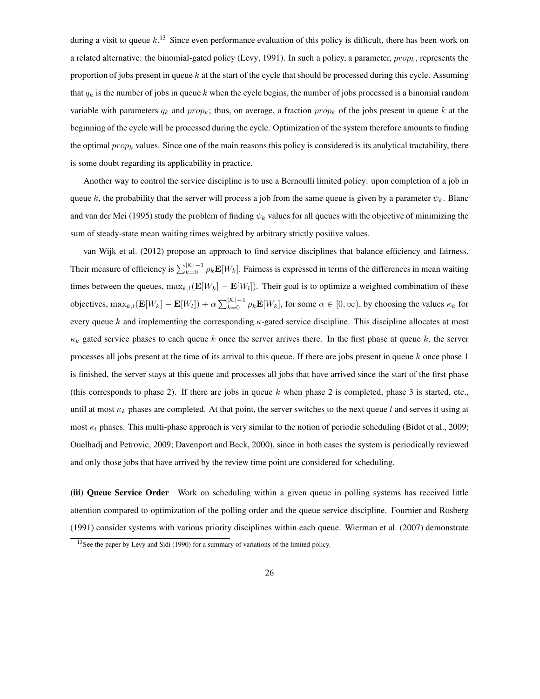during a visit to queue  $k<sup>13</sup>$  Since even performance evaluation of this policy is difficult, there has been work on a related alternative: the binomial-gated policy (Levy, 1991). In such a policy, a parameter,  $prop_k$ , represents the proportion of jobs present in queue  $k$  at the start of the cycle that should be processed during this cycle. Assuming that  $q_k$  is the number of jobs in queue k when the cycle begins, the number of jobs processed is a binomial random variable with parameters  $q_k$  and  $prop_k$ ; thus, on average, a fraction  $prop_k$  of the jobs present in queue k at the beginning of the cycle will be processed during the cycle. Optimization of the system therefore amounts to finding the optimal  $prop_k$  values. Since one of the main reasons this policy is considered is its analytical tractability, there is some doubt regarding its applicability in practice.

Another way to control the service discipline is to use a Bernoulli limited policy: upon completion of a job in queue k, the probability that the server will process a job from the same queue is given by a parameter  $\psi_k$ . Blanc and van der Mei (1995) study the problem of finding  $\psi_k$  values for all queues with the objective of minimizing the sum of steady-state mean waiting times weighted by arbitrary strictly positive values.

van Wijk et al. (2012) propose an approach to find service disciplines that balance efficiency and fairness. Their measure of efficiency is  $\sum_{k=0}^{|\mathcal{K}|-1} \rho_k \mathbf{E}[W_k]$ . Fairness is expressed in terms of the differences in mean waiting times between the queues,  $\max_{k,l} (\mathbf{E}[W_k] - \mathbf{E}[W_l])$ . Their goal is to optimize a weighted combination of these objectives,  $\max_{k,l} (\mathbf{E}[W_k] - \mathbf{E}[W_l]) + \alpha \sum_{k=0}^{|\mathcal{K}|-1} \rho_k \mathbf{E}[W_k]$ , for some  $\alpha \in [0, \infty)$ , by choosing the values  $\kappa_k$  for every queue k and implementing the corresponding  $\kappa$ -gated service discipline. This discipline allocates at most  $\kappa_k$  gated service phases to each queue k once the server arrives there. In the first phase at queue k, the server processes all jobs present at the time of its arrival to this queue. If there are jobs present in queue  $k$  once phase 1 is finished, the server stays at this queue and processes all jobs that have arrived since the start of the first phase (this corresponds to phase 2). If there are jobs in queue  $k$  when phase 2 is completed, phase 3 is started, etc., until at most  $\kappa_k$  phases are completed. At that point, the server switches to the next queue l and serves it using at most  $\kappa_l$  phases. This multi-phase approach is very similar to the notion of periodic scheduling (Bidot et al., 2009; Ouelhadj and Petrovic, 2009; Davenport and Beck, 2000), since in both cases the system is periodically reviewed and only those jobs that have arrived by the review time point are considered for scheduling.

(iii) Queue Service Order Work on scheduling within a given queue in polling systems has received little attention compared to optimization of the polling order and the queue service discipline. Fournier and Rosberg (1991) consider systems with various priority disciplines within each queue. Wierman et al. (2007) demonstrate

<sup>&</sup>lt;sup>13</sup> See the paper by Levy and Sidi (1990) for a summary of variations of the limited policy.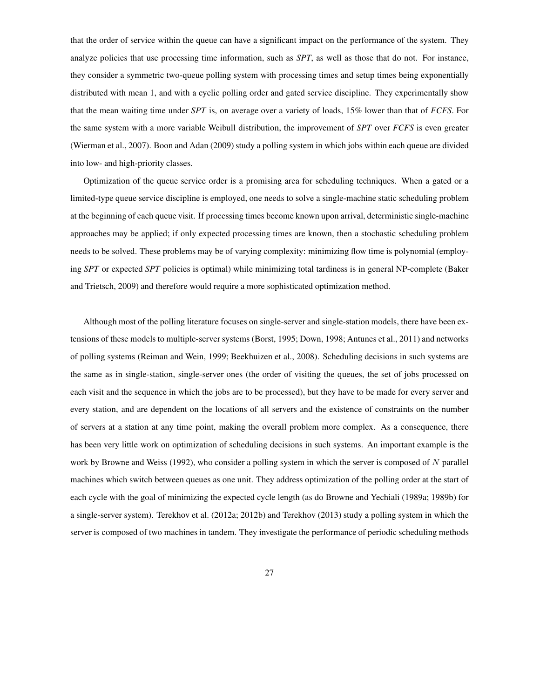that the order of service within the queue can have a significant impact on the performance of the system. They analyze policies that use processing time information, such as *SPT*, as well as those that do not. For instance, they consider a symmetric two-queue polling system with processing times and setup times being exponentially distributed with mean 1, and with a cyclic polling order and gated service discipline. They experimentally show that the mean waiting time under *SPT* is, on average over a variety of loads, 15% lower than that of *FCFS*. For the same system with a more variable Weibull distribution, the improvement of *SPT* over *FCFS* is even greater (Wierman et al., 2007). Boon and Adan (2009) study a polling system in which jobs within each queue are divided into low- and high-priority classes.

Optimization of the queue service order is a promising area for scheduling techniques. When a gated or a limited-type queue service discipline is employed, one needs to solve a single-machine static scheduling problem at the beginning of each queue visit. If processing times become known upon arrival, deterministic single-machine approaches may be applied; if only expected processing times are known, then a stochastic scheduling problem needs to be solved. These problems may be of varying complexity: minimizing flow time is polynomial (employing *SPT* or expected *SPT* policies is optimal) while minimizing total tardiness is in general NP-complete (Baker and Trietsch, 2009) and therefore would require a more sophisticated optimization method.

Although most of the polling literature focuses on single-server and single-station models, there have been extensions of these models to multiple-server systems (Borst, 1995; Down, 1998; Antunes et al., 2011) and networks of polling systems (Reiman and Wein, 1999; Beekhuizen et al., 2008). Scheduling decisions in such systems are the same as in single-station, single-server ones (the order of visiting the queues, the set of jobs processed on each visit and the sequence in which the jobs are to be processed), but they have to be made for every server and every station, and are dependent on the locations of all servers and the existence of constraints on the number of servers at a station at any time point, making the overall problem more complex. As a consequence, there has been very little work on optimization of scheduling decisions in such systems. An important example is the work by Browne and Weiss (1992), who consider a polling system in which the server is composed of N parallel machines which switch between queues as one unit. They address optimization of the polling order at the start of each cycle with the goal of minimizing the expected cycle length (as do Browne and Yechiali (1989a; 1989b) for a single-server system). Terekhov et al. (2012a; 2012b) and Terekhov (2013) study a polling system in which the server is composed of two machines in tandem. They investigate the performance of periodic scheduling methods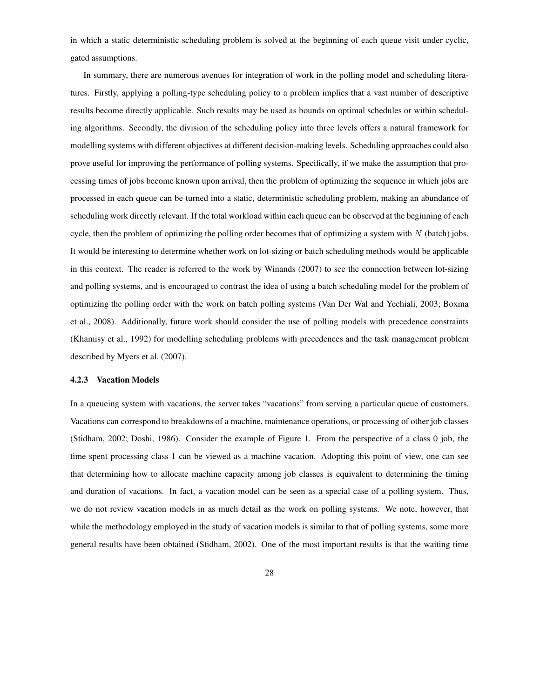in which a static deterministic scheduling problem is solved at the beginning of each queue visit under cyclic, gated assumptions.

In summary, there are numerous avenues for integration of work in the polling model and scheduling literatures. Firstly, applying a polling-type scheduling policy to a problem implies that a vast number of descriptive results become directly applicable. Such results may be used as bounds on optimal schedules or within scheduling algorithms. Secondly, the division of the scheduling policy into three levels offers a natural framework for modelling systems with different objectives at different decision-making levels. Scheduling approaches could also prove useful for improving the performance of polling systems. Specifically, if we make the assumption that processing times of jobs become known upon arrival, then the problem of optimizing the sequence in which jobs are processed in each queue can be turned into a static, deterministic scheduling problem, making an abundance of scheduling work directly relevant. If the total workload within each queue can be observed at the beginning of each cycle, then the problem of optimizing the polling order becomes that of optimizing a system with  $N$  (batch) jobs. It would be interesting to determine whether work on lot-sizing or batch scheduling methods would be applicable in this context. The reader is referred to the work by Winands (2007) to see the connection between lot-sizing and polling systems, and is encouraged to contrast the idea of using a batch scheduling model for the problem of optimizing the polling order with the work on batch polling systems (Van Der Wal and Yechiali, 2003; Boxma et al., 2008). Additionally, future work should consider the use of polling models with precedence constraints (Khamisy et al., 1992) for modelling scheduling problems with precedences and the task management problem described by Myers et al. (2007).

#### 4.2.3 Vacation Models

In a queueing system with vacations, the server takes "vacations" from serving a particular queue of customers. Vacations can correspond to breakdowns of a machine, maintenance operations, or processing of other job classes (Stidham, 2002; Doshi, 1986). Consider the example of Figure 1. From the perspective of a class 0 job, the time spent processing class 1 can be viewed as a machine vacation. Adopting this point of view, one can see that determining how to allocate machine capacity among job classes is equivalent to determining the timing and duration of vacations. In fact, a vacation model can be seen as a special case of a polling system. Thus, we do not review vacation models in as much detail as the work on polling systems. We note, however, that while the methodology employed in the study of vacation models is similar to that of polling systems, some more general results have been obtained (Stidham, 2002). One of the most important results is that the waiting time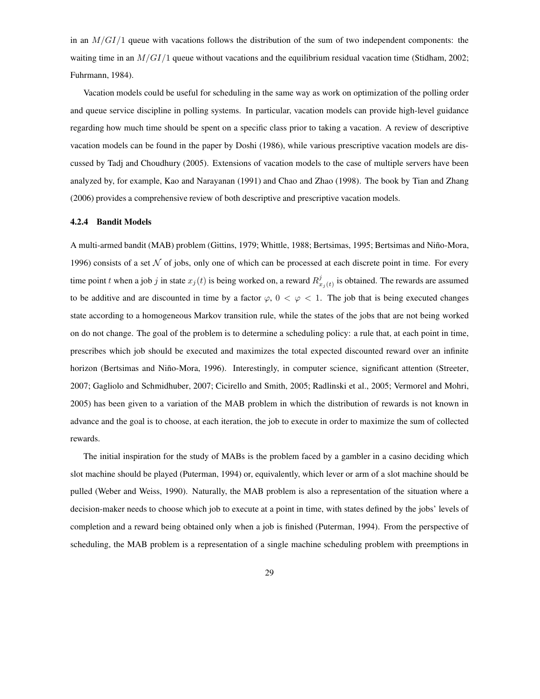in an  $M/GI/1$  queue with vacations follows the distribution of the sum of two independent components: the waiting time in an  $M/GI/1$  queue without vacations and the equilibrium residual vacation time (Stidham, 2002; Fuhrmann, 1984).

Vacation models could be useful for scheduling in the same way as work on optimization of the polling order and queue service discipline in polling systems. In particular, vacation models can provide high-level guidance regarding how much time should be spent on a specific class prior to taking a vacation. A review of descriptive vacation models can be found in the paper by Doshi (1986), while various prescriptive vacation models are discussed by Tadj and Choudhury (2005). Extensions of vacation models to the case of multiple servers have been analyzed by, for example, Kao and Narayanan (1991) and Chao and Zhao (1998). The book by Tian and Zhang (2006) provides a comprehensive review of both descriptive and prescriptive vacation models.

#### 4.2.4 Bandit Models

A multi-armed bandit (MAB) problem (Gittins, 1979; Whittle, 1988; Bertsimas, 1995; Bertsimas and Niño-Mora, 1996) consists of a set  $N$  of jobs, only one of which can be processed at each discrete point in time. For every time point t when a job j in state  $x_j(t)$  is being worked on, a reward  $R_i^j$  $x_{i(t)}^{j}$  is obtained. The rewards are assumed to be additive and are discounted in time by a factor  $\varphi$ ,  $0 < \varphi < 1$ . The job that is being executed changes state according to a homogeneous Markov transition rule, while the states of the jobs that are not being worked on do not change. The goal of the problem is to determine a scheduling policy: a rule that, at each point in time, prescribes which job should be executed and maximizes the total expected discounted reward over an infinite horizon (Bertsimas and Niño-Mora, 1996). Interestingly, in computer science, significant attention (Streeter, 2007; Gagliolo and Schmidhuber, 2007; Cicirello and Smith, 2005; Radlinski et al., 2005; Vermorel and Mohri, 2005) has been given to a variation of the MAB problem in which the distribution of rewards is not known in advance and the goal is to choose, at each iteration, the job to execute in order to maximize the sum of collected rewards.

The initial inspiration for the study of MABs is the problem faced by a gambler in a casino deciding which slot machine should be played (Puterman, 1994) or, equivalently, which lever or arm of a slot machine should be pulled (Weber and Weiss, 1990). Naturally, the MAB problem is also a representation of the situation where a decision-maker needs to choose which job to execute at a point in time, with states defined by the jobs' levels of completion and a reward being obtained only when a job is finished (Puterman, 1994). From the perspective of scheduling, the MAB problem is a representation of a single machine scheduling problem with preemptions in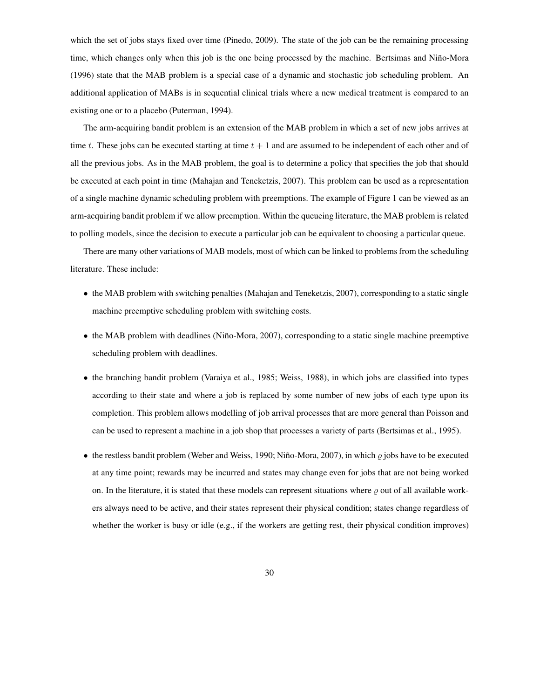which the set of jobs stays fixed over time (Pinedo, 2009). The state of the job can be the remaining processing time, which changes only when this job is the one being processed by the machine. Bertsimas and Niño-Mora (1996) state that the MAB problem is a special case of a dynamic and stochastic job scheduling problem. An additional application of MABs is in sequential clinical trials where a new medical treatment is compared to an existing one or to a placebo (Puterman, 1994).

The arm-acquiring bandit problem is an extension of the MAB problem in which a set of new jobs arrives at time t. These jobs can be executed starting at time  $t + 1$  and are assumed to be independent of each other and of all the previous jobs. As in the MAB problem, the goal is to determine a policy that specifies the job that should be executed at each point in time (Mahajan and Teneketzis, 2007). This problem can be used as a representation of a single machine dynamic scheduling problem with preemptions. The example of Figure 1 can be viewed as an arm-acquiring bandit problem if we allow preemption. Within the queueing literature, the MAB problem is related to polling models, since the decision to execute a particular job can be equivalent to choosing a particular queue.

There are many other variations of MAB models, most of which can be linked to problems from the scheduling literature. These include:

- the MAB problem with switching penalties (Mahajan and Teneketzis, 2007), corresponding to a static single machine preemptive scheduling problem with switching costs.
- $\bullet$  the MAB problem with deadlines (Niño-Mora, 2007), corresponding to a static single machine preemptive scheduling problem with deadlines.
- the branching bandit problem (Varaiya et al., 1985; Weiss, 1988), in which jobs are classified into types according to their state and where a job is replaced by some number of new jobs of each type upon its completion. This problem allows modelling of job arrival processes that are more general than Poisson and can be used to represent a machine in a job shop that processes a variety of parts (Bertsimas et al., 1995).
- the restless bandit problem (Weber and Weiss, 1990; Niño-Mora, 2007), in which  $\varrho$  jobs have to be executed at any time point; rewards may be incurred and states may change even for jobs that are not being worked on. In the literature, it is stated that these models can represent situations where  $\varrho$  out of all available workers always need to be active, and their states represent their physical condition; states change regardless of whether the worker is busy or idle (e.g., if the workers are getting rest, their physical condition improves)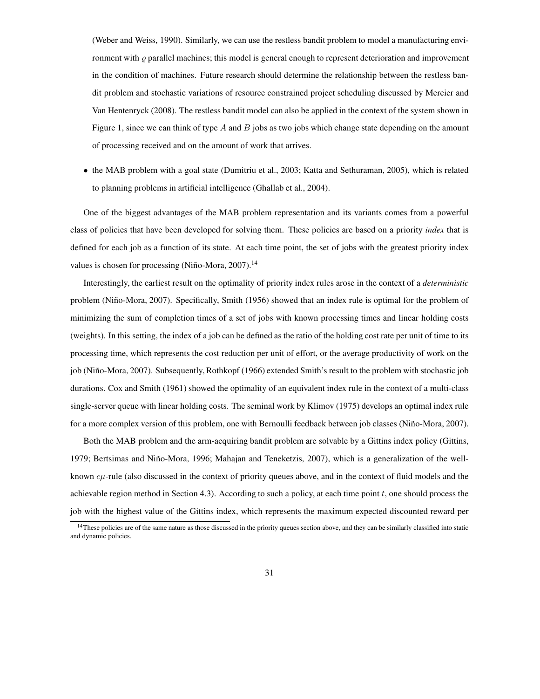(Weber and Weiss, 1990). Similarly, we can use the restless bandit problem to model a manufacturing environment with  $\varrho$  parallel machines; this model is general enough to represent deterioration and improvement in the condition of machines. Future research should determine the relationship between the restless bandit problem and stochastic variations of resource constrained project scheduling discussed by Mercier and Van Hentenryck (2008). The restless bandit model can also be applied in the context of the system shown in Figure 1, since we can think of type A and B jobs as two jobs which change state depending on the amount of processing received and on the amount of work that arrives.

• the MAB problem with a goal state (Dumitriu et al., 2003; Katta and Sethuraman, 2005), which is related to planning problems in artificial intelligence (Ghallab et al., 2004).

One of the biggest advantages of the MAB problem representation and its variants comes from a powerful class of policies that have been developed for solving them. These policies are based on a priority *index* that is defined for each job as a function of its state. At each time point, the set of jobs with the greatest priority index values is chosen for processing (Niño-Mora,  $2007$ ).<sup>14</sup>

Interestingly, the earliest result on the optimality of priority index rules arose in the context of a *deterministic* problem (Niño-Mora, 2007). Specifically, Smith (1956) showed that an index rule is optimal for the problem of minimizing the sum of completion times of a set of jobs with known processing times and linear holding costs (weights). In this setting, the index of a job can be defined as the ratio of the holding cost rate per unit of time to its processing time, which represents the cost reduction per unit of effort, or the average productivity of work on the job (Niño-Mora, 2007). Subsequently, Rothkopf (1966) extended Smith's result to the problem with stochastic job durations. Cox and Smith (1961) showed the optimality of an equivalent index rule in the context of a multi-class single-server queue with linear holding costs. The seminal work by Klimov (1975) develops an optimal index rule for a more complex version of this problem, one with Bernoulli feedback between job classes (Niño-Mora, 2007).

Both the MAB problem and the arm-acquiring bandit problem are solvable by a Gittins index policy (Gittins, 1979; Bertsimas and Niño-Mora, 1996; Mahajan and Teneketzis, 2007), which is a generalization of the wellknown  $c\mu$ -rule (also discussed in the context of priority queues above, and in the context of fluid models and the achievable region method in Section 4.3). According to such a policy, at each time point  $t$ , one should process the job with the highest value of the Gittins index, which represents the maximum expected discounted reward per

<sup>&</sup>lt;sup>14</sup>These policies are of the same nature as those discussed in the priority queues section above, and they can be similarly classified into static and dynamic policies.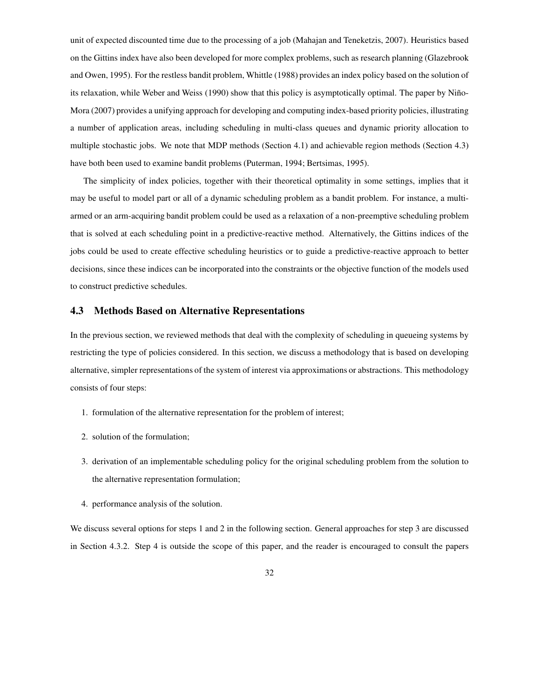unit of expected discounted time due to the processing of a job (Mahajan and Teneketzis, 2007). Heuristics based on the Gittins index have also been developed for more complex problems, such as research planning (Glazebrook and Owen, 1995). For the restless bandit problem, Whittle (1988) provides an index policy based on the solution of its relaxation, while Weber and Weiss (1990) show that this policy is asymptotically optimal. The paper by Niño-Mora (2007) provides a unifying approach for developing and computing index-based priority policies, illustrating a number of application areas, including scheduling in multi-class queues and dynamic priority allocation to multiple stochastic jobs. We note that MDP methods (Section 4.1) and achievable region methods (Section 4.3) have both been used to examine bandit problems (Puterman, 1994; Bertsimas, 1995).

The simplicity of index policies, together with their theoretical optimality in some settings, implies that it may be useful to model part or all of a dynamic scheduling problem as a bandit problem. For instance, a multiarmed or an arm-acquiring bandit problem could be used as a relaxation of a non-preemptive scheduling problem that is solved at each scheduling point in a predictive-reactive method. Alternatively, the Gittins indices of the jobs could be used to create effective scheduling heuristics or to guide a predictive-reactive approach to better decisions, since these indices can be incorporated into the constraints or the objective function of the models used to construct predictive schedules.

## 4.3 Methods Based on Alternative Representations

In the previous section, we reviewed methods that deal with the complexity of scheduling in queueing systems by restricting the type of policies considered. In this section, we discuss a methodology that is based on developing alternative, simpler representations of the system of interest via approximations or abstractions. This methodology consists of four steps:

- 1. formulation of the alternative representation for the problem of interest;
- 2. solution of the formulation;
- 3. derivation of an implementable scheduling policy for the original scheduling problem from the solution to the alternative representation formulation;
- 4. performance analysis of the solution.

We discuss several options for steps 1 and 2 in the following section. General approaches for step 3 are discussed in Section 4.3.2. Step 4 is outside the scope of this paper, and the reader is encouraged to consult the papers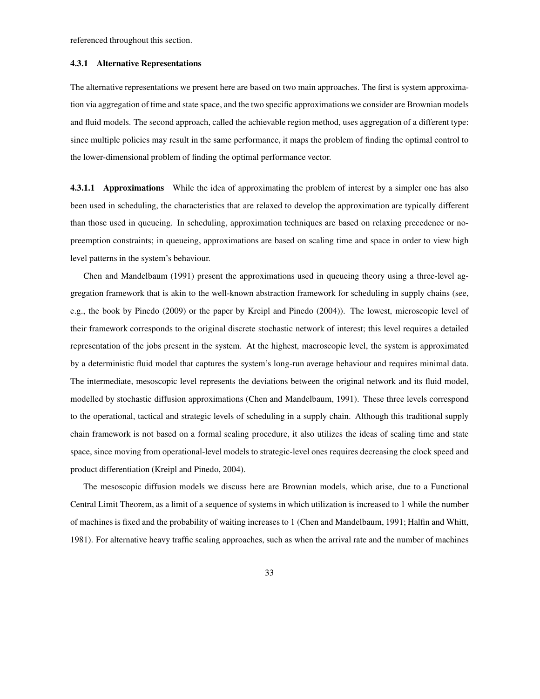referenced throughout this section.

#### 4.3.1 Alternative Representations

The alternative representations we present here are based on two main approaches. The first is system approximation via aggregation of time and state space, and the two specific approximations we consider are Brownian models and fluid models. The second approach, called the achievable region method, uses aggregation of a different type: since multiple policies may result in the same performance, it maps the problem of finding the optimal control to the lower-dimensional problem of finding the optimal performance vector.

**4.3.1.1 Approximations** While the idea of approximating the problem of interest by a simpler one has also been used in scheduling, the characteristics that are relaxed to develop the approximation are typically different than those used in queueing. In scheduling, approximation techniques are based on relaxing precedence or nopreemption constraints; in queueing, approximations are based on scaling time and space in order to view high level patterns in the system's behaviour.

Chen and Mandelbaum (1991) present the approximations used in queueing theory using a three-level aggregation framework that is akin to the well-known abstraction framework for scheduling in supply chains (see, e.g., the book by Pinedo (2009) or the paper by Kreipl and Pinedo (2004)). The lowest, microscopic level of their framework corresponds to the original discrete stochastic network of interest; this level requires a detailed representation of the jobs present in the system. At the highest, macroscopic level, the system is approximated by a deterministic fluid model that captures the system's long-run average behaviour and requires minimal data. The intermediate, mesoscopic level represents the deviations between the original network and its fluid model, modelled by stochastic diffusion approximations (Chen and Mandelbaum, 1991). These three levels correspond to the operational, tactical and strategic levels of scheduling in a supply chain. Although this traditional supply chain framework is not based on a formal scaling procedure, it also utilizes the ideas of scaling time and state space, since moving from operational-level models to strategic-level ones requires decreasing the clock speed and product differentiation (Kreipl and Pinedo, 2004).

The mesoscopic diffusion models we discuss here are Brownian models, which arise, due to a Functional Central Limit Theorem, as a limit of a sequence of systems in which utilization is increased to 1 while the number of machines is fixed and the probability of waiting increases to 1 (Chen and Mandelbaum, 1991; Halfin and Whitt, 1981). For alternative heavy traffic scaling approaches, such as when the arrival rate and the number of machines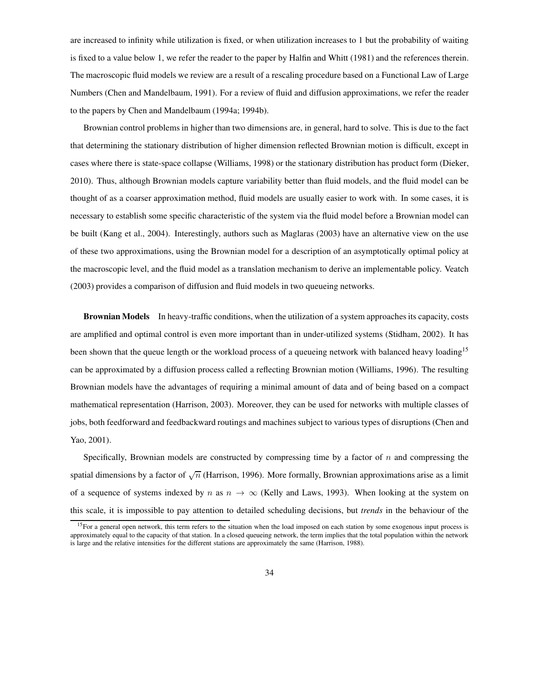are increased to infinity while utilization is fixed, or when utilization increases to 1 but the probability of waiting is fixed to a value below 1, we refer the reader to the paper by Halfin and Whitt (1981) and the references therein. The macroscopic fluid models we review are a result of a rescaling procedure based on a Functional Law of Large Numbers (Chen and Mandelbaum, 1991). For a review of fluid and diffusion approximations, we refer the reader to the papers by Chen and Mandelbaum (1994a; 1994b).

Brownian control problems in higher than two dimensions are, in general, hard to solve. This is due to the fact that determining the stationary distribution of higher dimension reflected Brownian motion is difficult, except in cases where there is state-space collapse (Williams, 1998) or the stationary distribution has product form (Dieker, 2010). Thus, although Brownian models capture variability better than fluid models, and the fluid model can be thought of as a coarser approximation method, fluid models are usually easier to work with. In some cases, it is necessary to establish some specific characteristic of the system via the fluid model before a Brownian model can be built (Kang et al., 2004). Interestingly, authors such as Maglaras (2003) have an alternative view on the use of these two approximations, using the Brownian model for a description of an asymptotically optimal policy at the macroscopic level, and the fluid model as a translation mechanism to derive an implementable policy. Veatch (2003) provides a comparison of diffusion and fluid models in two queueing networks.

Brownian Models In heavy-traffic conditions, when the utilization of a system approaches its capacity, costs are amplified and optimal control is even more important than in under-utilized systems (Stidham, 2002). It has been shown that the queue length or the workload process of a queueing network with balanced heavy loading<sup>15</sup> can be approximated by a diffusion process called a reflecting Brownian motion (Williams, 1996). The resulting Brownian models have the advantages of requiring a minimal amount of data and of being based on a compact mathematical representation (Harrison, 2003). Moreover, they can be used for networks with multiple classes of jobs, both feedforward and feedbackward routings and machines subject to various types of disruptions (Chen and Yao, 2001).

Specifically, Brownian models are constructed by compressing time by a factor of n and compressing the spatial dimensions by a factor of  $\sqrt{n}$  (Harrison, 1996). More formally, Brownian approximations arise as a limit of a sequence of systems indexed by n as  $n \to \infty$  (Kelly and Laws, 1993). When looking at the system on this scale, it is impossible to pay attention to detailed scheduling decisions, but *trends* in the behaviour of the

 $<sup>15</sup>$  For a general open network, this term refers to the situation when the load imposed on each station by some exogenous input process is</sup> approximately equal to the capacity of that station. In a closed queueing network, the term implies that the total population within the network is large and the relative intensities for the different stations are approximately the same (Harrison, 1988).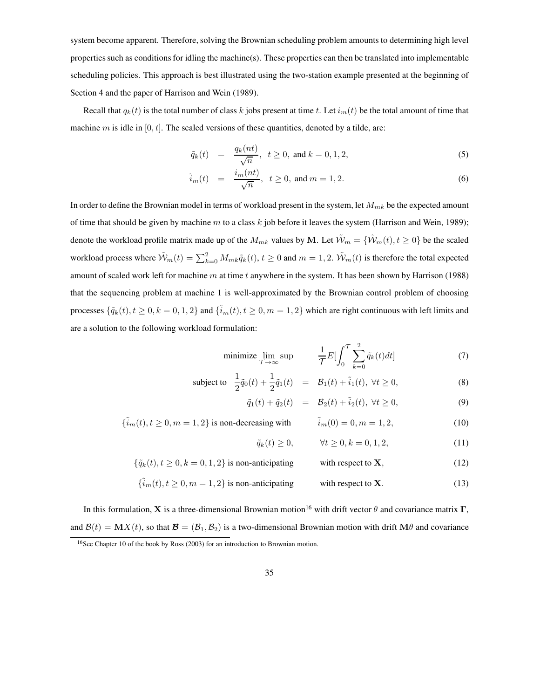system become apparent. Therefore, solving the Brownian scheduling problem amounts to determining high level properties such as conditions for idling the machine(s). These properties can then be translated into implementable scheduling policies. This approach is best illustrated using the two-station example presented at the beginning of Section 4 and the paper of Harrison and Wein (1989).

Recall that  $q_k(t)$  is the total number of class k jobs present at time t. Let  $i_m(t)$  be the total amount of time that machine m is idle in  $[0, t]$ . The scaled versions of these quantities, denoted by a tilde, are:

$$
\tilde{q}_k(t) = \frac{q_k(nt)}{\sqrt{n}}, \ t \ge 0, \text{ and } k = 0, 1, 2,
$$
\n(5)

$$
\tilde{i}_m(t) = \frac{i_m(nt)}{\sqrt{n}}, \ t \ge 0, \text{ and } m = 1, 2.
$$
 (6)

In order to define the Brownian model in terms of workload present in the system, let  $M_{mk}$  be the expected amount of time that should be given by machine m to a class k job before it leaves the system (Harrison and Wein, 1989); denote the workload profile matrix made up of the  $M_{mk}$  values by M. Let  $\tilde{W}_m = {\tilde{W}_m(t), t \ge 0}$  be the scaled workload process where  $\tilde{W}_m(t) = \sum_{k=0}^2 M_{mk} \tilde{q}_k(t)$ ,  $t \ge 0$  and  $m = 1, 2$ .  $\tilde{W}_m(t)$  is therefore the total expected amount of scaled work left for machine  $m$  at time  $t$  anywhere in the system. It has been shown by Harrison (1988) that the sequencing problem at machine 1 is well-approximated by the Brownian control problem of choosing processes  $\{\tilde{q}_k(t), t \geq 0, k = 0, 1, 2\}$  and  $\{\tilde{i}_m(t), t \geq 0, m = 1, 2\}$  which are right continuous with left limits and are a solution to the following workload formulation:

minimize 
$$
\lim_{T \to \infty}
$$
 sup  $\frac{1}{\mathcal{T}} E \left[ \int_0^{\mathcal{T}} \sum_{k=0}^2 \tilde{q}_k(t) dt \right]$  (7)

subject to 
$$
\frac{1}{2}\tilde{q}_0(t) + \frac{1}{2}\tilde{q}_1(t) = \mathcal{B}_1(t) + \tilde{i}_1(t), \ \forall t \ge 0,
$$
 (8)

$$
\tilde{q}_1(t) + \tilde{q}_2(t) = \mathcal{B}_2(t) + \tilde{i}_2(t), \ \forall t \ge 0,
$$
\n(9)

$$
\{\tilde{i}_m(t), t \ge 0, m = 1, 2\} \text{ is non-decreasing with } \qquad \tilde{i}_m(0) = 0, m = 1, 2,
$$
\n
$$
(10)
$$

$$
\tilde{q}_k(t) \ge 0, \qquad \forall t \ge 0, k = 0, 1, 2,
$$
\n(11)

$$
\{\tilde{q}_k(t), t \ge 0, k = 0, 1, 2\} \text{ is non-anticipating} \qquad \text{with respect to } \mathbf{X}, \tag{12}
$$

$$
\{\tilde{i}_m(t), t \ge 0, m = 1, 2\} \text{ is non-anticipating} \qquad \text{with respect to } \mathbf{X}. \tag{13}
$$

In this formulation, X is a three-dimensional Brownian motion<sup>16</sup> with drift vector  $\theta$  and covariance matrix Γ, and  $\mathcal{B}(t) = \mathbf{M}X(t)$ , so that  $\mathcal{B} = (\mathcal{B}_1, \mathcal{B}_2)$  is a two-dimensional Brownian motion with drift  $\mathbf{M}\theta$  and covariance

<sup>&</sup>lt;sup>16</sup>See Chapter 10 of the book by Ross (2003) for an introduction to Brownian motion.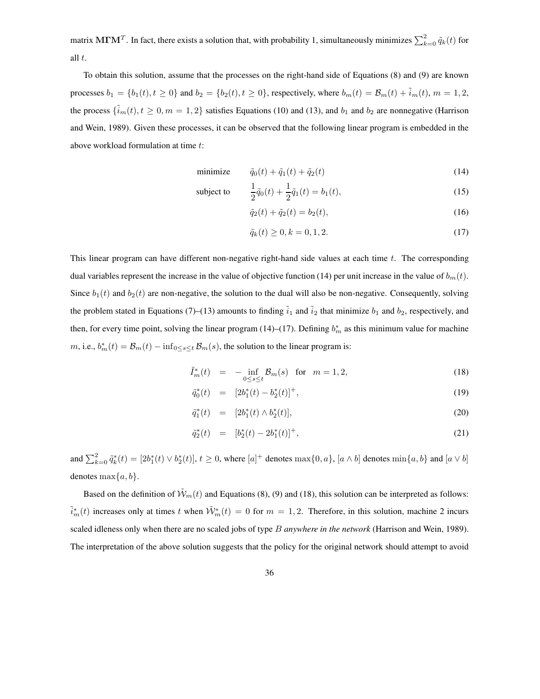matrix  $M\Gamma M^T$ . In fact, there exists a solution that, with probability 1, simultaneously minimizes  $\sum_{k=0}^2 \tilde{q}_k(t)$  for all t.

To obtain this solution, assume that the processes on the right-hand side of Equations (8) and (9) are known processes  $b_1 = \{b_1(t), t \ge 0\}$  and  $b_2 = \{b_2(t), t \ge 0\}$ , respectively, where  $b_m(t) = \mathcal{B}_m(t) + \tilde{i}_m(t)$ ,  $m = 1, 2$ , the process  $\{\tilde{i}_m(t), t \geq 0, m = 1, 2\}$  satisfies Equations (10) and (13), and  $b_1$  and  $b_2$  are nonnegative (Harrison and Wein, 1989). Given these processes, it can be observed that the following linear program is embedded in the above workload formulation at time t:

$$
\text{minimize} \qquad \tilde{q}_0(t) + \tilde{q}_1(t) + \tilde{q}_2(t) \tag{14}
$$

subject to 
$$
\frac{1}{2}\tilde{q}_0(t) + \frac{1}{2}\tilde{q}_1(t) = b_1(t),
$$
 (15)

$$
\tilde{q}_2(t) + \tilde{q}_2(t) = b_2(t),\tag{16}
$$

$$
\tilde{q}_k(t) \ge 0, k = 0, 1, 2. \tag{17}
$$

This linear program can have different non-negative right-hand side values at each time  $t$ . The corresponding dual variables represent the increase in the value of objective function (14) per unit increase in the value of  $b_m(t)$ . Since  $b_1(t)$  and  $b_2(t)$  are non-negative, the solution to the dual will also be non-negative. Consequently, solving the problem stated in Equations (7)–(13) amounts to finding  $\tilde{i}_1$  and  $\tilde{i}_2$  that minimize  $b_1$  and  $b_2$ , respectively, and then, for every time point, solving the linear program (14)–(17). Defining  $b_m^*$  as this minimum value for machine m, i.e.,  $b_m^*(t) = \mathcal{B}_m(t) - \inf_{0 \le s \le t} \mathcal{B}_m(s)$ , the solution to the linear program is:

$$
\tilde{I}_m^*(t) = -\inf_{0 \le s \le t} \mathcal{B}_m(s) \quad \text{for} \quad m = 1, 2,\tag{18}
$$

$$
\tilde{q}_0^*(t) = [2b_1^*(t) - b_2^*(t)]^+, \tag{19}
$$

$$
\tilde{q}_1^*(t) = [2b_1^*(t) \wedge b_2^*(t)], \qquad (20)
$$

$$
\tilde{q}_2^*(t) = [b_2^*(t) - 2b_1^*(t)]^+, \tag{21}
$$

and  $\sum_{k=0}^{2} \tilde{q}_{k}^{*}(t) = [2b_{1}^{*}(t) \vee b_{2}^{*}(t)], t \ge 0$ , where  $[a]^{+}$  denotes  $\max\{0, a\}$ ,  $[a \wedge b]$  denotes  $\min\{a, b\}$  and  $[a \vee b]$ denotes  $\max\{a, b\}.$ 

Based on the definition of  $\tilde{W}_m(t)$  and Equations (8), (9) and (18), this solution can be interpreted as follows:  $\tilde{i}_m^*(t)$  increases only at times t when  $\tilde{\mathcal{W}}_m^*(t) = 0$  for  $m = 1, 2$ . Therefore, in this solution, machine 2 incurs scaled idleness only when there are no scaled jobs of type B *anywhere in the network* (Harrison and Wein, 1989). The interpretation of the above solution suggests that the policy for the original network should attempt to avoid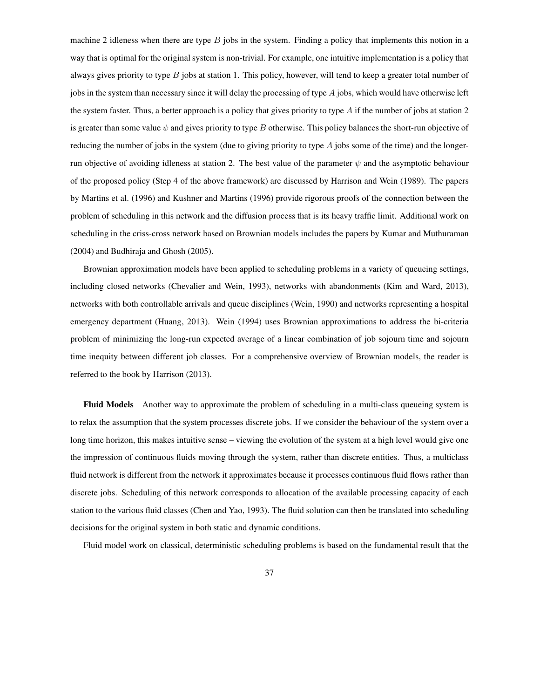machine 2 idleness when there are type  $B$  jobs in the system. Finding a policy that implements this notion in a way that is optimal for the original system is non-trivial. For example, one intuitive implementation is a policy that always gives priority to type  $B$  jobs at station 1. This policy, however, will tend to keep a greater total number of jobs in the system than necessary since it will delay the processing of type A jobs, which would have otherwise left the system faster. Thus, a better approach is a policy that gives priority to type  $\tilde{A}$  if the number of jobs at station 2 is greater than some value  $\psi$  and gives priority to type B otherwise. This policy balances the short-run objective of reducing the number of jobs in the system (due to giving priority to type  $\hat{A}$  jobs some of the time) and the longerrun objective of avoiding idleness at station 2. The best value of the parameter  $\psi$  and the asymptotic behaviour of the proposed policy (Step 4 of the above framework) are discussed by Harrison and Wein (1989). The papers by Martins et al. (1996) and Kushner and Martins (1996) provide rigorous proofs of the connection between the problem of scheduling in this network and the diffusion process that is its heavy traffic limit. Additional work on scheduling in the criss-cross network based on Brownian models includes the papers by Kumar and Muthuraman (2004) and Budhiraja and Ghosh (2005).

Brownian approximation models have been applied to scheduling problems in a variety of queueing settings, including closed networks (Chevalier and Wein, 1993), networks with abandonments (Kim and Ward, 2013), networks with both controllable arrivals and queue disciplines (Wein, 1990) and networks representing a hospital emergency department (Huang, 2013). Wein (1994) uses Brownian approximations to address the bi-criteria problem of minimizing the long-run expected average of a linear combination of job sojourn time and sojourn time inequity between different job classes. For a comprehensive overview of Brownian models, the reader is referred to the book by Harrison (2013).

Fluid Models Another way to approximate the problem of scheduling in a multi-class queueing system is to relax the assumption that the system processes discrete jobs. If we consider the behaviour of the system over a long time horizon, this makes intuitive sense – viewing the evolution of the system at a high level would give one the impression of continuous fluids moving through the system, rather than discrete entities. Thus, a multiclass fluid network is different from the network it approximates because it processes continuous fluid flows rather than discrete jobs. Scheduling of this network corresponds to allocation of the available processing capacity of each station to the various fluid classes (Chen and Yao, 1993). The fluid solution can then be translated into scheduling decisions for the original system in both static and dynamic conditions.

Fluid model work on classical, deterministic scheduling problems is based on the fundamental result that the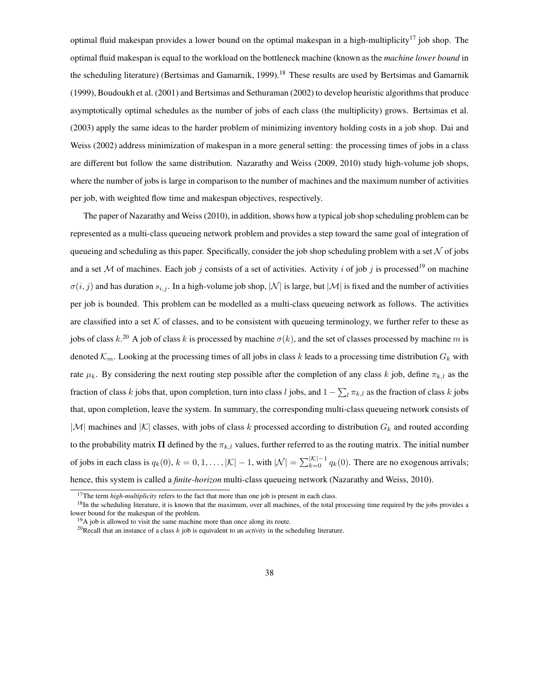optimal fluid makespan provides a lower bound on the optimal makespan in a high-multiplicity<sup>17</sup> job shop. The optimal fluid makespan is equal to the workload on the bottleneck machine (known as the *machine lower bound* in the scheduling literature) (Bertsimas and Gamarnik, 1999).<sup>18</sup> These results are used by Bertsimas and Gamarnik (1999), Boudoukh et al. (2001) and Bertsimas and Sethuraman (2002) to develop heuristic algorithms that produce asymptotically optimal schedules as the number of jobs of each class (the multiplicity) grows. Bertsimas et al. (2003) apply the same ideas to the harder problem of minimizing inventory holding costs in a job shop. Dai and Weiss (2002) address minimization of makespan in a more general setting: the processing times of jobs in a class are different but follow the same distribution. Nazarathy and Weiss (2009, 2010) study high-volume job shops, where the number of jobs is large in comparison to the number of machines and the maximum number of activities per job, with weighted flow time and makespan objectives, respectively.

The paper of Nazarathy and Weiss (2010), in addition, shows how a typical job shop scheduling problem can be represented as a multi-class queueing network problem and provides a step toward the same goal of integration of queueing and scheduling as this paper. Specifically, consider the job shop scheduling problem with a set  $N$  of jobs and a set M of machines. Each job j consists of a set of activities. Activity i of job j is processed<sup>19</sup> on machine  $\sigma(i, j)$  and has duration  $s_{i,j}$ . In a high-volume job shop,  $|N|$  is large, but  $|M|$  is fixed and the number of activities per job is bounded. This problem can be modelled as a multi-class queueing network as follows. The activities are classified into a set K of classes, and to be consistent with queueing terminology, we further refer to these as jobs of class  $k^{20}$  A job of class k is processed by machine  $\sigma(k)$ , and the set of classes processed by machine m is denoted  $\mathcal{K}_m$ . Looking at the processing times of all jobs in class k leads to a processing time distribution  $G_k$  with rate  $\mu_k$ . By considering the next routing step possible after the completion of any class k job, define  $\pi_{k,l}$  as the fraction of class k jobs that, upon completion, turn into class l jobs, and  $1 - \sum_l \pi_{k,l}$  as the fraction of class k jobs that, upon completion, leave the system. In summary, the corresponding multi-class queueing network consists of |M| machines and |K| classes, with jobs of class k processed according to distribution  $G_k$  and routed according to the probability matrix  $\Pi$  defined by the  $\pi_{k,l}$  values, further referred to as the routing matrix. The initial number of jobs in each class is  $q_k(0)$ ,  $k = 0, 1, ..., |\mathcal{K}| - 1$ , with  $|\mathcal{N}| = \sum_{k=0}^{|\mathcal{K}|-1} q_k(0)$ . There are no exogenous arrivals; hence, this system is called a *finite-horizon* multi-class queueing network (Nazarathy and Weiss, 2010).

<sup>&</sup>lt;sup>17</sup>The term *high-multiplicity* refers to the fact that more than one job is present in each class.

<sup>&</sup>lt;sup>18</sup>In the scheduling literature, it is known that the maximum, over all machines, of the total processing time required by the jobs provides a lower bound for the makespan of the problem.

 $19A$  job is allowed to visit the same machine more than once along its route.

 $^{20}$ Recall that an instance of a class  $k$  job is equivalent to an *activity* in the scheduling literature.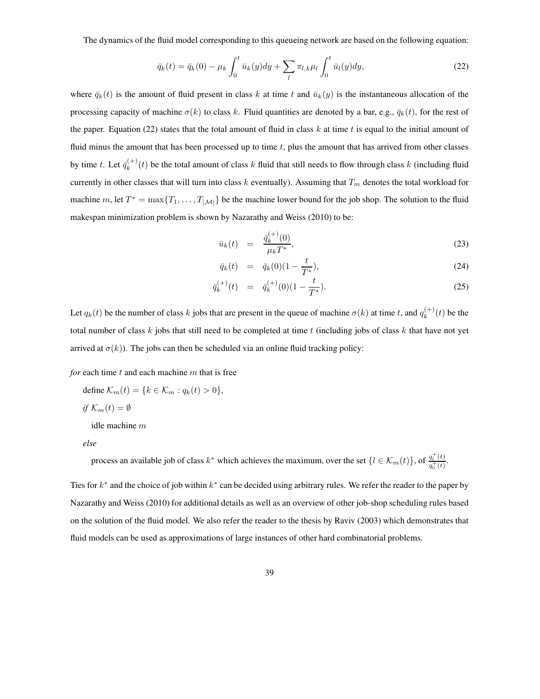The dynamics of the fluid model corresponding to this queueing network are based on the following equation:

$$
\bar{q}_k(t) = \bar{q}_k(0) - \mu_k \int_0^t \bar{u}_k(y) dy + \sum_l \pi_{l,k} \mu_l \int_0^t \bar{u}_l(y) dy,
$$
\n(22)

where  $\bar{q}_k(t)$  is the amount of fluid present in class k at time t and  $\bar{u}_k(y)$  is the instantaneous allocation of the processing capacity of machine  $\sigma(k)$  to class k. Fluid quantities are denoted by a bar, e.g.,  $\bar{q}_k(t)$ , for the rest of the paper. Equation (22) states that the total amount of fluid in class  $k$  at time  $t$  is equal to the initial amount of fluid minus the amount that has been processed up to time  $t$ , plus the amount that has arrived from other classes by time t. Let  $\bar{q}_k^{(+)}$  $(k + k)(t)$  be the total amount of class k fluid that still needs to flow through class k (including fluid currently in other classes that will turn into class  $k$  eventually). Assuming that  $T_m$  denotes the total workload for machine m, let  $T^* = \max\{T_1, \ldots, T_{|\mathcal{M}|}\}\$  be the machine lower bound for the job shop. The solution to the fluid makespan minimization problem is shown by Nazarathy and Weiss (2010) to be:

$$
\bar{u}_k(t) = \frac{\bar{q}_k^{(+)}(0)}{\mu_k T^*},
$$
\n(23)

$$
\bar{q}_k(t) = \bar{q}_k(0)(1 - \frac{t}{T^*}), \tag{24}
$$

$$
\bar{q}_k^{(+)}(t) = \bar{q}_k^{(+)}(0)(1 - \frac{t}{T^*}).
$$
\n(25)

Let  $q_k(t)$  be the number of class k jobs that are present in the queue of machine  $\sigma(k)$  at time t, and  $q_k^{(+)}$  $k^{(+)}(t)$  be the total number of class  $k$  jobs that still need to be completed at time  $t$  (including jobs of class  $k$  that have not yet arrived at  $\sigma(k)$ ). The jobs can then be scheduled via an online fluid tracking policy:

*for* each time  $t$  and each machine  $m$  that is free

define 
$$
\mathcal{K}_m(t) = \{k \in \mathcal{K}_m : q_k(t) > 0\},\
$$

$$
\text{if } \mathcal{K}_m(t) = \emptyset
$$

idle machine m

*else*

process an available job of class  $k^*$  which achieves the maximum, over the set  $\{l \in \mathcal{K}_m(t)\}$ , of  $\frac{q_l^+(t)}{q_o^+(t)}$  $\frac{q_1(t)}{q_0^+(t)}$ .

Ties for  $k^*$  and the choice of job within  $k^*$  can be decided using arbitrary rules. We refer the reader to the paper by Nazarathy and Weiss (2010) for additional details as well as an overview of other job-shop scheduling rules based on the solution of the fluid model. We also refer the reader to the thesis by Raviv (2003) which demonstrates that fluid models can be used as approximations of large instances of other hard combinatorial problems.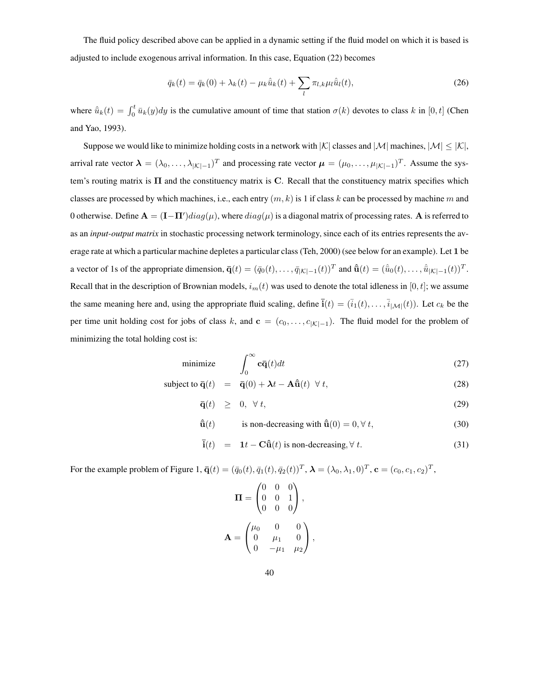The fluid policy described above can be applied in a dynamic setting if the fluid model on which it is based is adjusted to include exogenous arrival information. In this case, Equation (22) becomes

$$
\bar{q}_k(t) = \bar{q}_k(0) + \lambda_k(t) - \mu_k \hat{\bar{u}}_k(t) + \sum_l \pi_{l,k} \mu_l \hat{\bar{u}}_l(t),
$$
\n(26)

where  $\hat{u}_k(t) = \int_0^t \bar{u}_k(y) dy$  is the cumulative amount of time that station  $\sigma(k)$  devotes to class k in [0, t] (Chen and Yao, 1993).

Suppose we would like to minimize holding costs in a network with  $|K|$  classes and  $|M|$  machines,  $|M| \leq |K|$ , arrival rate vector  $\boldsymbol{\lambda} = (\lambda_0, \dots, \lambda_{|\mathcal{K}|-1})^T$  and processing rate vector  $\boldsymbol{\mu} = (\mu_0, \dots, \mu_{|\mathcal{K}|-1})^T$ . Assume the system's routing matrix is  $\Pi$  and the constituency matrix is C. Recall that the constituency matrix specifies which classes are processed by which machines, i.e., each entry  $(m, k)$  is 1 if class k can be processed by machine m and 0 otherwise. Define  $A = (I - \Pi')diag(\mu)$ , where  $diag(\mu)$  is a diagonal matrix of processing rates. A is referred to as an *input-output matrix* in stochastic processing network terminology, since each of its entries represents the average rate at which a particular machine depletes a particular class (Teh, 2000) (see below for an example). Let 1 be a vector of 1s of the appropriate dimension,  $\bar{\mathbf{q}}(t) = (\bar{q}_0(t), \dots, \bar{q}_{|\mathcal{K}|-1}(t))^T$  and  $\hat{\mathbf{u}}(t) = (\hat{u}_0(t), \dots, \hat{u}_{|\mathcal{K}|-1}(t))^T$ . Recall that in the description of Brownian models,  $i_m(t)$  was used to denote the total idleness in [0, t]; we assume the same meaning here and, using the appropriate fluid scaling, define  $\overline{i}(t) = (\overline{i}_1(t), \ldots, \overline{i}_{|\mathcal{M}|}(t))$ . Let  $c_k$  be the per time unit holding cost for jobs of class k, and  $\mathbf{c} = (c_0, \dots, c_{|\mathcal{K}|-1})$ . The fluid model for the problem of minimizing the total holding cost is:

$$
\text{minimize} \qquad \int_0^\infty \mathbf{c}\mathbf{\bar{q}}(t)dt \tag{27}
$$

subject to 
$$
\bar{\mathbf{q}}(t) = \bar{\mathbf{q}}(0) + \lambda t - \mathbf{A}\hat{\mathbf{u}}(t) \quad \forall \ t,
$$
 (28)

$$
\bar{\mathbf{q}}(t) \geq 0, \forall t,
$$
\n<sup>(29)</sup>

$$
\hat{\mathbf{u}}(t) \qquad \text{is non-decreasing with } \hat{\mathbf{u}}(0) = 0, \forall t,
$$
\n(30)

$$
\mathbf{\bar{i}}(t) = \mathbf{1}t - \mathbf{C}\mathbf{\hat{u}}(t) \text{ is non-decreasing, } \forall t. \tag{31}
$$

For the example problem of Figure 1,  $\bar{\mathbf{q}}(t) = (\bar{q}_0(t), \bar{q}_1(t), \bar{q}_2(t))^T$ ,  $\boldsymbol{\lambda} = (\lambda_0, \lambda_1, 0)^T$ ,  $\mathbf{c} = (c_0, c_1, c_2)^T$ ,

$$
\mathbf{\Pi} = \begin{pmatrix} 0 & 0 & 0 \\ 0 & 0 & 1 \\ 0 & 0 & 0 \end{pmatrix},
$$

$$
\mathbf{A} = \begin{pmatrix} \mu_0 & 0 & 0 \\ 0 & \mu_1 & 0 \\ 0 & -\mu_1 & \mu_2 \end{pmatrix},
$$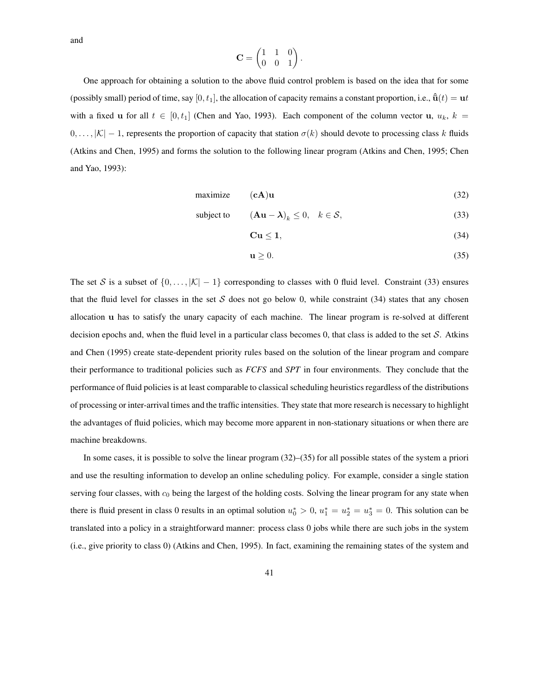and

$$
\mathbf{C} = \begin{pmatrix} 1 & 1 & 0 \\ 0 & 0 & 1 \end{pmatrix}.
$$

One approach for obtaining a solution to the above fluid control problem is based on the idea that for some (possibly small) period of time, say  $[0, t_1]$ , the allocation of capacity remains a constant proportion, i.e.,  $\hat{\bf u}(t) = {\bf u}t$ with a fixed u for all  $t \in [0, t_1]$  (Chen and Yao, 1993). Each component of the column vector u,  $u_k$ ,  $k =$  $0, \ldots, |\mathcal{K}| - 1$ , represents the proportion of capacity that station  $\sigma(k)$  should devote to processing class k fluids (Atkins and Chen, 1995) and forms the solution to the following linear program (Atkins and Chen, 1995; Chen and Yao, 1993):

$$
\text{maximize} \qquad (\mathbf{c}\mathbf{A})\mathbf{u} \tag{32}
$$

subject to 
$$
(Au - \lambda)_k \leq 0, \quad k \in \mathcal{S},
$$
 (33)

$$
Cu \le 1,\tag{34}
$$

$$
\mathbf{u} \ge 0. \tag{35}
$$

The set S is a subset of  $\{0, \ldots, |\mathcal{K}| - 1\}$  corresponding to classes with 0 fluid level. Constraint (33) ensures that the fluid level for classes in the set S does not go below 0, while constraint  $(34)$  states that any chosen allocation u has to satisfy the unary capacity of each machine. The linear program is re-solved at different decision epochs and, when the fluid level in a particular class becomes 0, that class is added to the set  $S$ . Atkins and Chen (1995) create state-dependent priority rules based on the solution of the linear program and compare their performance to traditional policies such as *FCFS* and *SPT* in four environments. They conclude that the performance of fluid policies is at least comparable to classical scheduling heuristics regardless of the distributions of processing or inter-arrival times and the traffic intensities. They state that more research is necessary to highlight the advantages of fluid policies, which may become more apparent in non-stationary situations or when there are machine breakdowns.

In some cases, it is possible to solve the linear program (32)–(35) for all possible states of the system a priori and use the resulting information to develop an online scheduling policy. For example, consider a single station serving four classes, with  $c_0$  being the largest of the holding costs. Solving the linear program for any state when there is fluid present in class 0 results in an optimal solution  $u_0^* > 0$ ,  $u_1^* = u_2^* = u_3^* = 0$ . This solution can be translated into a policy in a straightforward manner: process class 0 jobs while there are such jobs in the system (i.e., give priority to class 0) (Atkins and Chen, 1995). In fact, examining the remaining states of the system and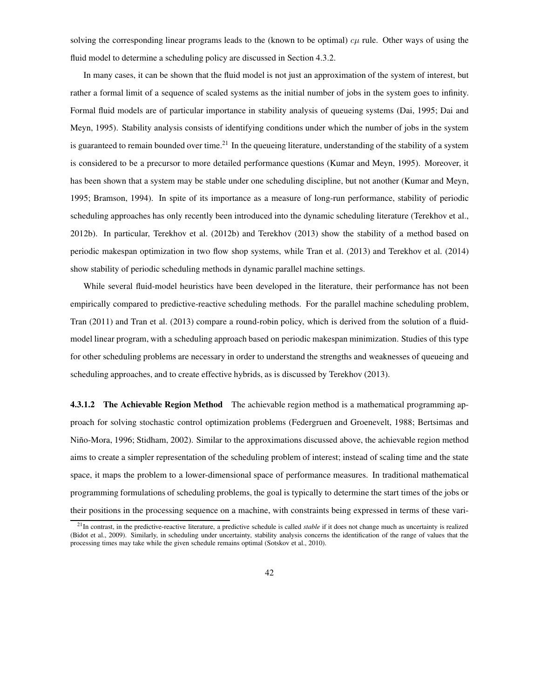solving the corresponding linear programs leads to the (known to be optimal)  $c\mu$  rule. Other ways of using the fluid model to determine a scheduling policy are discussed in Section 4.3.2.

In many cases, it can be shown that the fluid model is not just an approximation of the system of interest, but rather a formal limit of a sequence of scaled systems as the initial number of jobs in the system goes to infinity. Formal fluid models are of particular importance in stability analysis of queueing systems (Dai, 1995; Dai and Meyn, 1995). Stability analysis consists of identifying conditions under which the number of jobs in the system is guaranteed to remain bounded over time.<sup>21</sup> In the queueing literature, understanding of the stability of a system is considered to be a precursor to more detailed performance questions (Kumar and Meyn, 1995). Moreover, it has been shown that a system may be stable under one scheduling discipline, but not another (Kumar and Meyn, 1995; Bramson, 1994). In spite of its importance as a measure of long-run performance, stability of periodic scheduling approaches has only recently been introduced into the dynamic scheduling literature (Terekhov et al., 2012b). In particular, Terekhov et al. (2012b) and Terekhov (2013) show the stability of a method based on periodic makespan optimization in two flow shop systems, while Tran et al. (2013) and Terekhov et al. (2014) show stability of periodic scheduling methods in dynamic parallel machine settings.

While several fluid-model heuristics have been developed in the literature, their performance has not been empirically compared to predictive-reactive scheduling methods. For the parallel machine scheduling problem, Tran (2011) and Tran et al. (2013) compare a round-robin policy, which is derived from the solution of a fluidmodel linear program, with a scheduling approach based on periodic makespan minimization. Studies of this type for other scheduling problems are necessary in order to understand the strengths and weaknesses of queueing and scheduling approaches, and to create effective hybrids, as is discussed by Terekhov (2013).

**4.3.1.2 The Achievable Region Method** The achievable region method is a mathematical programming approach for solving stochastic control optimization problems (Federgruen and Groenevelt, 1988; Bertsimas and Niño-Mora, 1996; Stidham, 2002). Similar to the approximations discussed above, the achievable region method aims to create a simpler representation of the scheduling problem of interest; instead of scaling time and the state space, it maps the problem to a lower-dimensional space of performance measures. In traditional mathematical programming formulations of scheduling problems, the goal is typically to determine the start times of the jobs or their positions in the processing sequence on a machine, with constraints being expressed in terms of these vari-

<sup>21</sup>In contrast, in the predictive-reactive literature, a predictive schedule is called *stable* if it does not change much as uncertainty is realized (Bidot et al., 2009). Similarly, in scheduling under uncertainty, stability analysis concerns the identification of the range of values that the processing times may take while the given schedule remains optimal (Sotskov et al., 2010).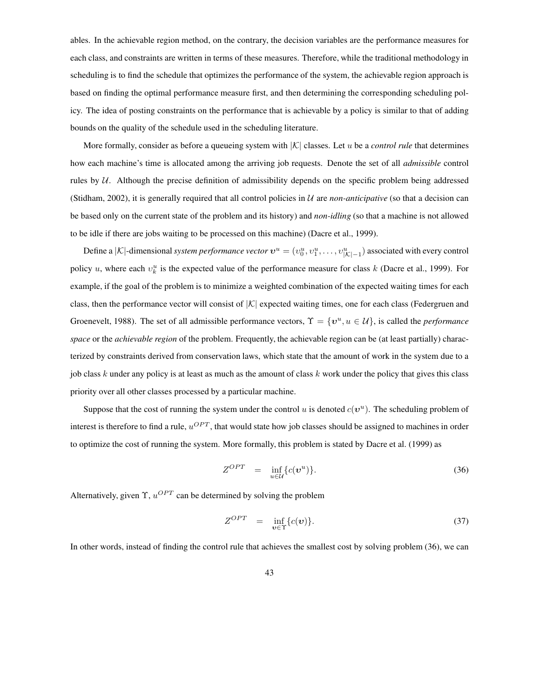ables. In the achievable region method, on the contrary, the decision variables are the performance measures for each class, and constraints are written in terms of these measures. Therefore, while the traditional methodology in scheduling is to find the schedule that optimizes the performance of the system, the achievable region approach is based on finding the optimal performance measure first, and then determining the corresponding scheduling policy. The idea of posting constraints on the performance that is achievable by a policy is similar to that of adding bounds on the quality of the schedule used in the scheduling literature.

More formally, consider as before a queueing system with  $|K|$  classes. Let u be a *control rule* that determines how each machine's time is allocated among the arriving job requests. Denote the set of all *admissible* control rules by  $U$ . Although the precise definition of admissibility depends on the specific problem being addressed (Stidham, 2002), it is generally required that all control policies in  $U$  are *non-anticipative* (so that a decision can be based only on the current state of the problem and its history) and *non-idling* (so that a machine is not allowed to be idle if there are jobs waiting to be processed on this machine) (Dacre et al., 1999).

Define a |K|-dimensional *system performance vector*  $v^u = (v_0^u, v_1^u, \dots, v_{|K|-1}^u)$  associated with every control policy u, where each  $v_k^u$  is the expected value of the performance measure for class k (Dacre et al., 1999). For example, if the goal of the problem is to minimize a weighted combination of the expected waiting times for each class, then the performance vector will consist of  $|K|$  expected waiting times, one for each class (Federgruen and Groenevelt, 1988). The set of all admissible performance vectors,  $\Upsilon = \{v^u, u \in \mathcal{U}\}\$ , is called the *performance space* or the *achievable region* of the problem. Frequently, the achievable region can be (at least partially) characterized by constraints derived from conservation laws, which state that the amount of work in the system due to a job class  $k$  under any policy is at least as much as the amount of class  $k$  work under the policy that gives this class priority over all other classes processed by a particular machine.

Suppose that the cost of running the system under the control u is denoted  $c(\mathbf{v}^u)$ . The scheduling problem of interest is therefore to find a rule,  $u^{OPT}$ , that would state how job classes should be assigned to machines in order to optimize the cost of running the system. More formally, this problem is stated by Dacre et al. (1999) as

$$
Z^{OPT} = \inf_{u \in \mathcal{U}} \{c(\mathbf{v}^u)\}.
$$
\n(36)

Alternatively, given  $\Upsilon$ ,  $u^{OPT}$  can be determined by solving the problem

$$
Z^{OPT} = \inf_{v \in \Upsilon} \{c(v)\}.
$$
 (37)

In other words, instead of finding the control rule that achieves the smallest cost by solving problem (36), we can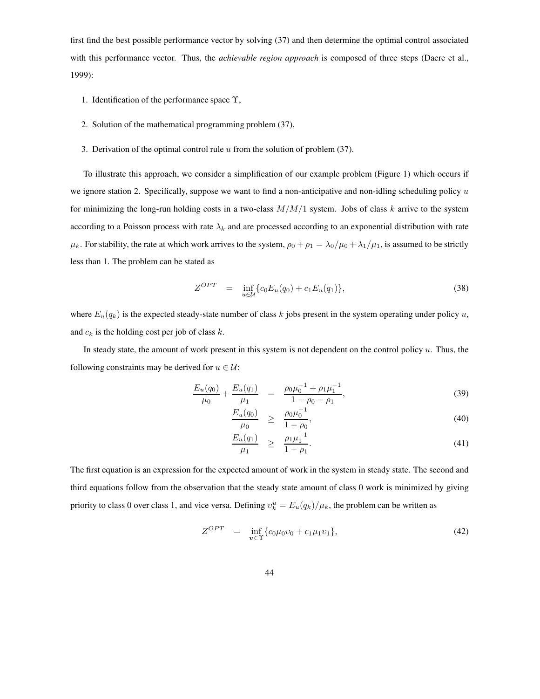first find the best possible performance vector by solving (37) and then determine the optimal control associated with this performance vector. Thus, the *achievable region approach* is composed of three steps (Dacre et al., 1999):

- 1. Identification of the performance space Υ,
- 2. Solution of the mathematical programming problem (37),
- 3. Derivation of the optimal control rule  $u$  from the solution of problem (37).

To illustrate this approach, we consider a simplification of our example problem (Figure 1) which occurs if we ignore station 2. Specifically, suppose we want to find a non-anticipative and non-idling scheduling policy  $u$ for minimizing the long-run holding costs in a two-class  $M/M/1$  system. Jobs of class k arrive to the system according to a Poisson process with rate  $\lambda_k$  and are processed according to an exponential distribution with rate  $\mu_k$ . For stability, the rate at which work arrives to the system,  $\rho_0 + \rho_1 = \lambda_0/\mu_0 + \lambda_1/\mu_1$ , is assumed to be strictly less than 1. The problem can be stated as

$$
Z^{OPT} = \inf_{u \in \mathcal{U}} \{c_0 E_u(q_0) + c_1 E_u(q_1)\},\tag{38}
$$

where  $E_u(q_k)$  is the expected steady-state number of class k jobs present in the system operating under policy u, and  $c_k$  is the holding cost per job of class  $k$ .

In steady state, the amount of work present in this system is not dependent on the control policy  $u$ . Thus, the following constraints may be derived for  $u \in \mathcal{U}$ :

$$
\frac{E_u(q_0)}{\mu_0} + \frac{E_u(q_1)}{\mu_1} = \frac{\rho_0 \mu_0^{-1} + \rho_1 \mu_1^{-1}}{1 - \rho_0 - \rho_1},
$$
\n(39)

$$
\frac{E_u(q_0)}{\mu_0} \ge \frac{\rho_0 \mu_0^{-1}}{1 - \rho_0},\tag{40}
$$

$$
\frac{E_u(q_1)}{\mu_1} \geq \frac{\rho_1 \mu_1^{-1}}{1 - \rho_1}.\tag{41}
$$

The first equation is an expression for the expected amount of work in the system in steady state. The second and third equations follow from the observation that the steady state amount of class 0 work is minimized by giving priority to class 0 over class 1, and vice versa. Defining  $v_k^u = E_u(q_k)/\mu_k$ , the problem can be written as

$$
Z^{OPT} = \inf_{v \in \Upsilon} \{ c_0 \mu_0 v_0 + c_1 \mu_1 v_1 \}, \tag{42}
$$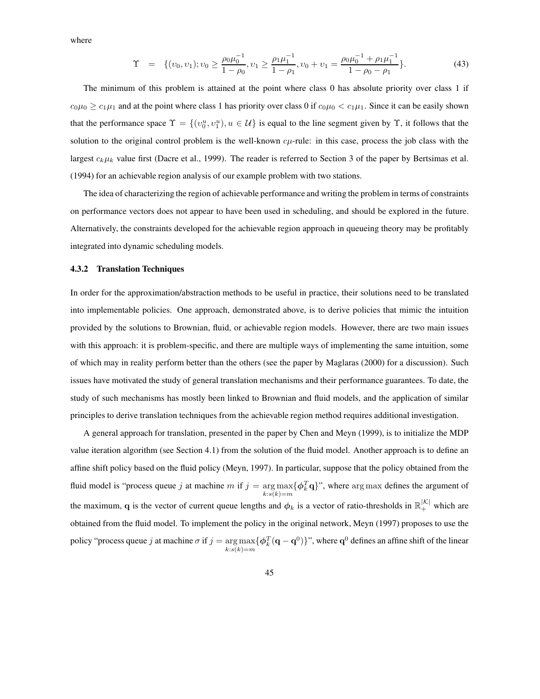where

$$
\Upsilon = \{ (v_0, v_1); v_0 \ge \frac{\rho_0 \mu_0^{-1}}{1 - \rho_0}, v_1 \ge \frac{\rho_1 \mu_1^{-1}}{1 - \rho_1}, v_0 + v_1 = \frac{\rho_0 \mu_0^{-1} + \rho_1 \mu_1^{-1}}{1 - \rho_0 - \rho_1} \}.
$$
\n(43)

The minimum of this problem is attained at the point where class 0 has absolute priority over class 1 if  $c_0\mu_0 \geq c_1\mu_1$  and at the point where class 1 has priority over class 0 if  $c_0\mu_0 < c_1\mu_1$ . Since it can be easily shown that the performance space  $\Upsilon = \{(v_0^u, v_1^u), u \in \mathcal{U}\}\$ is equal to the line segment given by  $\Upsilon$ , it follows that the solution to the original control problem is the well-known  $c\mu$ -rule: in this case, process the job class with the largest  $c_k\mu_k$  value first (Dacre et al., 1999). The reader is referred to Section 3 of the paper by Bertsimas et al. (1994) for an achievable region analysis of our example problem with two stations.

The idea of characterizing the region of achievable performance and writing the problem in terms of constraints on performance vectors does not appear to have been used in scheduling, and should be explored in the future. Alternatively, the constraints developed for the achievable region approach in queueing theory may be profitably integrated into dynamic scheduling models.

#### 4.3.2 Translation Techniques

In order for the approximation/abstraction methods to be useful in practice, their solutions need to be translated into implementable policies. One approach, demonstrated above, is to derive policies that mimic the intuition provided by the solutions to Brownian, fluid, or achievable region models. However, there are two main issues with this approach: it is problem-specific, and there are multiple ways of implementing the same intuition, some of which may in reality perform better than the others (see the paper by Maglaras (2000) for a discussion). Such issues have motivated the study of general translation mechanisms and their performance guarantees. To date, the study of such mechanisms has mostly been linked to Brownian and fluid models, and the application of similar principles to derive translation techniques from the achievable region method requires additional investigation.

A general approach for translation, presented in the paper by Chen and Meyn (1999), is to initialize the MDP value iteration algorithm (see Section 4.1) from the solution of the fluid model. Another approach is to define an affine shift policy based on the fluid policy (Meyn, 1997). In particular, suppose that the policy obtained from the fluid model is "process queue j at machine m if  $j = \arg \max$  $\arg \max_{k:s(k)=m} {\{\boldsymbol{\phi}_k^T\mathbf{q}\}}^n$ , where  $\arg \max$  defines the argument of the maximum, q is the vector of current queue lengths and  $\phi_k$  is a vector of ratio-thresholds in  $\mathbb{R}^{|\mathcal{K}|}_+$  which are obtained from the fluid model. To implement the policy in the original network, Meyn (1997) proposes to use the policy "process queue j at machine  $\sigma$  if  $j = \arg \max$  $\argmax_{k: s(k)=m} \{\boldsymbol{\phi}_k^T(\mathbf{q}-\mathbf{q}^0)\}$ ", where  $\mathbf{q}^0$  defines an affine shift of the linear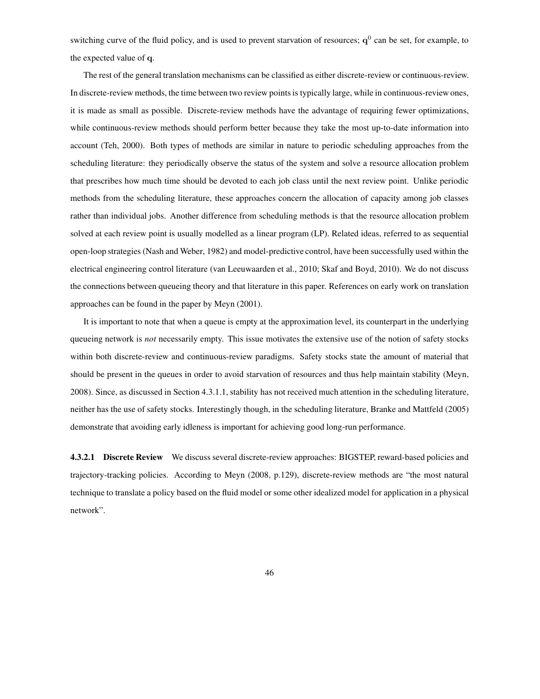switching curve of the fluid policy, and is used to prevent starvation of resources;  $q^0$  can be set, for example, to the expected value of q.

The rest of the general translation mechanisms can be classified as either discrete-review or continuous-review. In discrete-review methods, the time between two review points is typically large, while in continuous-review ones, it is made as small as possible. Discrete-review methods have the advantage of requiring fewer optimizations, while continuous-review methods should perform better because they take the most up-to-date information into account (Teh, 2000). Both types of methods are similar in nature to periodic scheduling approaches from the scheduling literature: they periodically observe the status of the system and solve a resource allocation problem that prescribes how much time should be devoted to each job class until the next review point. Unlike periodic methods from the scheduling literature, these approaches concern the allocation of capacity among job classes rather than individual jobs. Another difference from scheduling methods is that the resource allocation problem solved at each review point is usually modelled as a linear program (LP). Related ideas, referred to as sequential open-loop strategies (Nash and Weber, 1982) and model-predictive control, have been successfully used within the electrical engineering control literature (van Leeuwaarden et al., 2010; Skaf and Boyd, 2010). We do not discuss the connections between queueing theory and that literature in this paper. References on early work on translation approaches can be found in the paper by Meyn (2001).

It is important to note that when a queue is empty at the approximation level, its counterpart in the underlying queueing network is *not* necessarily empty. This issue motivates the extensive use of the notion of safety stocks within both discrete-review and continuous-review paradigms. Safety stocks state the amount of material that should be present in the queues in order to avoid starvation of resources and thus help maintain stability (Meyn, 2008). Since, as discussed in Section 4.3.1.1, stability has not received much attention in the scheduling literature, neither has the use of safety stocks. Interestingly though, in the scheduling literature, Branke and Mattfeld (2005) demonstrate that avoiding early idleness is important for achieving good long-run performance.

4.3.2.1 Discrete Review We discuss several discrete-review approaches: BIGSTEP, reward-based policies and trajectory-tracking policies. According to Meyn (2008, p.129), discrete-review methods are "the most natural technique to translate a policy based on the fluid model or some other idealized model for application in a physical network".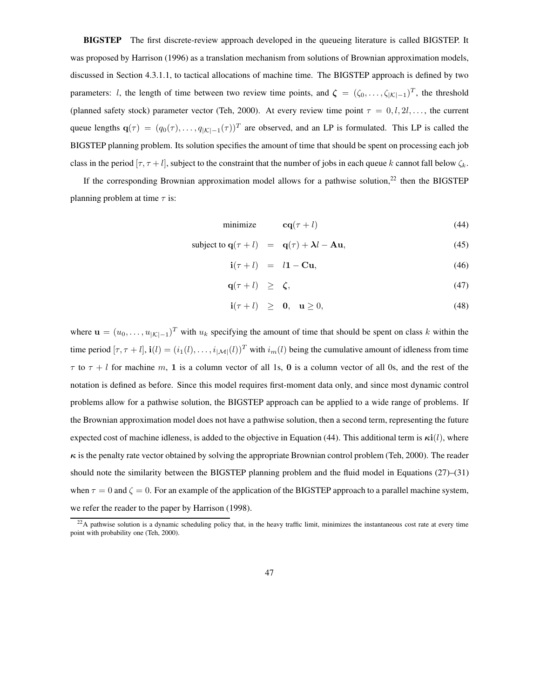BIGSTEP The first discrete-review approach developed in the queueing literature is called BIGSTEP. It was proposed by Harrison (1996) as a translation mechanism from solutions of Brownian approximation models, discussed in Section 4.3.1.1, to tactical allocations of machine time. The BIGSTEP approach is defined by two parameters: l, the length of time between two review time points, and  $\zeta = (\zeta_0, \dots, \zeta_{|\mathcal{K}|-1})^T$ , the threshold (planned safety stock) parameter vector (Teh, 2000). At every review time point  $\tau = 0, l, 2l, \ldots$ , the current queue lengths  $\mathbf{q}(\tau) = (q_0(\tau), \dots, q_{|\mathcal{K}|-1}(\tau))^T$  are observed, and an LP is formulated. This LP is called the BIGSTEP planning problem. Its solution specifies the amount of time that should be spent on processing each job class in the period  $[\tau, \tau + l]$ , subject to the constraint that the number of jobs in each queue k cannot fall below  $\zeta_k$ .

If the corresponding Brownian approximation model allows for a pathwise solution, $^{22}$  then the BIGSTEP planning problem at time  $\tau$  is:

minimize  $cq(\tau + l)$  (44)

subject to 
$$
\mathbf{q}(\tau + l) = \mathbf{q}(\tau) + \lambda l - \mathbf{A}\mathbf{u},
$$
 (45)

$$
\mathbf{i}(\tau + l) = l\mathbf{1} - \mathbf{C}\mathbf{u},\tag{46}
$$

$$
\mathbf{q}(\tau+l) \geq \zeta,\tag{47}
$$

i( $\tau + l$ )  $\geq 0$ ,  $u \geq 0$ , (48)

where  $\mathbf{u} = (u_0, \dots, u_{|\mathcal{K}|-1})^T$  with  $u_k$  specifying the amount of time that should be spent on class k within the time period  $[\tau, \tau + l]$ ,  $\mathbf{i}(l) = (i_1(l), \dots, i_{|\mathcal{M}|}(l))^T$  with  $i_m(l)$  being the cumulative amount of idleness from time  $\tau$  to  $\tau$  + l for machine m, 1 is a column vector of all 1s, 0 is a column vector of all 0s, and the rest of the notation is defined as before. Since this model requires first-moment data only, and since most dynamic control problems allow for a pathwise solution, the BIGSTEP approach can be applied to a wide range of problems. If the Brownian approximation model does not have a pathwise solution, then a second term, representing the future expected cost of machine idleness, is added to the objective in Equation (44). This additional term is  $\kappa i(l)$ , where  $\kappa$  is the penalty rate vector obtained by solving the appropriate Brownian control problem (Teh, 2000). The reader should note the similarity between the BIGSTEP planning problem and the fluid model in Equations  $(27)–(31)$ when  $\tau = 0$  and  $\zeta = 0$ . For an example of the application of the BIGSTEP approach to a parallel machine system, we refer the reader to the paper by Harrison (1998).

<sup>&</sup>lt;sup>22</sup>A pathwise solution is a dynamic scheduling policy that, in the heavy traffic limit, minimizes the instantaneous cost rate at every time point with probability one (Teh, 2000).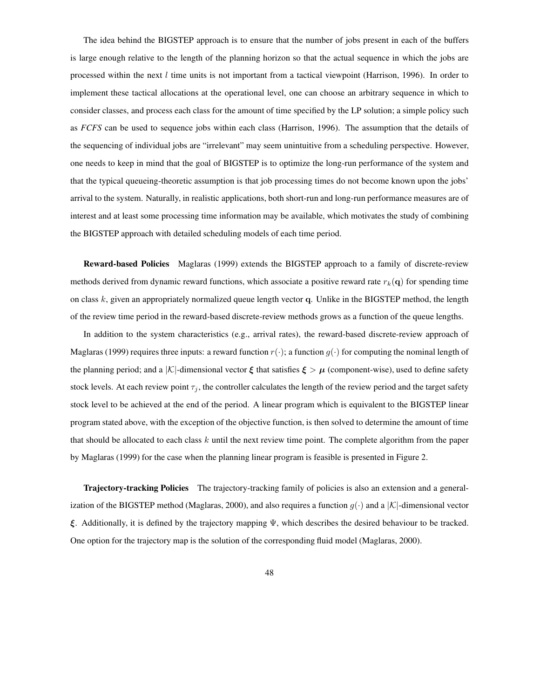The idea behind the BIGSTEP approach is to ensure that the number of jobs present in each of the buffers is large enough relative to the length of the planning horizon so that the actual sequence in which the jobs are processed within the next  $l$  time units is not important from a tactical viewpoint (Harrison, 1996). In order to implement these tactical allocations at the operational level, one can choose an arbitrary sequence in which to consider classes, and process each class for the amount of time specified by the LP solution; a simple policy such as *FCFS* can be used to sequence jobs within each class (Harrison, 1996). The assumption that the details of the sequencing of individual jobs are "irrelevant" may seem unintuitive from a scheduling perspective. However, one needs to keep in mind that the goal of BIGSTEP is to optimize the long-run performance of the system and that the typical queueing-theoretic assumption is that job processing times do not become known upon the jobs' arrival to the system. Naturally, in realistic applications, both short-run and long-run performance measures are of interest and at least some processing time information may be available, which motivates the study of combining the BIGSTEP approach with detailed scheduling models of each time period.

Reward-based Policies Maglaras (1999) extends the BIGSTEP approach to a family of discrete-review methods derived from dynamic reward functions, which associate a positive reward rate  $r_k(q)$  for spending time on class  $k$ , given an appropriately normalized queue length vector q. Unlike in the BIGSTEP method, the length of the review time period in the reward-based discrete-review methods grows as a function of the queue lengths.

In addition to the system characteristics (e.g., arrival rates), the reward-based discrete-review approach of Maglaras (1999) requires three inputs: a reward function  $r(\cdot)$ ; a function  $q(\cdot)$  for computing the nominal length of the planning period; and a |K|-dimensional vector  $\xi$  that satisfies  $\xi > \mu$  (component-wise), used to define safety stock levels. At each review point  $\tau_j$ , the controller calculates the length of the review period and the target safety stock level to be achieved at the end of the period. A linear program which is equivalent to the BIGSTEP linear program stated above, with the exception of the objective function, is then solved to determine the amount of time that should be allocated to each class k until the next review time point. The complete algorithm from the paper by Maglaras (1999) for the case when the planning linear program is feasible is presented in Figure 2.

Trajectory-tracking Policies The trajectory-tracking family of policies is also an extension and a generalization of the BIGSTEP method (Maglaras, 2000), and also requires a function  $g(\cdot)$  and a |K|-dimensional vector ξ. Additionally, it is defined by the trajectory mapping Ψ, which describes the desired behaviour to be tracked. One option for the trajectory map is the solution of the corresponding fluid model (Maglaras, 2000).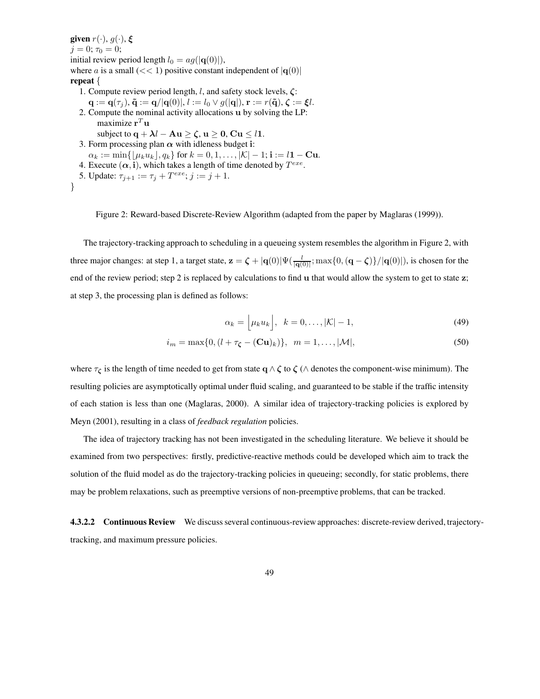given  $r(\cdot), g(\cdot), \xi$  $j = 0; \tau_0 = 0;$ initial review period length  $l_0 = a g(|q(0)|)$ , where a is a small ( $<< 1$ ) positive constant independent of  $|q(0)|$ repeat { 1. Compute review period length,  $l$ , and safety stock levels,  $\zeta$ :  $\mathbf{q} := \mathbf{q}(\tau_i)$ ,  $\tilde{\mathbf{q}} := \mathbf{q}/|\mathbf{q}(0)|$ ,  $l := l_0 \vee g(|\mathbf{q}|)$ ,  $\mathbf{r} := r(\tilde{\mathbf{q}})$ ,  $\zeta := \xi l$ . 2. Compute the nominal activity allocations u by solving the LP: maximize  $\mathbf{r}^T\mathbf{u}$ subject to  $q + \lambda l - Au \ge \zeta$ ,  $u \ge 0$ ,  $Cu \le l1$ . 3. Form processing plan  $\alpha$  with idleness budget i:  $\alpha_k := \min\{|\mu_k u_k|, q_k\}$  for  $k = 0, 1, ..., |\mathcal{K}| - 1$ ; i :=  $l\mathbf{1} - \mathbf{C}\mathbf{u}$ . 4. Execute  $(\alpha, i)$ , which takes a length of time denoted by  $T^{exe}$ . 5. Update:  $\tau_{j+1} := \tau_j + T^{exe}$ ;  $j := j + 1$ . }

Figure 2: Reward-based Discrete-Review Algorithm (adapted from the paper by Maglaras (1999)).

The trajectory-tracking approach to scheduling in a queueing system resembles the algorithm in Figure 2, with three major changes: at step 1, a target state,  $z = \zeta + |q(0)| \Psi(\frac{l}{|q(0)|}; \max\{0, (q-\zeta)\}/|q(0)|)$ , is chosen for the end of the review period; step 2 is replaced by calculations to find u that would allow the system to get to state z; at step 3, the processing plan is defined as follows:

$$
\alpha_k = \left\lfloor \mu_k u_k \right\rfloor, \ \ k = 0, \dots, |\mathcal{K}| - 1,\tag{49}
$$

$$
i_m = \max\{0, (l + \tau_{\zeta} - (\mathbf{C}\mathbf{u})_k)\}, \ \ m = 1, \dots, |\mathcal{M}|,
$$
\n
$$
(50)
$$

where  $\tau_{\zeta}$  is the length of time needed to get from state  $q \wedge \zeta$  to  $\zeta$  ( $\wedge$  denotes the component-wise minimum). The resulting policies are asymptotically optimal under fluid scaling, and guaranteed to be stable if the traffic intensity of each station is less than one (Maglaras, 2000). A similar idea of trajectory-tracking policies is explored by Meyn (2001), resulting in a class of *feedback regulation* policies.

The idea of trajectory tracking has not been investigated in the scheduling literature. We believe it should be examined from two perspectives: firstly, predictive-reactive methods could be developed which aim to track the solution of the fluid model as do the trajectory-tracking policies in queueing; secondly, for static problems, there may be problem relaxations, such as preemptive versions of non-preemptive problems, that can be tracked.

4.3.2.2 Continuous Review We discuss several continuous-review approaches: discrete-review derived, trajectorytracking, and maximum pressure policies.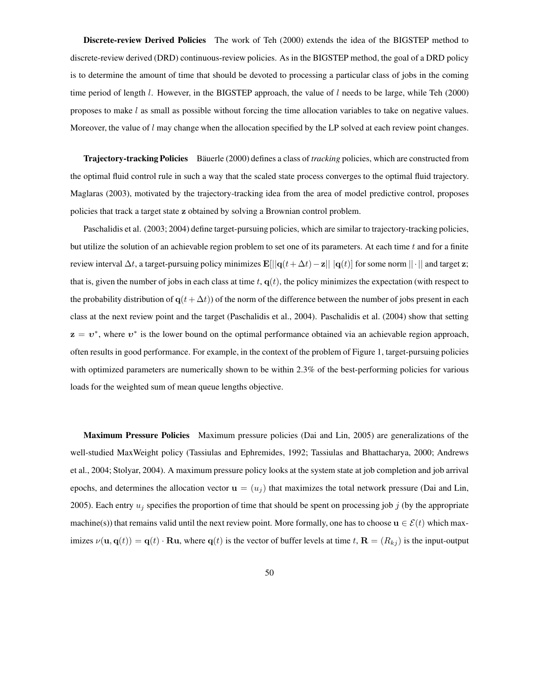Discrete-review Derived Policies The work of Teh (2000) extends the idea of the BIGSTEP method to discrete-review derived (DRD) continuous-review policies. As in the BIGSTEP method, the goal of a DRD policy is to determine the amount of time that should be devoted to processing a particular class of jobs in the coming time period of length l. However, in the BIGSTEP approach, the value of l needs to be large, while Teh (2000) proposes to make  $l$  as small as possible without forcing the time allocation variables to take on negative values. Moreover, the value of  $l$  may change when the allocation specified by the LP solved at each review point changes.

**Trajectory-tracking Policies** Bäuerle (2000) defines a class of *tracking* policies, which are constructed from the optimal fluid control rule in such a way that the scaled state process converges to the optimal fluid trajectory. Maglaras (2003), motivated by the trajectory-tracking idea from the area of model predictive control, proposes policies that track a target state z obtained by solving a Brownian control problem.

Paschalidis et al. (2003; 2004) define target-pursuing policies, which are similar to trajectory-tracking policies, but utilize the solution of an achievable region problem to set one of its parameters. At each time  $t$  and for a finite review interval  $\Delta t$ , a target-pursuing policy minimizes  $\mathbf{E}[||\mathbf{q}(t+\Delta t)-\mathbf{z}|| \, |\mathbf{q}(t)]$  for some norm  $||\cdot||$  and target  $\mathbf{z}$ ; that is, given the number of jobs in each class at time  $t$ ,  $q(t)$ , the policy minimizes the expectation (with respect to the probability distribution of  $q(t + \Delta t)$  of the norm of the difference between the number of jobs present in each class at the next review point and the target (Paschalidis et al., 2004). Paschalidis et al. (2004) show that setting  $z = v^*$ , where  $v^*$  is the lower bound on the optimal performance obtained via an achievable region approach, often results in good performance. For example, in the context of the problem of Figure 1, target-pursuing policies with optimized parameters are numerically shown to be within 2.3% of the best-performing policies for various loads for the weighted sum of mean queue lengths objective.

Maximum Pressure Policies Maximum pressure policies (Dai and Lin, 2005) are generalizations of the well-studied MaxWeight policy (Tassiulas and Ephremides, 1992; Tassiulas and Bhattacharya, 2000; Andrews et al., 2004; Stolyar, 2004). A maximum pressure policy looks at the system state at job completion and job arrival epochs, and determines the allocation vector  $\mathbf{u} = (u_i)$  that maximizes the total network pressure (Dai and Lin, 2005). Each entry  $u_i$  specifies the proportion of time that should be spent on processing job j (by the appropriate machine(s)) that remains valid until the next review point. More formally, one has to choose  $\mathbf{u} \in \mathcal{E}(t)$  which maximizes  $\nu(\mathbf{u}, \mathbf{q}(t)) = \mathbf{q}(t) \cdot \mathbf{R} \mathbf{u}$ , where  $\mathbf{q}(t)$  is the vector of buffer levels at time  $t, \mathbf{R} = (R_{kj})$  is the input-output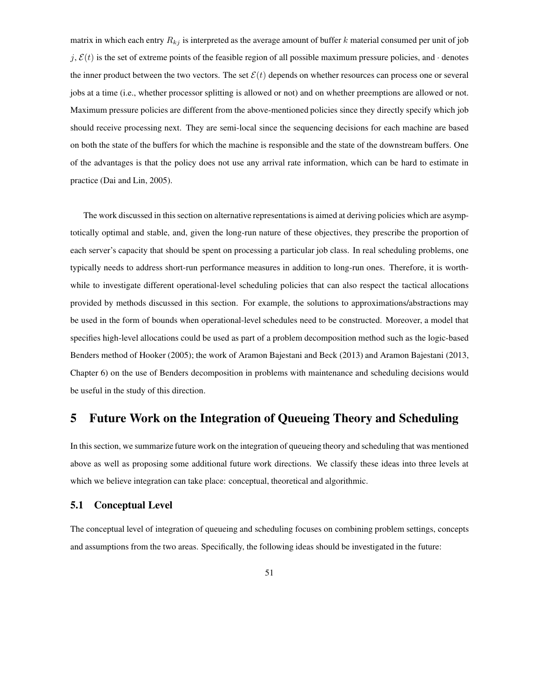matrix in which each entry  $R_{kj}$  is interpreted as the average amount of buffer k material consumed per unit of job j,  $\mathcal{E}(t)$  is the set of extreme points of the feasible region of all possible maximum pressure policies, and  $\cdot$  denotes the inner product between the two vectors. The set  $\mathcal{E}(t)$  depends on whether resources can process one or several jobs at a time (i.e., whether processor splitting is allowed or not) and on whether preemptions are allowed or not. Maximum pressure policies are different from the above-mentioned policies since they directly specify which job should receive processing next. They are semi-local since the sequencing decisions for each machine are based on both the state of the buffers for which the machine is responsible and the state of the downstream buffers. One of the advantages is that the policy does not use any arrival rate information, which can be hard to estimate in practice (Dai and Lin, 2005).

The work discussed in this section on alternative representations is aimed at deriving policies which are asymptotically optimal and stable, and, given the long-run nature of these objectives, they prescribe the proportion of each server's capacity that should be spent on processing a particular job class. In real scheduling problems, one typically needs to address short-run performance measures in addition to long-run ones. Therefore, it is worthwhile to investigate different operational-level scheduling policies that can also respect the tactical allocations provided by methods discussed in this section. For example, the solutions to approximations/abstractions may be used in the form of bounds when operational-level schedules need to be constructed. Moreover, a model that specifies high-level allocations could be used as part of a problem decomposition method such as the logic-based Benders method of Hooker (2005); the work of Aramon Bajestani and Beck (2013) and Aramon Bajestani (2013, Chapter 6) on the use of Benders decomposition in problems with maintenance and scheduling decisions would be useful in the study of this direction.

# 5 Future Work on the Integration of Queueing Theory and Scheduling

In this section, we summarize future work on the integration of queueing theory and scheduling that was mentioned above as well as proposing some additional future work directions. We classify these ideas into three levels at which we believe integration can take place: conceptual, theoretical and algorithmic.

### 5.1 Conceptual Level

The conceptual level of integration of queueing and scheduling focuses on combining problem settings, concepts and assumptions from the two areas. Specifically, the following ideas should be investigated in the future: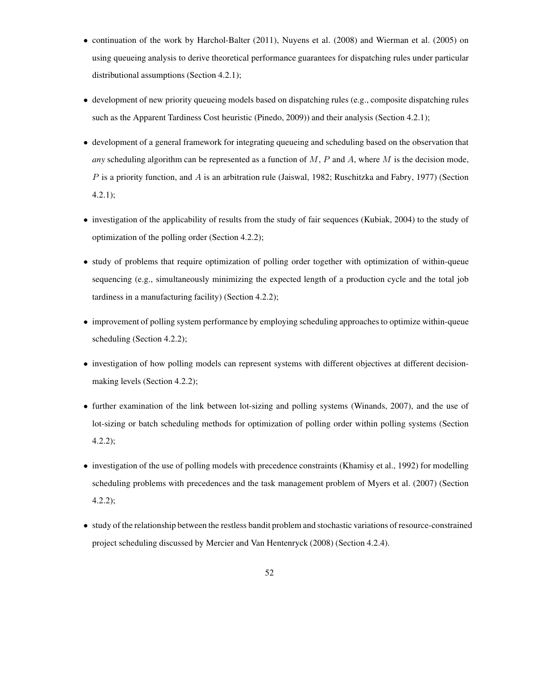- continuation of the work by Harchol-Balter (2011), Nuyens et al. (2008) and Wierman et al. (2005) on using queueing analysis to derive theoretical performance guarantees for dispatching rules under particular distributional assumptions (Section 4.2.1);
- development of new priority queueing models based on dispatching rules (e.g., composite dispatching rules such as the Apparent Tardiness Cost heuristic (Pinedo, 2009)) and their analysis (Section 4.2.1);
- development of a general framework for integrating queueing and scheduling based on the observation that *any* scheduling algorithm can be represented as a function of M, P and A, where M is the decision mode, P is a priority function, and A is an arbitration rule (Jaiswal, 1982; Ruschitzka and Fabry, 1977) (Section 4.2.1);
- investigation of the applicability of results from the study of fair sequences (Kubiak, 2004) to the study of optimization of the polling order (Section 4.2.2);
- study of problems that require optimization of polling order together with optimization of within-queue sequencing (e.g., simultaneously minimizing the expected length of a production cycle and the total job tardiness in a manufacturing facility) (Section 4.2.2);
- improvement of polling system performance by employing scheduling approaches to optimize within-queue scheduling (Section 4.2.2);
- investigation of how polling models can represent systems with different objectives at different decisionmaking levels (Section 4.2.2);
- further examination of the link between lot-sizing and polling systems (Winands, 2007), and the use of lot-sizing or batch scheduling methods for optimization of polling order within polling systems (Section 4.2.2);
- investigation of the use of polling models with precedence constraints (Khamisy et al., 1992) for modelling scheduling problems with precedences and the task management problem of Myers et al. (2007) (Section 4.2.2);
- study of the relationship between the restless bandit problem and stochastic variations of resource-constrained project scheduling discussed by Mercier and Van Hentenryck (2008) (Section 4.2.4).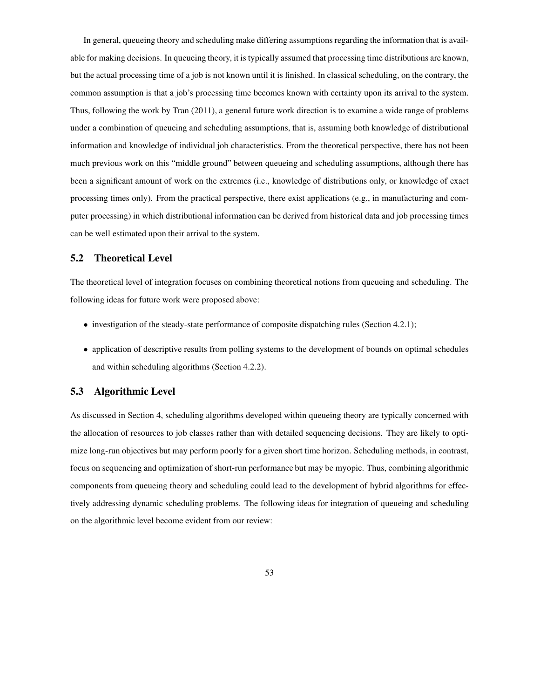In general, queueing theory and scheduling make differing assumptions regarding the information that is available for making decisions. In queueing theory, it is typically assumed that processing time distributions are known, but the actual processing time of a job is not known until it is finished. In classical scheduling, on the contrary, the common assumption is that a job's processing time becomes known with certainty upon its arrival to the system. Thus, following the work by Tran (2011), a general future work direction is to examine a wide range of problems under a combination of queueing and scheduling assumptions, that is, assuming both knowledge of distributional information and knowledge of individual job characteristics. From the theoretical perspective, there has not been much previous work on this "middle ground" between queueing and scheduling assumptions, although there has been a significant amount of work on the extremes (i.e., knowledge of distributions only, or knowledge of exact processing times only). From the practical perspective, there exist applications (e.g., in manufacturing and computer processing) in which distributional information can be derived from historical data and job processing times can be well estimated upon their arrival to the system.

#### 5.2 Theoretical Level

The theoretical level of integration focuses on combining theoretical notions from queueing and scheduling. The following ideas for future work were proposed above:

- investigation of the steady-state performance of composite dispatching rules (Section 4.2.1);
- application of descriptive results from polling systems to the development of bounds on optimal schedules and within scheduling algorithms (Section 4.2.2).

#### 5.3 Algorithmic Level

As discussed in Section 4, scheduling algorithms developed within queueing theory are typically concerned with the allocation of resources to job classes rather than with detailed sequencing decisions. They are likely to optimize long-run objectives but may perform poorly for a given short time horizon. Scheduling methods, in contrast, focus on sequencing and optimization of short-run performance but may be myopic. Thus, combining algorithmic components from queueing theory and scheduling could lead to the development of hybrid algorithms for effectively addressing dynamic scheduling problems. The following ideas for integration of queueing and scheduling on the algorithmic level become evident from our review: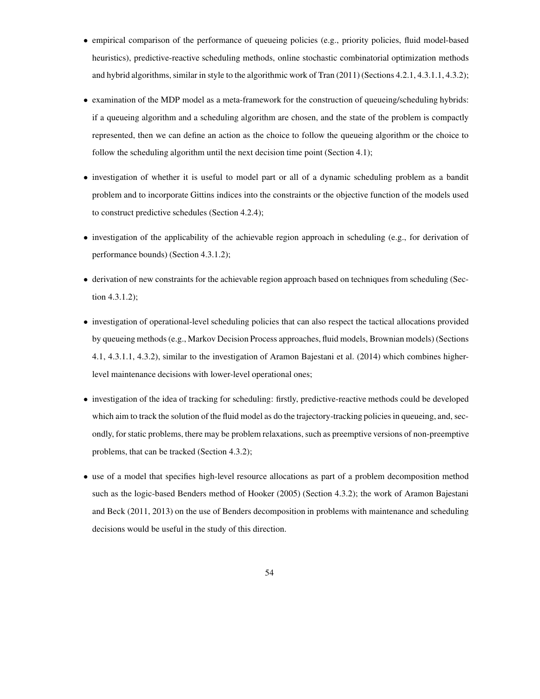- empirical comparison of the performance of queueing policies (e.g., priority policies, fluid model-based heuristics), predictive-reactive scheduling methods, online stochastic combinatorial optimization methods and hybrid algorithms, similar in style to the algorithmic work of Tran (2011) (Sections 4.2.1, 4.3.1.1, 4.3.2);
- examination of the MDP model as a meta-framework for the construction of queueing/scheduling hybrids: if a queueing algorithm and a scheduling algorithm are chosen, and the state of the problem is compactly represented, then we can define an action as the choice to follow the queueing algorithm or the choice to follow the scheduling algorithm until the next decision time point (Section 4.1);
- investigation of whether it is useful to model part or all of a dynamic scheduling problem as a bandit problem and to incorporate Gittins indices into the constraints or the objective function of the models used to construct predictive schedules (Section 4.2.4);
- investigation of the applicability of the achievable region approach in scheduling (e.g., for derivation of performance bounds) (Section 4.3.1.2);
- derivation of new constraints for the achievable region approach based on techniques from scheduling (Section 4.3.1.2);
- investigation of operational-level scheduling policies that can also respect the tactical allocations provided by queueing methods (e.g., Markov Decision Process approaches, fluid models, Brownian models) (Sections 4.1, 4.3.1.1, 4.3.2), similar to the investigation of Aramon Bajestani et al. (2014) which combines higherlevel maintenance decisions with lower-level operational ones;
- investigation of the idea of tracking for scheduling: firstly, predictive-reactive methods could be developed which aim to track the solution of the fluid model as do the trajectory-tracking policies in queueing, and, secondly, for static problems, there may be problem relaxations, such as preemptive versions of non-preemptive problems, that can be tracked (Section 4.3.2);
- use of a model that specifies high-level resource allocations as part of a problem decomposition method such as the logic-based Benders method of Hooker (2005) (Section 4.3.2); the work of Aramon Bajestani and Beck (2011, 2013) on the use of Benders decomposition in problems with maintenance and scheduling decisions would be useful in the study of this direction.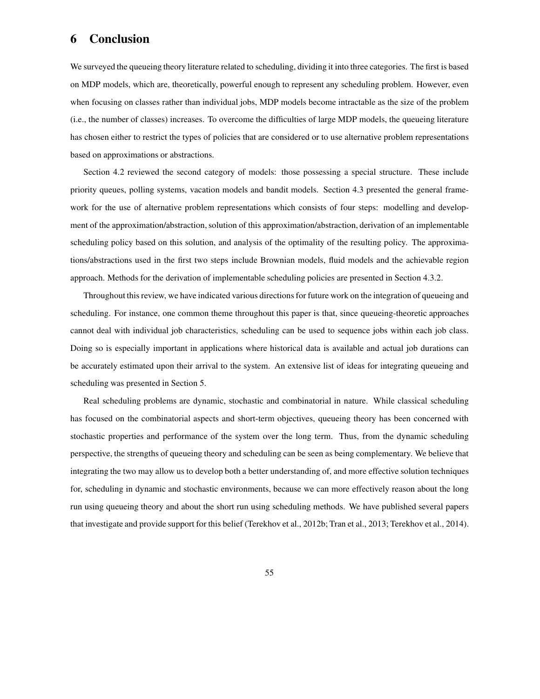### 6 Conclusion

We surveyed the queueing theory literature related to scheduling, dividing it into three categories. The first is based on MDP models, which are, theoretically, powerful enough to represent any scheduling problem. However, even when focusing on classes rather than individual jobs, MDP models become intractable as the size of the problem (i.e., the number of classes) increases. To overcome the difficulties of large MDP models, the queueing literature has chosen either to restrict the types of policies that are considered or to use alternative problem representations based on approximations or abstractions.

Section 4.2 reviewed the second category of models: those possessing a special structure. These include priority queues, polling systems, vacation models and bandit models. Section 4.3 presented the general framework for the use of alternative problem representations which consists of four steps: modelling and development of the approximation/abstraction, solution of this approximation/abstraction, derivation of an implementable scheduling policy based on this solution, and analysis of the optimality of the resulting policy. The approximations/abstractions used in the first two steps include Brownian models, fluid models and the achievable region approach. Methods for the derivation of implementable scheduling policies are presented in Section 4.3.2.

Throughout this review, we have indicated various directions for future work on the integration of queueing and scheduling. For instance, one common theme throughout this paper is that, since queueing-theoretic approaches cannot deal with individual job characteristics, scheduling can be used to sequence jobs within each job class. Doing so is especially important in applications where historical data is available and actual job durations can be accurately estimated upon their arrival to the system. An extensive list of ideas for integrating queueing and scheduling was presented in Section 5.

Real scheduling problems are dynamic, stochastic and combinatorial in nature. While classical scheduling has focused on the combinatorial aspects and short-term objectives, queueing theory has been concerned with stochastic properties and performance of the system over the long term. Thus, from the dynamic scheduling perspective, the strengths of queueing theory and scheduling can be seen as being complementary. We believe that integrating the two may allow us to develop both a better understanding of, and more effective solution techniques for, scheduling in dynamic and stochastic environments, because we can more effectively reason about the long run using queueing theory and about the short run using scheduling methods. We have published several papers that investigate and provide support for this belief (Terekhov et al., 2012b; Tran et al., 2013; Terekhov et al., 2014).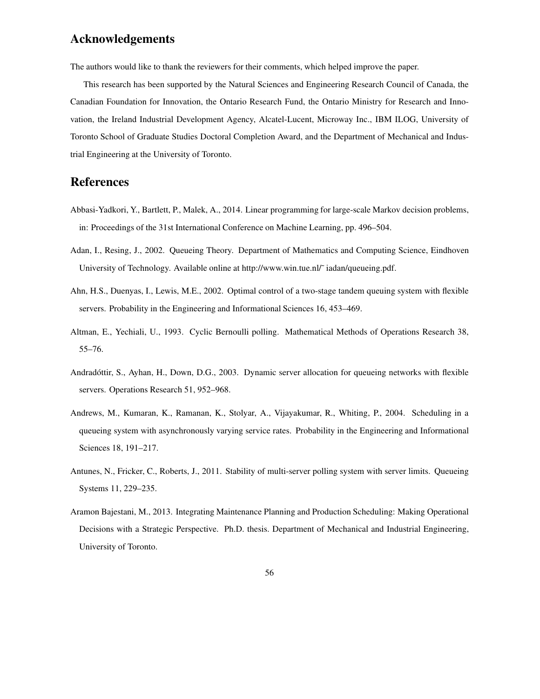## Acknowledgements

The authors would like to thank the reviewers for their comments, which helped improve the paper.

This research has been supported by the Natural Sciences and Engineering Research Council of Canada, the Canadian Foundation for Innovation, the Ontario Research Fund, the Ontario Ministry for Research and Innovation, the Ireland Industrial Development Agency, Alcatel-Lucent, Microway Inc., IBM ILOG, University of Toronto School of Graduate Studies Doctoral Completion Award, and the Department of Mechanical and Industrial Engineering at the University of Toronto.

# **References**

- Abbasi-Yadkori, Y., Bartlett, P., Malek, A., 2014. Linear programming for large-scale Markov decision problems, in: Proceedings of the 31st International Conference on Machine Learning, pp. 496–504.
- Adan, I., Resing, J., 2002. Queueing Theory. Department of Mathematics and Computing Science, Eindhoven University of Technology. Available online at http://www.win.tue.nl/ $\tilde{ }$ iadan/queueing.pdf.
- Ahn, H.S., Duenyas, I., Lewis, M.E., 2002. Optimal control of a two-stage tandem queuing system with flexible servers. Probability in the Engineering and Informational Sciences 16, 453–469.
- Altman, E., Yechiali, U., 1993. Cyclic Bernoulli polling. Mathematical Methods of Operations Research 38, 55–76.
- Andradóttir, S., Ayhan, H., Down, D.G., 2003. Dynamic server allocation for queueing networks with flexible servers. Operations Research 51, 952–968.
- Andrews, M., Kumaran, K., Ramanan, K., Stolyar, A., Vijayakumar, R., Whiting, P., 2004. Scheduling in a queueing system with asynchronously varying service rates. Probability in the Engineering and Informational Sciences 18, 191–217.
- Antunes, N., Fricker, C., Roberts, J., 2011. Stability of multi-server polling system with server limits. Queueing Systems 11, 229–235.
- Aramon Bajestani, M., 2013. Integrating Maintenance Planning and Production Scheduling: Making Operational Decisions with a Strategic Perspective. Ph.D. thesis. Department of Mechanical and Industrial Engineering, University of Toronto.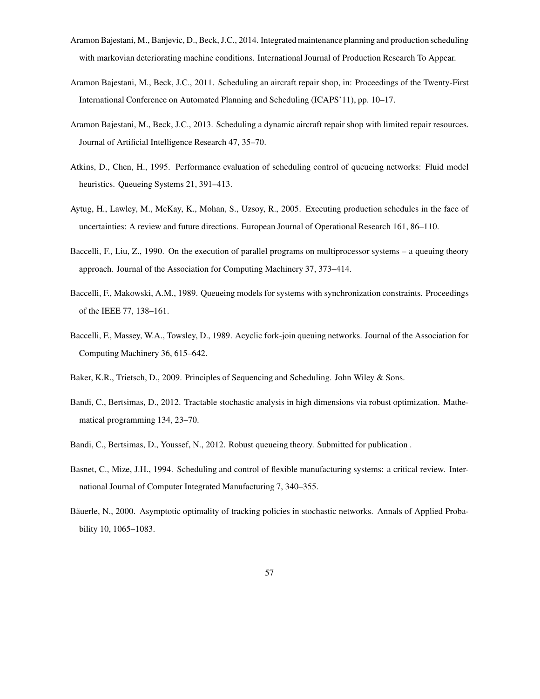- Aramon Bajestani, M., Banjevic, D., Beck, J.C., 2014. Integrated maintenance planning and production scheduling with markovian deteriorating machine conditions. International Journal of Production Research To Appear.
- Aramon Bajestani, M., Beck, J.C., 2011. Scheduling an aircraft repair shop, in: Proceedings of the Twenty-First International Conference on Automated Planning and Scheduling (ICAPS'11), pp. 10–17.
- Aramon Bajestani, M., Beck, J.C., 2013. Scheduling a dynamic aircraft repair shop with limited repair resources. Journal of Artificial Intelligence Research 47, 35–70.
- Atkins, D., Chen, H., 1995. Performance evaluation of scheduling control of queueing networks: Fluid model heuristics. Queueing Systems 21, 391–413.
- Aytug, H., Lawley, M., McKay, K., Mohan, S., Uzsoy, R., 2005. Executing production schedules in the face of uncertainties: A review and future directions. European Journal of Operational Research 161, 86–110.
- Baccelli, F., Liu, Z., 1990. On the execution of parallel programs on multiprocessor systems a queuing theory approach. Journal of the Association for Computing Machinery 37, 373–414.
- Baccelli, F., Makowski, A.M., 1989. Queueing models for systems with synchronization constraints. Proceedings of the IEEE 77, 138–161.
- Baccelli, F., Massey, W.A., Towsley, D., 1989. Acyclic fork-join queuing networks. Journal of the Association for Computing Machinery 36, 615–642.
- Baker, K.R., Trietsch, D., 2009. Principles of Sequencing and Scheduling. John Wiley & Sons.
- Bandi, C., Bertsimas, D., 2012. Tractable stochastic analysis in high dimensions via robust optimization. Mathematical programming 134, 23–70.
- Bandi, C., Bertsimas, D., Youssef, N., 2012. Robust queueing theory. Submitted for publication .
- Basnet, C., Mize, J.H., 1994. Scheduling and control of flexible manufacturing systems: a critical review. International Journal of Computer Integrated Manufacturing 7, 340–355.
- Bäuerle, N., 2000. Asymptotic optimality of tracking policies in stochastic networks. Annals of Applied Probability 10, 1065–1083.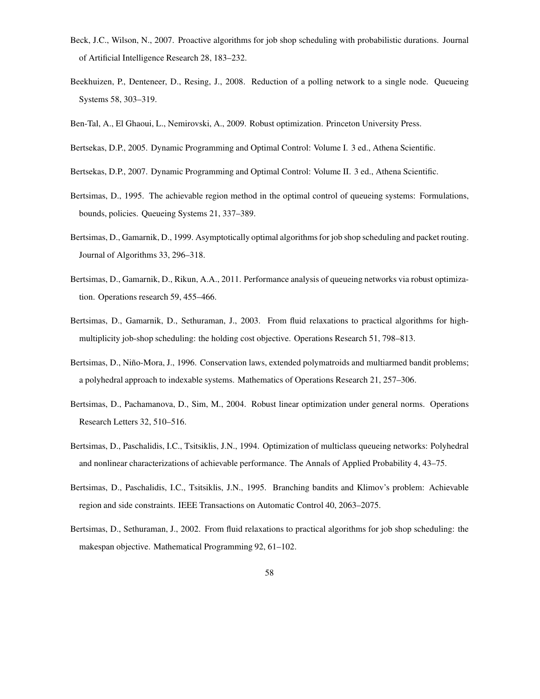- Beck, J.C., Wilson, N., 2007. Proactive algorithms for job shop scheduling with probabilistic durations. Journal of Artificial Intelligence Research 28, 183–232.
- Beekhuizen, P., Denteneer, D., Resing, J., 2008. Reduction of a polling network to a single node. Queueing Systems 58, 303–319.
- Ben-Tal, A., El Ghaoui, L., Nemirovski, A., 2009. Robust optimization. Princeton University Press.
- Bertsekas, D.P., 2005. Dynamic Programming and Optimal Control: Volume I. 3 ed., Athena Scientific.
- Bertsekas, D.P., 2007. Dynamic Programming and Optimal Control: Volume II. 3 ed., Athena Scientific.
- Bertsimas, D., 1995. The achievable region method in the optimal control of queueing systems: Formulations, bounds, policies. Queueing Systems 21, 337–389.
- Bertsimas, D., Gamarnik, D., 1999. Asymptotically optimal algorithms for job shop scheduling and packet routing. Journal of Algorithms 33, 296–318.
- Bertsimas, D., Gamarnik, D., Rikun, A.A., 2011. Performance analysis of queueing networks via robust optimization. Operations research 59, 455–466.
- Bertsimas, D., Gamarnik, D., Sethuraman, J., 2003. From fluid relaxations to practical algorithms for highmultiplicity job-shop scheduling: the holding cost objective. Operations Research 51, 798–813.
- Bertsimas, D., Niño-Mora, J., 1996. Conservation laws, extended polymatroids and multiarmed bandit problems; a polyhedral approach to indexable systems. Mathematics of Operations Research 21, 257–306.
- Bertsimas, D., Pachamanova, D., Sim, M., 2004. Robust linear optimization under general norms. Operations Research Letters 32, 510–516.
- Bertsimas, D., Paschalidis, I.C., Tsitsiklis, J.N., 1994. Optimization of multiclass queueing networks: Polyhedral and nonlinear characterizations of achievable performance. The Annals of Applied Probability 4, 43–75.
- Bertsimas, D., Paschalidis, I.C., Tsitsiklis, J.N., 1995. Branching bandits and Klimov's problem: Achievable region and side constraints. IEEE Transactions on Automatic Control 40, 2063–2075.
- Bertsimas, D., Sethuraman, J., 2002. From fluid relaxations to practical algorithms for job shop scheduling: the makespan objective. Mathematical Programming 92, 61–102.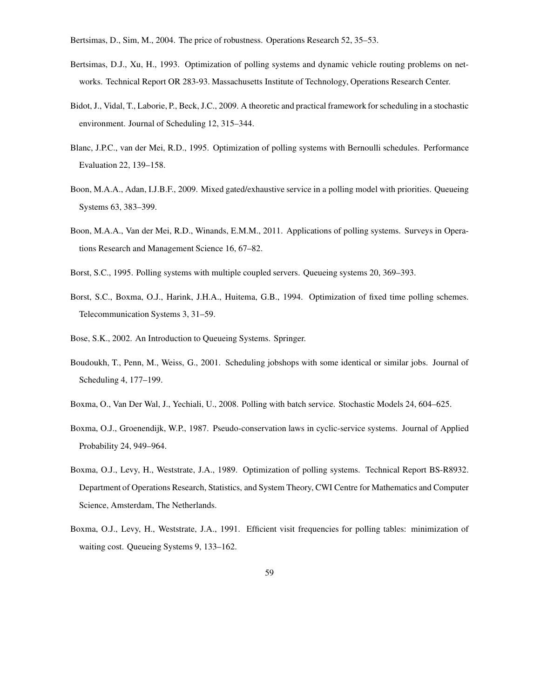Bertsimas, D., Sim, M., 2004. The price of robustness. Operations Research 52, 35–53.

- Bertsimas, D.J., Xu, H., 1993. Optimization of polling systems and dynamic vehicle routing problems on networks. Technical Report OR 283-93. Massachusetts Institute of Technology, Operations Research Center.
- Bidot, J., Vidal, T., Laborie, P., Beck, J.C., 2009. A theoretic and practical framework for scheduling in a stochastic environment. Journal of Scheduling 12, 315–344.
- Blanc, J.P.C., van der Mei, R.D., 1995. Optimization of polling systems with Bernoulli schedules. Performance Evaluation 22, 139–158.
- Boon, M.A.A., Adan, I.J.B.F., 2009. Mixed gated/exhaustive service in a polling model with priorities. Queueing Systems 63, 383–399.
- Boon, M.A.A., Van der Mei, R.D., Winands, E.M.M., 2011. Applications of polling systems. Surveys in Operations Research and Management Science 16, 67–82.
- Borst, S.C., 1995. Polling systems with multiple coupled servers. Queueing systems 20, 369–393.
- Borst, S.C., Boxma, O.J., Harink, J.H.A., Huitema, G.B., 1994. Optimization of fixed time polling schemes. Telecommunication Systems 3, 31–59.
- Bose, S.K., 2002. An Introduction to Queueing Systems. Springer.
- Boudoukh, T., Penn, M., Weiss, G., 2001. Scheduling jobshops with some identical or similar jobs. Journal of Scheduling 4, 177–199.
- Boxma, O., Van Der Wal, J., Yechiali, U., 2008. Polling with batch service. Stochastic Models 24, 604–625.
- Boxma, O.J., Groenendijk, W.P., 1987. Pseudo-conservation laws in cyclic-service systems. Journal of Applied Probability 24, 949–964.
- Boxma, O.J., Levy, H., Weststrate, J.A., 1989. Optimization of polling systems. Technical Report BS-R8932. Department of Operations Research, Statistics, and System Theory, CWI Centre for Mathematics and Computer Science, Amsterdam, The Netherlands.
- Boxma, O.J., Levy, H., Weststrate, J.A., 1991. Efficient visit frequencies for polling tables: minimization of waiting cost. Queueing Systems 9, 133–162.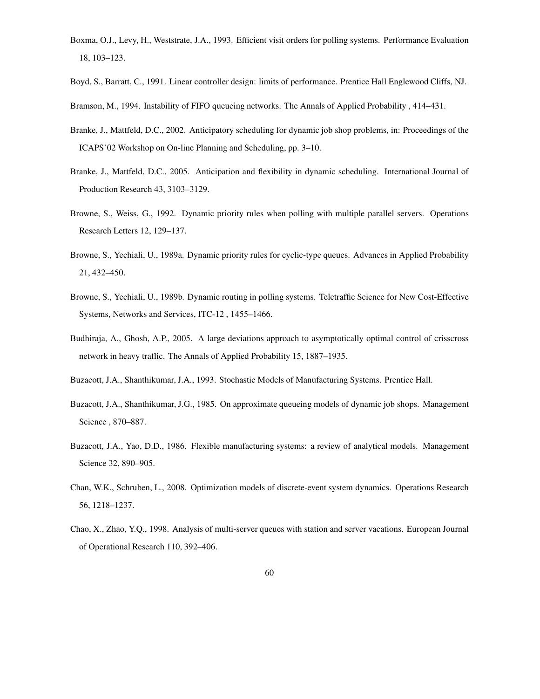- Boxma, O.J., Levy, H., Weststrate, J.A., 1993. Efficient visit orders for polling systems. Performance Evaluation 18, 103–123.
- Boyd, S., Barratt, C., 1991. Linear controller design: limits of performance. Prentice Hall Englewood Cliffs, NJ.
- Bramson, M., 1994. Instability of FIFO queueing networks. The Annals of Applied Probability , 414–431.
- Branke, J., Mattfeld, D.C., 2002. Anticipatory scheduling for dynamic job shop problems, in: Proceedings of the ICAPS'02 Workshop on On-line Planning and Scheduling, pp. 3–10.
- Branke, J., Mattfeld, D.C., 2005. Anticipation and flexibility in dynamic scheduling. International Journal of Production Research 43, 3103–3129.
- Browne, S., Weiss, G., 1992. Dynamic priority rules when polling with multiple parallel servers. Operations Research Letters 12, 129–137.
- Browne, S., Yechiali, U., 1989a. Dynamic priority rules for cyclic-type queues. Advances in Applied Probability 21, 432–450.
- Browne, S., Yechiali, U., 1989b. Dynamic routing in polling systems. Teletraffic Science for New Cost-Effective Systems, Networks and Services, ITC-12 , 1455–1466.
- Budhiraja, A., Ghosh, A.P., 2005. A large deviations approach to asymptotically optimal control of crisscross network in heavy traffic. The Annals of Applied Probability 15, 1887–1935.
- Buzacott, J.A., Shanthikumar, J.A., 1993. Stochastic Models of Manufacturing Systems. Prentice Hall.
- Buzacott, J.A., Shanthikumar, J.G., 1985. On approximate queueing models of dynamic job shops. Management Science , 870–887.
- Buzacott, J.A., Yao, D.D., 1986. Flexible manufacturing systems: a review of analytical models. Management Science 32, 890–905.
- Chan, W.K., Schruben, L., 2008. Optimization models of discrete-event system dynamics. Operations Research 56, 1218–1237.
- Chao, X., Zhao, Y.Q., 1998. Analysis of multi-server queues with station and server vacations. European Journal of Operational Research 110, 392–406.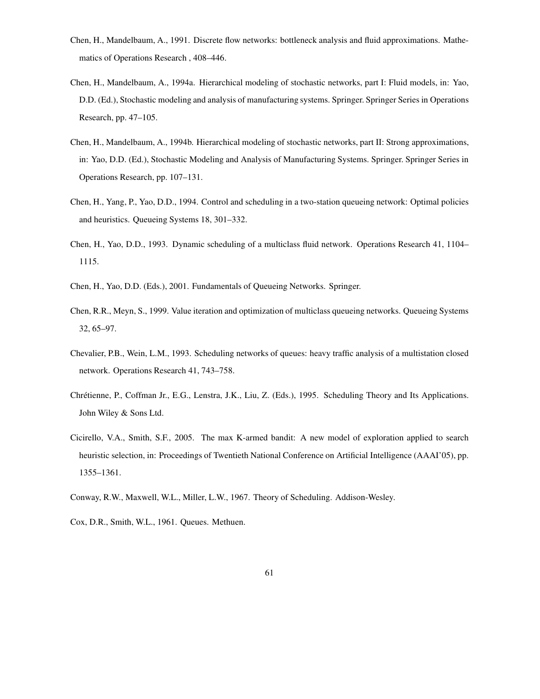- Chen, H., Mandelbaum, A., 1991. Discrete flow networks: bottleneck analysis and fluid approximations. Mathematics of Operations Research , 408–446.
- Chen, H., Mandelbaum, A., 1994a. Hierarchical modeling of stochastic networks, part I: Fluid models, in: Yao, D.D. (Ed.), Stochastic modeling and analysis of manufacturing systems. Springer. Springer Series in Operations Research, pp. 47–105.
- Chen, H., Mandelbaum, A., 1994b. Hierarchical modeling of stochastic networks, part II: Strong approximations, in: Yao, D.D. (Ed.), Stochastic Modeling and Analysis of Manufacturing Systems. Springer. Springer Series in Operations Research, pp. 107–131.
- Chen, H., Yang, P., Yao, D.D., 1994. Control and scheduling in a two-station queueing network: Optimal policies and heuristics. Queueing Systems 18, 301–332.
- Chen, H., Yao, D.D., 1993. Dynamic scheduling of a multiclass fluid network. Operations Research 41, 1104– 1115.
- Chen, H., Yao, D.D. (Eds.), 2001. Fundamentals of Queueing Networks. Springer.
- Chen, R.R., Meyn, S., 1999. Value iteration and optimization of multiclass queueing networks. Queueing Systems 32, 65–97.
- Chevalier, P.B., Wein, L.M., 1993. Scheduling networks of queues: heavy traffic analysis of a multistation closed network. Operations Research 41, 743–758.
- Chr´etienne, P., Coffman Jr., E.G., Lenstra, J.K., Liu, Z. (Eds.), 1995. Scheduling Theory and Its Applications. John Wiley & Sons Ltd.
- Cicirello, V.A., Smith, S.F., 2005. The max K-armed bandit: A new model of exploration applied to search heuristic selection, in: Proceedings of Twentieth National Conference on Artificial Intelligence (AAAI'05), pp. 1355–1361.
- Conway, R.W., Maxwell, W.L., Miller, L.W., 1967. Theory of Scheduling. Addison-Wesley.
- Cox, D.R., Smith, W.L., 1961. Queues. Methuen.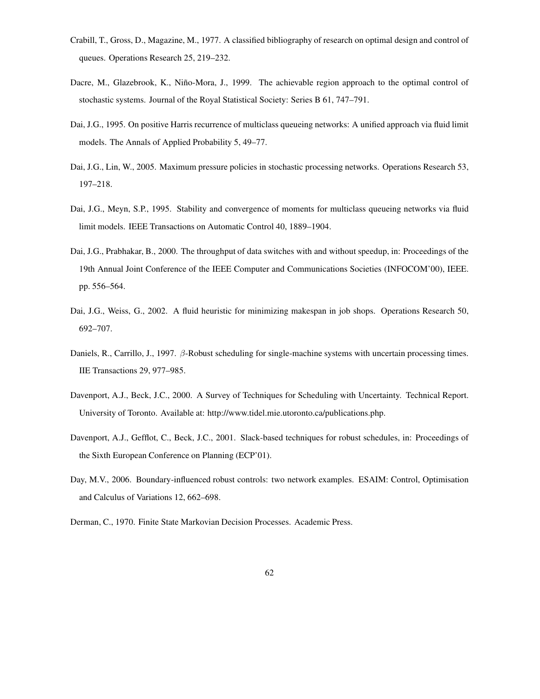- Crabill, T., Gross, D., Magazine, M., 1977. A classified bibliography of research on optimal design and control of queues. Operations Research 25, 219–232.
- Dacre, M., Glazebrook, K., Niño-Mora, J., 1999. The achievable region approach to the optimal control of stochastic systems. Journal of the Royal Statistical Society: Series B 61, 747–791.
- Dai, J.G., 1995. On positive Harris recurrence of multiclass queueing networks: A unified approach via fluid limit models. The Annals of Applied Probability 5, 49–77.
- Dai, J.G., Lin, W., 2005. Maximum pressure policies in stochastic processing networks. Operations Research 53, 197–218.
- Dai, J.G., Meyn, S.P., 1995. Stability and convergence of moments for multiclass queueing networks via fluid limit models. IEEE Transactions on Automatic Control 40, 1889–1904.
- Dai, J.G., Prabhakar, B., 2000. The throughput of data switches with and without speedup, in: Proceedings of the 19th Annual Joint Conference of the IEEE Computer and Communications Societies (INFOCOM'00), IEEE. pp. 556–564.
- Dai, J.G., Weiss, G., 2002. A fluid heuristic for minimizing makespan in job shops. Operations Research 50, 692–707.
- Daniels, R., Carrillo, J., 1997.  $\beta$ -Robust scheduling for single-machine systems with uncertain processing times. IIE Transactions 29, 977–985.
- Davenport, A.J., Beck, J.C., 2000. A Survey of Techniques for Scheduling with Uncertainty. Technical Report. University of Toronto. Available at: http://www.tidel.mie.utoronto.ca/publications.php.
- Davenport, A.J., Gefflot, C., Beck, J.C., 2001. Slack-based techniques for robust schedules, in: Proceedings of the Sixth European Conference on Planning (ECP'01).
- Day, M.V., 2006. Boundary-influenced robust controls: two network examples. ESAIM: Control, Optimisation and Calculus of Variations 12, 662–698.
- Derman, C., 1970. Finite State Markovian Decision Processes. Academic Press.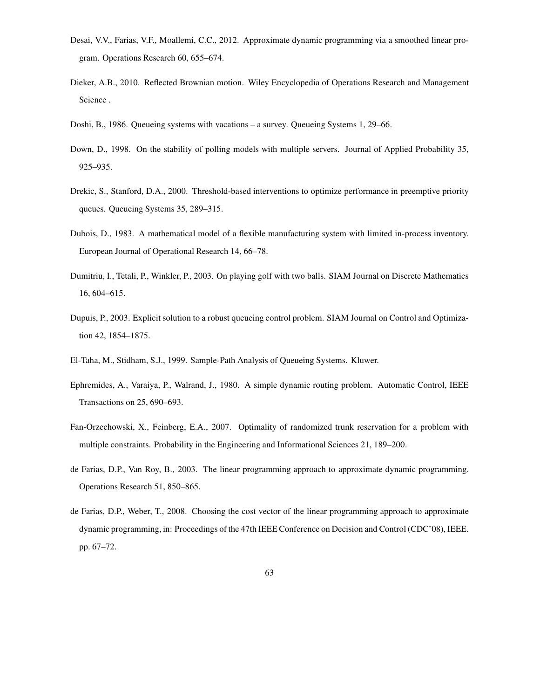- Desai, V.V., Farias, V.F., Moallemi, C.C., 2012. Approximate dynamic programming via a smoothed linear program. Operations Research 60, 655–674.
- Dieker, A.B., 2010. Reflected Brownian motion. Wiley Encyclopedia of Operations Research and Management Science .
- Doshi, B., 1986. Queueing systems with vacations a survey. Queueing Systems 1, 29–66.
- Down, D., 1998. On the stability of polling models with multiple servers. Journal of Applied Probability 35, 925–935.
- Drekic, S., Stanford, D.A., 2000. Threshold-based interventions to optimize performance in preemptive priority queues. Queueing Systems 35, 289–315.
- Dubois, D., 1983. A mathematical model of a flexible manufacturing system with limited in-process inventory. European Journal of Operational Research 14, 66–78.
- Dumitriu, I., Tetali, P., Winkler, P., 2003. On playing golf with two balls. SIAM Journal on Discrete Mathematics 16, 604–615.
- Dupuis, P., 2003. Explicit solution to a robust queueing control problem. SIAM Journal on Control and Optimization 42, 1854–1875.
- El-Taha, M., Stidham, S.J., 1999. Sample-Path Analysis of Queueing Systems. Kluwer.
- Ephremides, A., Varaiya, P., Walrand, J., 1980. A simple dynamic routing problem. Automatic Control, IEEE Transactions on 25, 690–693.
- Fan-Orzechowski, X., Feinberg, E.A., 2007. Optimality of randomized trunk reservation for a problem with multiple constraints. Probability in the Engineering and Informational Sciences 21, 189–200.
- de Farias, D.P., Van Roy, B., 2003. The linear programming approach to approximate dynamic programming. Operations Research 51, 850–865.
- de Farias, D.P., Weber, T., 2008. Choosing the cost vector of the linear programming approach to approximate dynamic programming, in: Proceedings of the 47th IEEE Conference on Decision and Control (CDC'08), IEEE. pp. 67–72.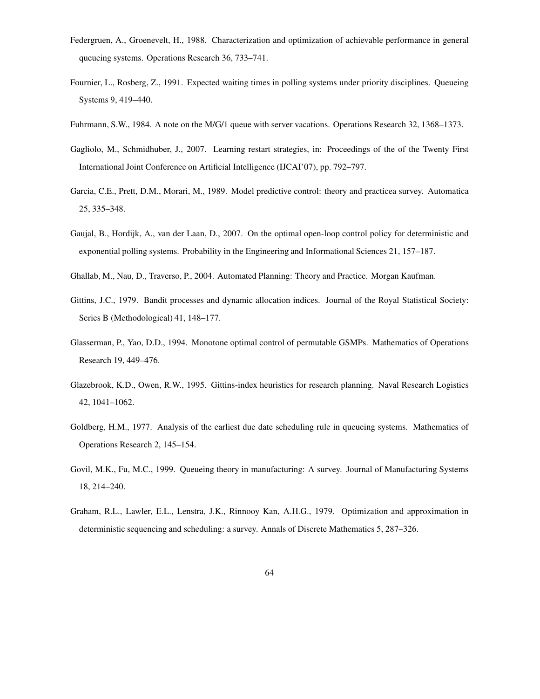- Federgruen, A., Groenevelt, H., 1988. Characterization and optimization of achievable performance in general queueing systems. Operations Research 36, 733–741.
- Fournier, L., Rosberg, Z., 1991. Expected waiting times in polling systems under priority disciplines. Queueing Systems 9, 419–440.
- Fuhrmann, S.W., 1984. A note on the M/G/1 queue with server vacations. Operations Research 32, 1368–1373.
- Gagliolo, M., Schmidhuber, J., 2007. Learning restart strategies, in: Proceedings of the of the Twenty First International Joint Conference on Artificial Intelligence (IJCAI'07), pp. 792–797.
- Garcia, C.E., Prett, D.M., Morari, M., 1989. Model predictive control: theory and practicea survey. Automatica 25, 335–348.
- Gaujal, B., Hordijk, A., van der Laan, D., 2007. On the optimal open-loop control policy for deterministic and exponential polling systems. Probability in the Engineering and Informational Sciences 21, 157–187.
- Ghallab, M., Nau, D., Traverso, P., 2004. Automated Planning: Theory and Practice. Morgan Kaufman.
- Gittins, J.C., 1979. Bandit processes and dynamic allocation indices. Journal of the Royal Statistical Society: Series B (Methodological) 41, 148–177.
- Glasserman, P., Yao, D.D., 1994. Monotone optimal control of permutable GSMPs. Mathematics of Operations Research 19, 449–476.
- Glazebrook, K.D., Owen, R.W., 1995. Gittins-index heuristics for research planning. Naval Research Logistics 42, 1041–1062.
- Goldberg, H.M., 1977. Analysis of the earliest due date scheduling rule in queueing systems. Mathematics of Operations Research 2, 145–154.
- Govil, M.K., Fu, M.C., 1999. Queueing theory in manufacturing: A survey. Journal of Manufacturing Systems 18, 214–240.
- Graham, R.L., Lawler, E.L., Lenstra, J.K., Rinnooy Kan, A.H.G., 1979. Optimization and approximation in deterministic sequencing and scheduling: a survey. Annals of Discrete Mathematics 5, 287–326.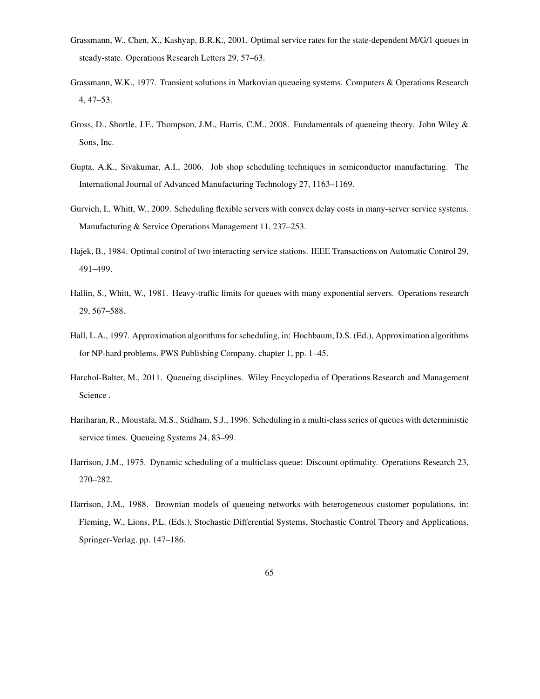- Grassmann, W., Chen, X., Kashyap, B.R.K., 2001. Optimal service rates for the state-dependent M/G/1 queues in steady-state. Operations Research Letters 29, 57–63.
- Grassmann, W.K., 1977. Transient solutions in Markovian queueing systems. Computers & Operations Research 4, 47–53.
- Gross, D., Shortle, J.F., Thompson, J.M., Harris, C.M., 2008. Fundamentals of queueing theory. John Wiley & Sons, Inc.
- Gupta, A.K., Sivakumar, A.I., 2006. Job shop scheduling techniques in semiconductor manufacturing. The International Journal of Advanced Manufacturing Technology 27, 1163–1169.
- Gurvich, I., Whitt, W., 2009. Scheduling flexible servers with convex delay costs in many-server service systems. Manufacturing & Service Operations Management 11, 237–253.
- Hajek, B., 1984. Optimal control of two interacting service stations. IEEE Transactions on Automatic Control 29, 491–499.
- Halfin, S., Whitt, W., 1981. Heavy-traffic limits for queues with many exponential servers. Operations research 29, 567–588.
- Hall, L.A., 1997. Approximation algorithms for scheduling, in: Hochbaum, D.S. (Ed.), Approximation algorithms for NP-hard problems. PWS Publishing Company. chapter 1, pp. 1–45.
- Harchol-Balter, M., 2011. Queueing disciplines. Wiley Encyclopedia of Operations Research and Management Science .
- Hariharan, R., Moustafa, M.S., Stidham, S.J., 1996. Scheduling in a multi-class series of queues with deterministic service times. Queueing Systems 24, 83–99.
- Harrison, J.M., 1975. Dynamic scheduling of a multiclass queue: Discount optimality. Operations Research 23, 270–282.
- Harrison, J.M., 1988. Brownian models of queueing networks with heterogeneous customer populations, in: Fleming, W., Lions, P.L. (Eds.), Stochastic Differential Systems, Stochastic Control Theory and Applications, Springer-Verlag. pp. 147–186.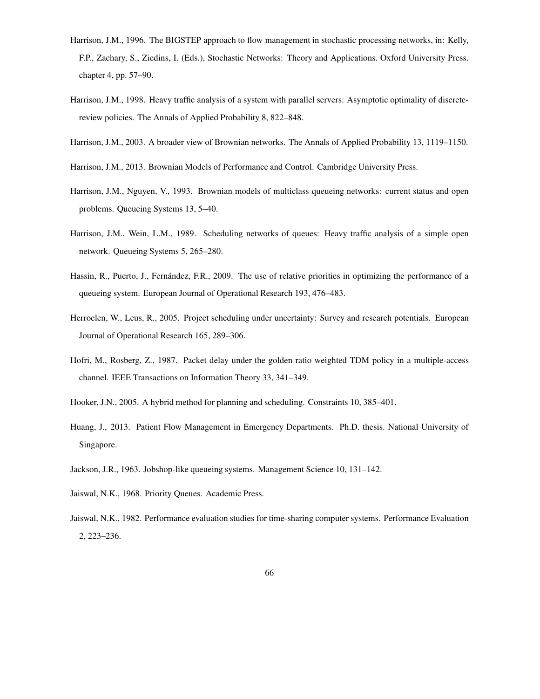- Harrison, J.M., 1996. The BIGSTEP approach to flow management in stochastic processing networks, in: Kelly, F.P., Zachary, S., Ziedins, I. (Eds.), Stochastic Networks: Theory and Applications. Oxford University Press. chapter 4, pp. 57–90.
- Harrison, J.M., 1998. Heavy traffic analysis of a system with parallel servers: Asymptotic optimality of discretereview policies. The Annals of Applied Probability 8, 822–848.
- Harrison, J.M., 2003. A broader view of Brownian networks. The Annals of Applied Probability 13, 1119–1150.
- Harrison, J.M., 2013. Brownian Models of Performance and Control. Cambridge University Press.
- Harrison, J.M., Nguyen, V., 1993. Brownian models of multiclass queueing networks: current status and open problems. Queueing Systems 13, 5–40.
- Harrison, J.M., Wein, L.M., 1989. Scheduling networks of queues: Heavy traffic analysis of a simple open network. Queueing Systems 5, 265–280.
- Hassin, R., Puerto, J., Fernández, F.R., 2009. The use of relative priorities in optimizing the performance of a queueing system. European Journal of Operational Research 193, 476–483.
- Herroelen, W., Leus, R., 2005. Project scheduling under uncertainty: Survey and research potentials. European Journal of Operational Research 165, 289–306.
- Hofri, M., Rosberg, Z., 1987. Packet delay under the golden ratio weighted TDM policy in a multiple-access channel. IEEE Transactions on Information Theory 33, 341–349.
- Hooker, J.N., 2005. A hybrid method for planning and scheduling. Constraints 10, 385–401.
- Huang, J., 2013. Patient Flow Management in Emergency Departments. Ph.D. thesis. National University of Singapore.
- Jackson, J.R., 1963. Jobshop-like queueing systems. Management Science 10, 131–142.
- Jaiswal, N.K., 1968. Priority Queues. Academic Press.
- Jaiswal, N.K., 1982. Performance evaluation studies for time-sharing computer systems. Performance Evaluation 2, 223–236.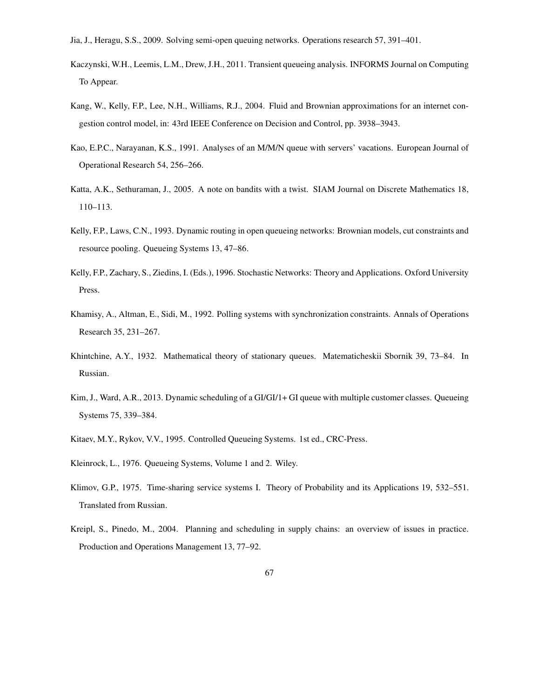Jia, J., Heragu, S.S., 2009. Solving semi-open queuing networks. Operations research 57, 391–401.

- Kaczynski, W.H., Leemis, L.M., Drew, J.H., 2011. Transient queueing analysis. INFORMS Journal on Computing To Appear.
- Kang, W., Kelly, F.P., Lee, N.H., Williams, R.J., 2004. Fluid and Brownian approximations for an internet congestion control model, in: 43rd IEEE Conference on Decision and Control, pp. 3938–3943.
- Kao, E.P.C., Narayanan, K.S., 1991. Analyses of an M/M/N queue with servers' vacations. European Journal of Operational Research 54, 256–266.
- Katta, A.K., Sethuraman, J., 2005. A note on bandits with a twist. SIAM Journal on Discrete Mathematics 18, 110–113.
- Kelly, F.P., Laws, C.N., 1993. Dynamic routing in open queueing networks: Brownian models, cut constraints and resource pooling. Queueing Systems 13, 47–86.
- Kelly, F.P., Zachary, S., Ziedins, I. (Eds.), 1996. Stochastic Networks: Theory and Applications. Oxford University Press.
- Khamisy, A., Altman, E., Sidi, M., 1992. Polling systems with synchronization constraints. Annals of Operations Research 35, 231–267.
- Khintchine, A.Y., 1932. Mathematical theory of stationary queues. Matematicheskii Sbornik 39, 73–84. In Russian.
- Kim, J., Ward, A.R., 2013. Dynamic scheduling of a GI/GI/1+ GI queue with multiple customer classes. Queueing Systems 75, 339–384.
- Kitaev, M.Y., Rykov, V.V., 1995. Controlled Queueing Systems. 1st ed., CRC-Press.
- Kleinrock, L., 1976. Queueing Systems, Volume 1 and 2. Wiley.
- Klimov, G.P., 1975. Time-sharing service systems I. Theory of Probability and its Applications 19, 532–551. Translated from Russian.
- Kreipl, S., Pinedo, M., 2004. Planning and scheduling in supply chains: an overview of issues in practice. Production and Operations Management 13, 77–92.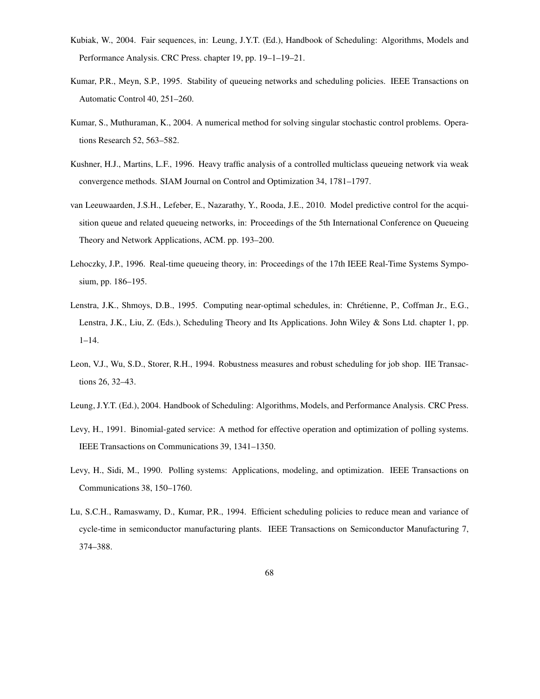- Kubiak, W., 2004. Fair sequences, in: Leung, J.Y.T. (Ed.), Handbook of Scheduling: Algorithms, Models and Performance Analysis. CRC Press. chapter 19, pp. 19–1–19–21.
- Kumar, P.R., Meyn, S.P., 1995. Stability of queueing networks and scheduling policies. IEEE Transactions on Automatic Control 40, 251–260.
- Kumar, S., Muthuraman, K., 2004. A numerical method for solving singular stochastic control problems. Operations Research 52, 563–582.
- Kushner, H.J., Martins, L.F., 1996. Heavy traffic analysis of a controlled multiclass queueing network via weak convergence methods. SIAM Journal on Control and Optimization 34, 1781–1797.
- van Leeuwaarden, J.S.H., Lefeber, E., Nazarathy, Y., Rooda, J.E., 2010. Model predictive control for the acquisition queue and related queueing networks, in: Proceedings of the 5th International Conference on Queueing Theory and Network Applications, ACM. pp. 193–200.
- Lehoczky, J.P., 1996. Real-time queueing theory, in: Proceedings of the 17th IEEE Real-Time Systems Symposium, pp. 186–195.
- Lenstra, J.K., Shmoys, D.B., 1995. Computing near-optimal schedules, in: Chrétienne, P., Coffman Jr., E.G., Lenstra, J.K., Liu, Z. (Eds.), Scheduling Theory and Its Applications. John Wiley & Sons Ltd. chapter 1, pp. 1–14.
- Leon, V.J., Wu, S.D., Storer, R.H., 1994. Robustness measures and robust scheduling for job shop. IIE Transactions 26, 32–43.
- Leung, J.Y.T. (Ed.), 2004. Handbook of Scheduling: Algorithms, Models, and Performance Analysis. CRC Press.
- Levy, H., 1991. Binomial-gated service: A method for effective operation and optimization of polling systems. IEEE Transactions on Communications 39, 1341–1350.
- Levy, H., Sidi, M., 1990. Polling systems: Applications, modeling, and optimization. IEEE Transactions on Communications 38, 150–1760.
- Lu, S.C.H., Ramaswamy, D., Kumar, P.R., 1994. Efficient scheduling policies to reduce mean and variance of cycle-time in semiconductor manufacturing plants. IEEE Transactions on Semiconductor Manufacturing 7, 374–388.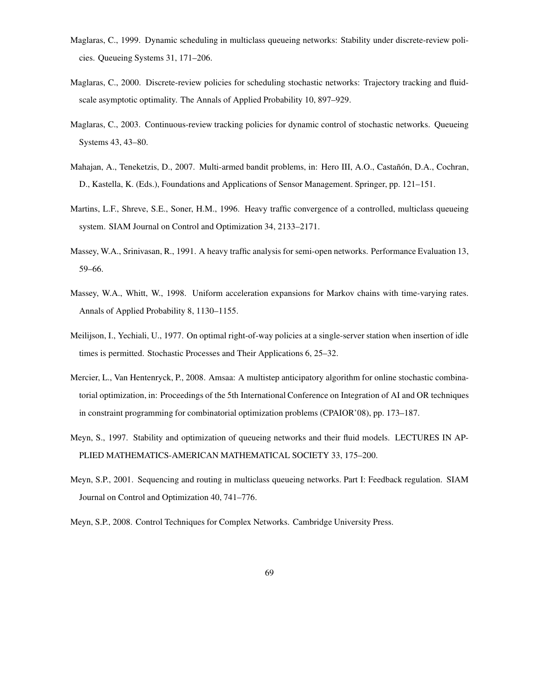- Maglaras, C., 1999. Dynamic scheduling in multiclass queueing networks: Stability under discrete-review policies. Queueing Systems 31, 171–206.
- Maglaras, C., 2000. Discrete-review policies for scheduling stochastic networks: Trajectory tracking and fluidscale asymptotic optimality. The Annals of Applied Probability 10, 897–929.
- Maglaras, C., 2003. Continuous-review tracking policies for dynamic control of stochastic networks. Queueing Systems 43, 43–80.
- Mahajan, A., Teneketzis, D., 2007. Multi-armed bandit problems, in: Hero III, A.O., Castañón, D.A., Cochran, D., Kastella, K. (Eds.), Foundations and Applications of Sensor Management. Springer, pp. 121–151.
- Martins, L.F., Shreve, S.E., Soner, H.M., 1996. Heavy traffic convergence of a controlled, multiclass queueing system. SIAM Journal on Control and Optimization 34, 2133–2171.
- Massey, W.A., Srinivasan, R., 1991. A heavy traffic analysis for semi-open networks. Performance Evaluation 13, 59–66.
- Massey, W.A., Whitt, W., 1998. Uniform acceleration expansions for Markov chains with time-varying rates. Annals of Applied Probability 8, 1130–1155.
- Meilijson, I., Yechiali, U., 1977. On optimal right-of-way policies at a single-server station when insertion of idle times is permitted. Stochastic Processes and Their Applications 6, 25–32.
- Mercier, L., Van Hentenryck, P., 2008. Amsaa: A multistep anticipatory algorithm for online stochastic combinatorial optimization, in: Proceedings of the 5th International Conference on Integration of AI and OR techniques in constraint programming for combinatorial optimization problems (CPAIOR'08), pp. 173–187.
- Meyn, S., 1997. Stability and optimization of queueing networks and their fluid models. LECTURES IN AP-PLIED MATHEMATICS-AMERICAN MATHEMATICAL SOCIETY 33, 175–200.
- Meyn, S.P., 2001. Sequencing and routing in multiclass queueing networks. Part I: Feedback regulation. SIAM Journal on Control and Optimization 40, 741–776.
- Meyn, S.P., 2008. Control Techniques for Complex Networks. Cambridge University Press.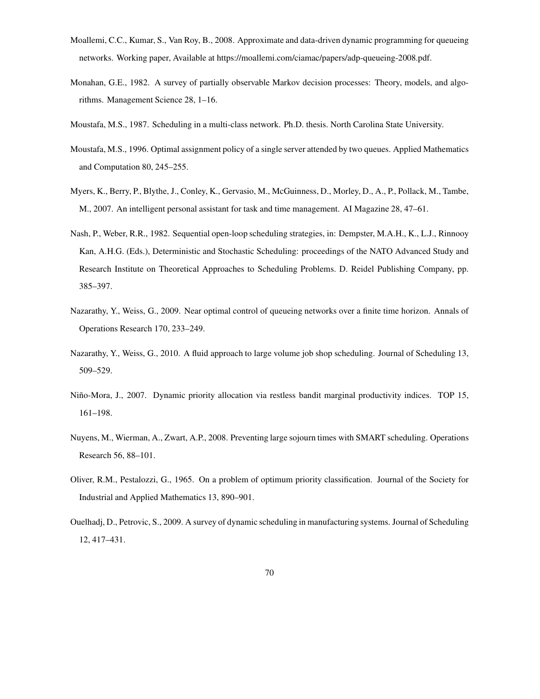- Moallemi, C.C., Kumar, S., Van Roy, B., 2008. Approximate and data-driven dynamic programming for queueing networks. Working paper, Available at https://moallemi.com/ciamac/papers/adp-queueing-2008.pdf.
- Monahan, G.E., 1982. A survey of partially observable Markov decision processes: Theory, models, and algorithms. Management Science 28, 1–16.
- Moustafa, M.S., 1987. Scheduling in a multi-class network. Ph.D. thesis. North Carolina State University.
- Moustafa, M.S., 1996. Optimal assignment policy of a single server attended by two queues. Applied Mathematics and Computation 80, 245–255.
- Myers, K., Berry, P., Blythe, J., Conley, K., Gervasio, M., McGuinness, D., Morley, D., A., P., Pollack, M., Tambe, M., 2007. An intelligent personal assistant for task and time management. AI Magazine 28, 47–61.
- Nash, P., Weber, R.R., 1982. Sequential open-loop scheduling strategies, in: Dempster, M.A.H., K., L.J., Rinnooy Kan, A.H.G. (Eds.), Deterministic and Stochastic Scheduling: proceedings of the NATO Advanced Study and Research Institute on Theoretical Approaches to Scheduling Problems. D. Reidel Publishing Company, pp. 385–397.
- Nazarathy, Y., Weiss, G., 2009. Near optimal control of queueing networks over a finite time horizon. Annals of Operations Research 170, 233–249.
- Nazarathy, Y., Weiss, G., 2010. A fluid approach to large volume job shop scheduling. Journal of Scheduling 13, 509–529.
- Niño-Mora, J., 2007. Dynamic priority allocation via restless bandit marginal productivity indices. TOP 15, 161–198.
- Nuyens, M., Wierman, A., Zwart, A.P., 2008. Preventing large sojourn times with SMART scheduling. Operations Research 56, 88–101.
- Oliver, R.M., Pestalozzi, G., 1965. On a problem of optimum priority classification. Journal of the Society for Industrial and Applied Mathematics 13, 890–901.
- Ouelhadj, D., Petrovic, S., 2009. A survey of dynamic scheduling in manufacturing systems. Journal of Scheduling 12, 417–431.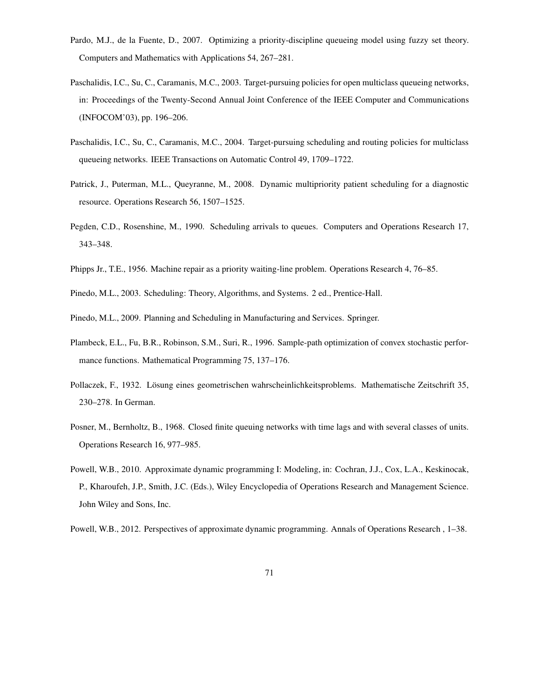- Pardo, M.J., de la Fuente, D., 2007. Optimizing a priority-discipline queueing model using fuzzy set theory. Computers and Mathematics with Applications 54, 267–281.
- Paschalidis, I.C., Su, C., Caramanis, M.C., 2003. Target-pursuing policies for open multiclass queueing networks, in: Proceedings of the Twenty-Second Annual Joint Conference of the IEEE Computer and Communications (INFOCOM'03), pp. 196–206.
- Paschalidis, I.C., Su, C., Caramanis, M.C., 2004. Target-pursuing scheduling and routing policies for multiclass queueing networks. IEEE Transactions on Automatic Control 49, 1709–1722.
- Patrick, J., Puterman, M.L., Queyranne, M., 2008. Dynamic multipriority patient scheduling for a diagnostic resource. Operations Research 56, 1507–1525.
- Pegden, C.D., Rosenshine, M., 1990. Scheduling arrivals to queues. Computers and Operations Research 17, 343–348.
- Phipps Jr., T.E., 1956. Machine repair as a priority waiting-line problem. Operations Research 4, 76–85.
- Pinedo, M.L., 2003. Scheduling: Theory, Algorithms, and Systems. 2 ed., Prentice-Hall.
- Pinedo, M.L., 2009. Planning and Scheduling in Manufacturing and Services. Springer.
- Plambeck, E.L., Fu, B.R., Robinson, S.M., Suri, R., 1996. Sample-path optimization of convex stochastic performance functions. Mathematical Programming 75, 137–176.
- Pollaczek, F., 1932. Lösung eines geometrischen wahrscheinlichkeitsproblems. Mathematische Zeitschrift 35, 230–278. In German.
- Posner, M., Bernholtz, B., 1968. Closed finite queuing networks with time lags and with several classes of units. Operations Research 16, 977–985.
- Powell, W.B., 2010. Approximate dynamic programming I: Modeling, in: Cochran, J.J., Cox, L.A., Keskinocak, P., Kharoufeh, J.P., Smith, J.C. (Eds.), Wiley Encyclopedia of Operations Research and Management Science. John Wiley and Sons, Inc.
- Powell, W.B., 2012. Perspectives of approximate dynamic programming. Annals of Operations Research , 1–38.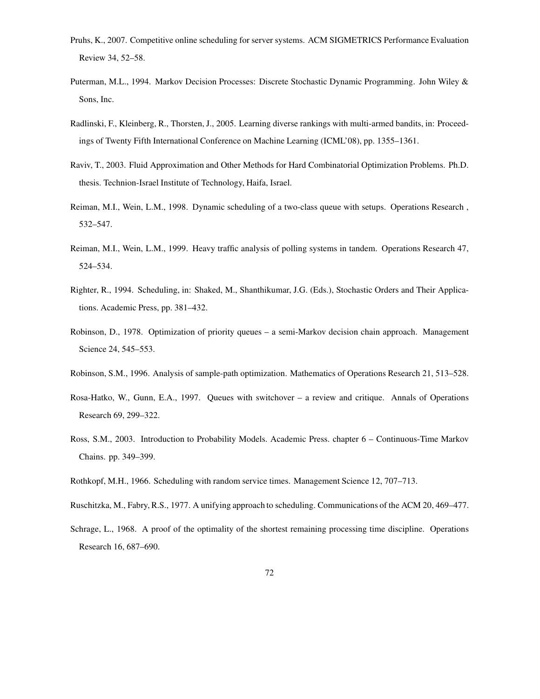- Pruhs, K., 2007. Competitive online scheduling for server systems. ACM SIGMETRICS Performance Evaluation Review 34, 52–58.
- Puterman, M.L., 1994. Markov Decision Processes: Discrete Stochastic Dynamic Programming. John Wiley & Sons, Inc.
- Radlinski, F., Kleinberg, R., Thorsten, J., 2005. Learning diverse rankings with multi-armed bandits, in: Proceedings of Twenty Fifth International Conference on Machine Learning (ICML'08), pp. 1355–1361.
- Raviv, T., 2003. Fluid Approximation and Other Methods for Hard Combinatorial Optimization Problems. Ph.D. thesis. Technion-Israel Institute of Technology, Haifa, Israel.
- Reiman, M.I., Wein, L.M., 1998. Dynamic scheduling of a two-class queue with setups. Operations Research , 532–547.
- Reiman, M.I., Wein, L.M., 1999. Heavy traffic analysis of polling systems in tandem. Operations Research 47, 524–534.
- Righter, R., 1994. Scheduling, in: Shaked, M., Shanthikumar, J.G. (Eds.), Stochastic Orders and Their Applications. Academic Press, pp. 381–432.
- Robinson, D., 1978. Optimization of priority queues a semi-Markov decision chain approach. Management Science 24, 545–553.
- Robinson, S.M., 1996. Analysis of sample-path optimization. Mathematics of Operations Research 21, 513–528.
- Rosa-Hatko, W., Gunn, E.A., 1997. Queues with switchover a review and critique. Annals of Operations Research 69, 299–322.
- Ross, S.M., 2003. Introduction to Probability Models. Academic Press. chapter 6 Continuous-Time Markov Chains. pp. 349–399.
- Rothkopf, M.H., 1966. Scheduling with random service times. Management Science 12, 707–713.
- Ruschitzka, M., Fabry, R.S., 1977. A unifying approach to scheduling. Communications of the ACM 20, 469–477.
- Schrage, L., 1968. A proof of the optimality of the shortest remaining processing time discipline. Operations Research 16, 687–690.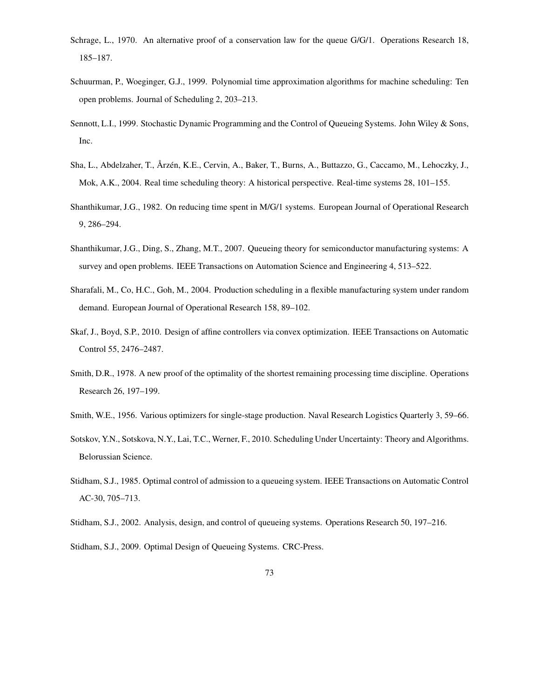- Schrage, L., 1970. An alternative proof of a conservation law for the queue G/G/1. Operations Research 18, 185–187.
- Schuurman, P., Woeginger, G.J., 1999. Polynomial time approximation algorithms for machine scheduling: Ten open problems. Journal of Scheduling 2, 203–213.
- Sennott, L.I., 1999. Stochastic Dynamic Programming and the Control of Queueing Systems. John Wiley & Sons, Inc.
- Sha, L., Abdelzaher, T., Årzén, K.E., Cervin, A., Baker, T., Burns, A., Buttazzo, G., Caccamo, M., Lehoczky, J., Mok, A.K., 2004. Real time scheduling theory: A historical perspective. Real-time systems 28, 101–155.
- Shanthikumar, J.G., 1982. On reducing time spent in M/G/1 systems. European Journal of Operational Research 9, 286–294.
- Shanthikumar, J.G., Ding, S., Zhang, M.T., 2007. Queueing theory for semiconductor manufacturing systems: A survey and open problems. IEEE Transactions on Automation Science and Engineering 4, 513–522.
- Sharafali, M., Co, H.C., Goh, M., 2004. Production scheduling in a flexible manufacturing system under random demand. European Journal of Operational Research 158, 89–102.
- Skaf, J., Boyd, S.P., 2010. Design of affine controllers via convex optimization. IEEE Transactions on Automatic Control 55, 2476–2487.
- Smith, D.R., 1978. A new proof of the optimality of the shortest remaining processing time discipline. Operations Research 26, 197–199.
- Smith, W.E., 1956. Various optimizers for single-stage production. Naval Research Logistics Quarterly 3, 59–66.
- Sotskov, Y.N., Sotskova, N.Y., Lai, T.C., Werner, F., 2010. Scheduling Under Uncertainty: Theory and Algorithms. Belorussian Science.
- Stidham, S.J., 1985. Optimal control of admission to a queueing system. IEEE Transactions on Automatic Control AC-30, 705–713.
- Stidham, S.J., 2002. Analysis, design, and control of queueing systems. Operations Research 50, 197–216.
- Stidham, S.J., 2009. Optimal Design of Queueing Systems. CRC-Press.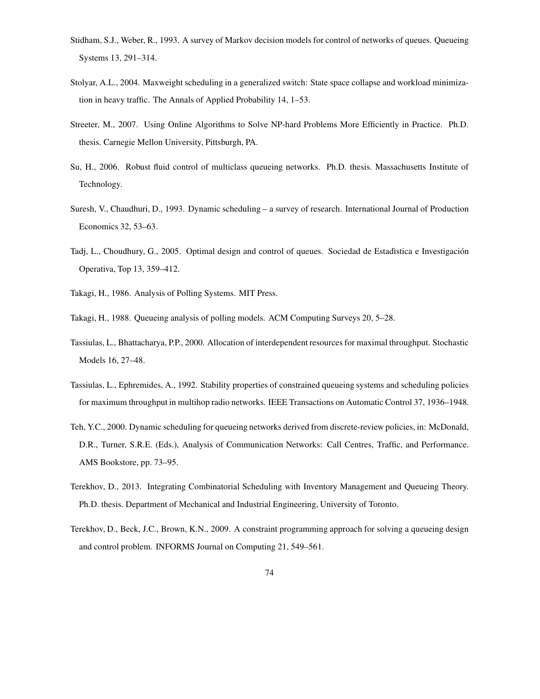- Stidham, S.J., Weber, R., 1993. A survey of Markov decision models for control of networks of queues. Queueing Systems 13, 291–314.
- Stolyar, A.L., 2004. Maxweight scheduling in a generalized switch: State space collapse and workload minimization in heavy traffic. The Annals of Applied Probability 14, 1–53.
- Streeter, M., 2007. Using Online Algorithms to Solve NP-hard Problems More Efficiently in Practice. Ph.D. thesis. Carnegie Mellon University, Pittsburgh, PA.
- Su, H., 2006. Robust fluid control of multiclass queueing networks. Ph.D. thesis. Massachusetts Institute of Technology.
- Suresh, V., Chaudhuri, D., 1993. Dynamic scheduling a survey of research. International Journal of Production Economics 32, 53–63.
- Tadj, L., Choudhury, G., 2005. Optimal design and control of queues. Sociedad de Estadística e Investigación Operativa, Top 13, 359–412.
- Takagi, H., 1986. Analysis of Polling Systems. MIT Press.
- Takagi, H., 1988. Queueing analysis of polling models. ACM Computing Surveys 20, 5–28.
- Tassiulas, L., Bhattacharya, P.P., 2000. Allocation of interdependent resources for maximal throughput. Stochastic Models 16, 27–48.
- Tassiulas, L., Ephremides, A., 1992. Stability properties of constrained queueing systems and scheduling policies for maximum throughput in multihop radio networks. IEEE Transactions on Automatic Control 37, 1936–1948.
- Teh, Y.C., 2000. Dynamic scheduling for queueing networks derived from discrete-review policies, in: McDonald, D.R., Turner, S.R.E. (Eds.), Analysis of Communication Networks: Call Centres, Traffic, and Performance. AMS Bookstore, pp. 73–95.
- Terekhov, D., 2013. Integrating Combinatorial Scheduling with Inventory Management and Queueing Theory. Ph.D. thesis. Department of Mechanical and Industrial Engineering, University of Toronto.
- Terekhov, D., Beck, J.C., Brown, K.N., 2009. A constraint programming approach for solving a queueing design and control problem. INFORMS Journal on Computing 21, 549–561.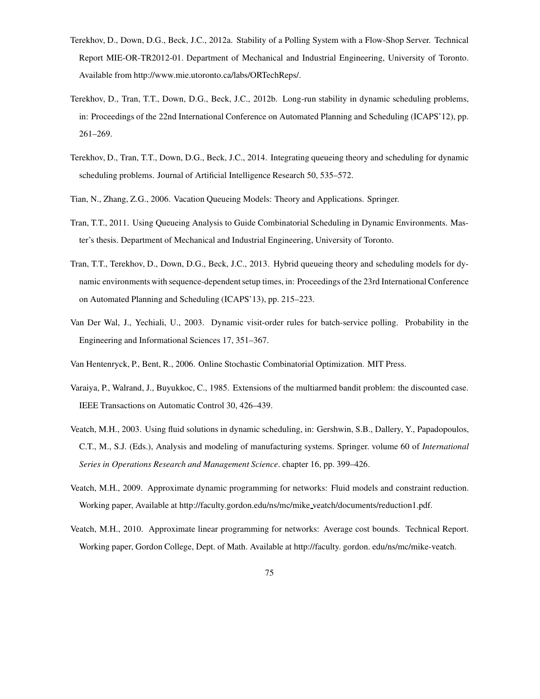- Terekhov, D., Down, D.G., Beck, J.C., 2012a. Stability of a Polling System with a Flow-Shop Server. Technical Report MIE-OR-TR2012-01. Department of Mechanical and Industrial Engineering, University of Toronto. Available from http://www.mie.utoronto.ca/labs/ORTechReps/.
- Terekhov, D., Tran, T.T., Down, D.G., Beck, J.C., 2012b. Long-run stability in dynamic scheduling problems, in: Proceedings of the 22nd International Conference on Automated Planning and Scheduling (ICAPS'12), pp. 261–269.
- Terekhov, D., Tran, T.T., Down, D.G., Beck, J.C., 2014. Integrating queueing theory and scheduling for dynamic scheduling problems. Journal of Artificial Intelligence Research 50, 535–572.
- Tian, N., Zhang, Z.G., 2006. Vacation Queueing Models: Theory and Applications. Springer.
- Tran, T.T., 2011. Using Queueing Analysis to Guide Combinatorial Scheduling in Dynamic Environments. Master's thesis. Department of Mechanical and Industrial Engineering, University of Toronto.
- Tran, T.T., Terekhov, D., Down, D.G., Beck, J.C., 2013. Hybrid queueing theory and scheduling models for dynamic environments with sequence-dependent setup times, in: Proceedings of the 23rd International Conference on Automated Planning and Scheduling (ICAPS'13), pp. 215–223.
- Van Der Wal, J., Yechiali, U., 2003. Dynamic visit-order rules for batch-service polling. Probability in the Engineering and Informational Sciences 17, 351–367.
- Van Hentenryck, P., Bent, R., 2006. Online Stochastic Combinatorial Optimization. MIT Press.
- Varaiya, P., Walrand, J., Buyukkoc, C., 1985. Extensions of the multiarmed bandit problem: the discounted case. IEEE Transactions on Automatic Control 30, 426–439.
- Veatch, M.H., 2003. Using fluid solutions in dynamic scheduling, in: Gershwin, S.B., Dallery, Y., Papadopoulos, C.T., M., S.J. (Eds.), Analysis and modeling of manufacturing systems. Springer. volume 60 of *International Series in Operations Research and Management Science*. chapter 16, pp. 399–426.
- Veatch, M.H., 2009. Approximate dynamic programming for networks: Fluid models and constraint reduction. Working paper, Available at http://faculty.gordon.edu/ns/mc/mike veatch/documents/reduction1.pdf.
- Veatch, M.H., 2010. Approximate linear programming for networks: Average cost bounds. Technical Report. Working paper, Gordon College, Dept. of Math. Available at http://faculty. gordon. edu/ns/mc/mike-veatch.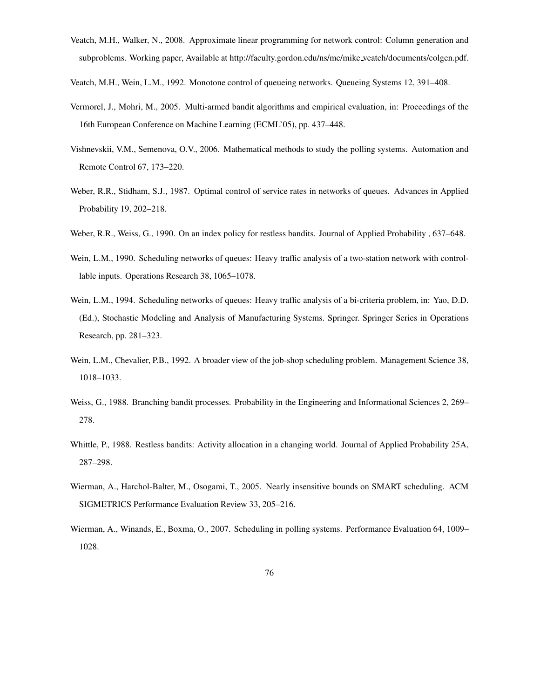- Veatch, M.H., Walker, N., 2008. Approximate linear programming for network control: Column generation and subproblems. Working paper, Available at http://faculty.gordon.edu/ns/mc/mike veatch/documents/colgen.pdf.
- Veatch, M.H., Wein, L.M., 1992. Monotone control of queueing networks. Queueing Systems 12, 391–408.
- Vermorel, J., Mohri, M., 2005. Multi-armed bandit algorithms and empirical evaluation, in: Proceedings of the 16th European Conference on Machine Learning (ECML'05), pp. 437–448.
- Vishnevskii, V.M., Semenova, O.V., 2006. Mathematical methods to study the polling systems. Automation and Remote Control 67, 173–220.
- Weber, R.R., Stidham, S.J., 1987. Optimal control of service rates in networks of queues. Advances in Applied Probability 19, 202–218.
- Weber, R.R., Weiss, G., 1990. On an index policy for restless bandits. Journal of Applied Probability , 637–648.
- Wein, L.M., 1990. Scheduling networks of queues: Heavy traffic analysis of a two-station network with controllable inputs. Operations Research 38, 1065–1078.
- Wein, L.M., 1994. Scheduling networks of queues: Heavy traffic analysis of a bi-criteria problem, in: Yao, D.D. (Ed.), Stochastic Modeling and Analysis of Manufacturing Systems. Springer. Springer Series in Operations Research, pp. 281–323.
- Wein, L.M., Chevalier, P.B., 1992. A broader view of the job-shop scheduling problem. Management Science 38, 1018–1033.
- Weiss, G., 1988. Branching bandit processes. Probability in the Engineering and Informational Sciences 2, 269– 278.
- Whittle, P., 1988. Restless bandits: Activity allocation in a changing world. Journal of Applied Probability 25A, 287–298.
- Wierman, A., Harchol-Balter, M., Osogami, T., 2005. Nearly insensitive bounds on SMART scheduling. ACM SIGMETRICS Performance Evaluation Review 33, 205–216.
- Wierman, A., Winands, E., Boxma, O., 2007. Scheduling in polling systems. Performance Evaluation 64, 1009– 1028.